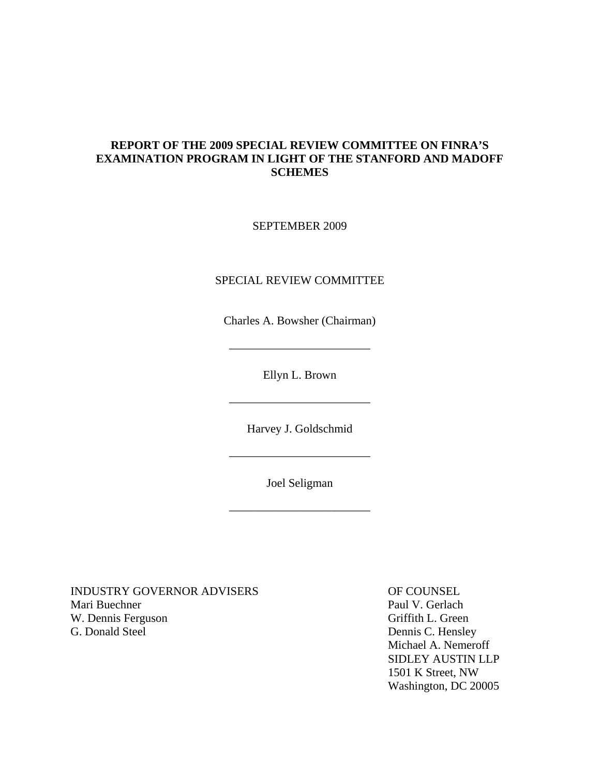# **REPORT OF THE 2009 SPECIAL REVIEW COMMITTEE ON FINRA'S EXAMINATION PROGRAM IN LIGHT OF THE STANFORD AND MADOFF SCHEMES**

SEPTEMBER 2009

# SPECIAL REVIEW COMMITTEE

Charles A. Bowsher (Chairman)

Ellyn L. Brown

————————————

Harvey J. Goldschmid

————————————

————————————

Joel Seligman

————————————

INDUSTRY GOVERNOR ADVISERS OF COUNSEL Mari Buechner Paul V. Gerlach W. Dennis Ferguson Griffith L. Green G. Donald Steel Dennis C. Hensley

 Michael A. Nemeroff SIDLEY AUSTIN LLP 1501 K Street, NW Washington, DC 20005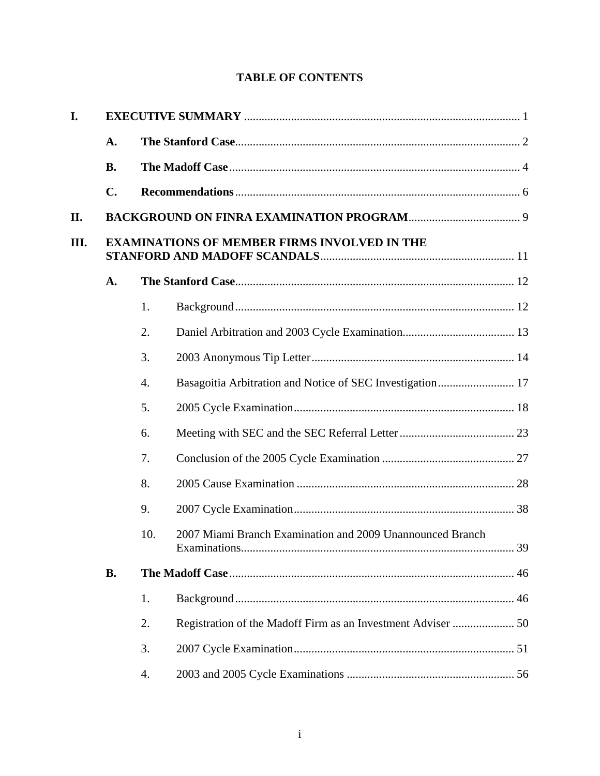# **TABLE OF CONTENTS**

| I.   |                                                     |     |                                                                 |  |  |  |
|------|-----------------------------------------------------|-----|-----------------------------------------------------------------|--|--|--|
|      | A.                                                  |     |                                                                 |  |  |  |
|      | <b>B.</b>                                           |     |                                                                 |  |  |  |
|      | $\mathbf{C}$ .                                      |     |                                                                 |  |  |  |
| II.  |                                                     |     |                                                                 |  |  |  |
| III. | <b>EXAMINATIONS OF MEMBER FIRMS INVOLVED IN THE</b> |     |                                                                 |  |  |  |
|      | A.                                                  |     |                                                                 |  |  |  |
|      |                                                     | 1.  |                                                                 |  |  |  |
|      |                                                     | 2.  |                                                                 |  |  |  |
|      |                                                     | 3.  |                                                                 |  |  |  |
|      |                                                     | 4.  | Basagoitia Arbitration and Notice of SEC Investigation 17       |  |  |  |
|      |                                                     | 5.  |                                                                 |  |  |  |
|      |                                                     | 6.  |                                                                 |  |  |  |
|      |                                                     | 7.  |                                                                 |  |  |  |
|      |                                                     | 8.  |                                                                 |  |  |  |
|      |                                                     | 9.  |                                                                 |  |  |  |
|      |                                                     | 10. | 2007 Miami Branch Examination and 2009 Unannounced Branch<br>39 |  |  |  |
|      | <b>B.</b>                                           |     |                                                                 |  |  |  |
|      |                                                     | 1.  |                                                                 |  |  |  |
|      |                                                     | 2.  | Registration of the Madoff Firm as an Investment Adviser  50    |  |  |  |
|      |                                                     | 3.  |                                                                 |  |  |  |
|      |                                                     | 4.  |                                                                 |  |  |  |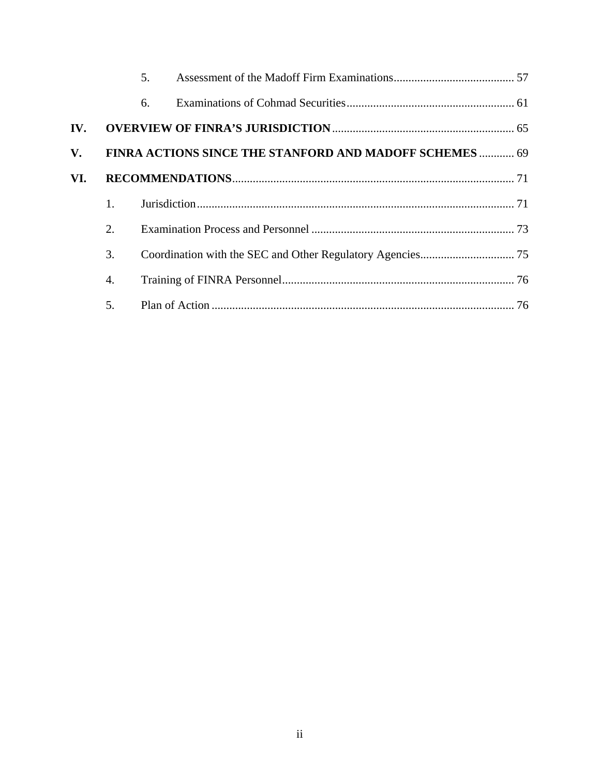|               |         | 5. |                                                                |  |
|---------------|---------|----|----------------------------------------------------------------|--|
|               |         | 6. |                                                                |  |
| IV.           |         |    |                                                                |  |
| $V_{\bullet}$ |         |    | <b>FINRA ACTIONS SINCE THE STANFORD AND MADOFF SCHEMES  69</b> |  |
| VI.           |         |    |                                                                |  |
|               | $1_{-}$ |    |                                                                |  |
|               | 2.      |    |                                                                |  |
|               | 3.      |    |                                                                |  |
|               | 4.      |    |                                                                |  |
|               | 5.      |    |                                                                |  |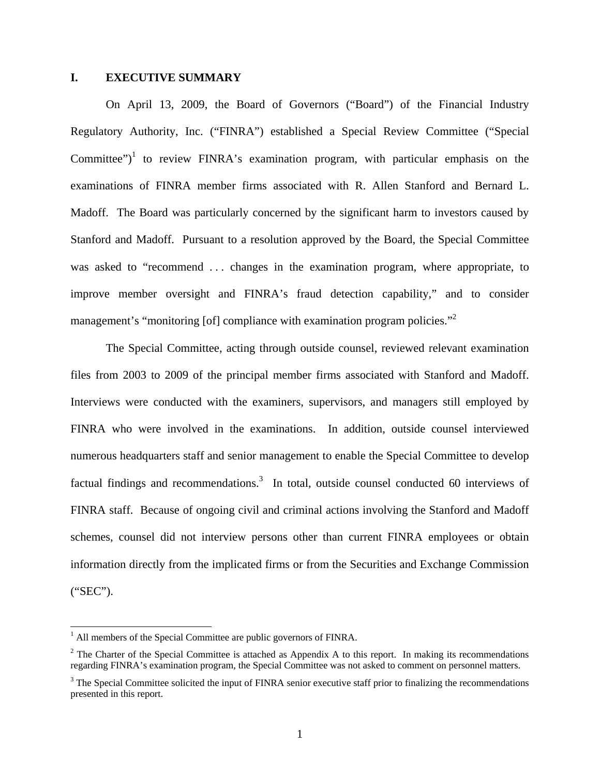### **I. EXECUTIVE SUMMARY**

On April 13, 2009, the Board of Governors ("Board") of the Financial Industry Regulatory Authority, Inc. ("FINRA") established a Special Review Committee ("Special Committee")<sup>1</sup> to review FINRA's examination program, with particular emphasis on the examinations of FINRA member firms associated with R. Allen Stanford and Bernard L. Madoff. The Board was particularly concerned by the significant harm to investors caused by Stanford and Madoff. Pursuant to a resolution approved by the Board, the Special Committee was asked to "recommend ... changes in the examination program, where appropriate, to improve member oversight and FINRA's fraud detection capability," and to consider management's "monitoring [of] compliance with examination program policies."

The Special Committee, acting through outside counsel, reviewed relevant examination files from 2003 to 2009 of the principal member firms associated with Stanford and Madoff. Interviews were conducted with the examiners, supervisors, and managers still employed by FINRA who were involved in the examinations. In addition, outside counsel interviewed numerous headquarters staff and senior management to enable the Special Committee to develop factual findings and recommendations.<sup>3</sup> In total, outside counsel conducted 60 interviews of FINRA staff. Because of ongoing civil and criminal actions involving the Stanford and Madoff schemes, counsel did not interview persons other than current FINRA employees or obtain information directly from the implicated firms or from the Securities and Exchange Commission ("SEC").

<sup>&</sup>lt;sup>1</sup> All members of the Special Committee are public governors of FINRA.

 $2^2$  The Charter of the Special Committee is attached as Appendix A to this report. In making its recommendations regarding FINRA's examination program, the Special Committee was not asked to comment on personnel matters.

 $3$  The Special Committee solicited the input of FINRA senior executive staff prior to finalizing the recommendations presented in this report.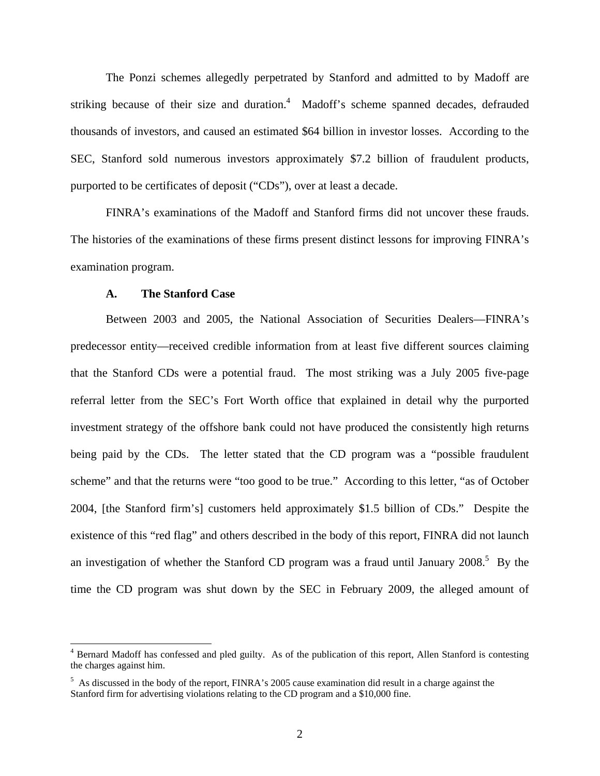The Ponzi schemes allegedly perpetrated by Stanford and admitted to by Madoff are striking because of their size and duration.<sup>4</sup> Madoff's scheme spanned decades, defrauded thousands of investors, and caused an estimated \$64 billion in investor losses. According to the SEC, Stanford sold numerous investors approximately \$7.2 billion of fraudulent products, purported to be certificates of deposit ("CDs"), over at least a decade.

FINRA's examinations of the Madoff and Stanford firms did not uncover these frauds. The histories of the examinations of these firms present distinct lessons for improving FINRA's examination program.

### **A. The Stanford Case**

Between 2003 and 2005, the National Association of Securities Dealers—FINRA's predecessor entity—received credible information from at least five different sources claiming that the Stanford CDs were a potential fraud. The most striking was a July 2005 five-page referral letter from the SEC's Fort Worth office that explained in detail why the purported investment strategy of the offshore bank could not have produced the consistently high returns being paid by the CDs. The letter stated that the CD program was a "possible fraudulent" scheme" and that the returns were "too good to be true." According to this letter, "as of October 2004, [the Stanford firm's] customers held approximately \$1.5 billion of CDs." Despite the existence of this "red flag" and others described in the body of this report, FINRA did not launch an investigation of whether the Stanford CD program was a fraud until January  $2008$ .<sup>5</sup> By the time the CD program was shut down by the SEC in February 2009, the alleged amount of

<sup>&</sup>lt;sup>4</sup> Bernard Madoff has confessed and pled guilty. As of the publication of this report, Allen Stanford is contesting the charges against him.

<sup>&</sup>lt;sup>5</sup> As discussed in the body of the report, FINRA's 2005 cause examination did result in a charge against the Stanford firm for advertising violations relating to the CD program and a \$10,000 fine.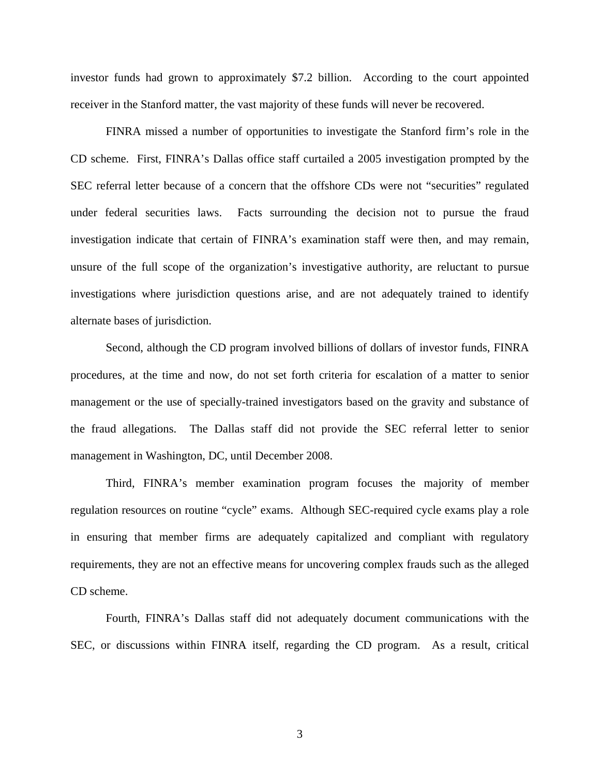investor funds had grown to approximately \$7.2 billion. According to the court appointed receiver in the Stanford matter, the vast majority of these funds will never be recovered.

FINRA missed a number of opportunities to investigate the Stanford firm's role in the CD scheme. First, FINRA's Dallas office staff curtailed a 2005 investigation prompted by the SEC referral letter because of a concern that the offshore CDs were not "securities" regulated under federal securities laws. Facts surrounding the decision not to pursue the fraud investigation indicate that certain of FINRA's examination staff were then, and may remain, unsure of the full scope of the organization's investigative authority, are reluctant to pursue investigations where jurisdiction questions arise, and are not adequately trained to identify alternate bases of jurisdiction.

Second, although the CD program involved billions of dollars of investor funds, FINRA procedures, at the time and now, do not set forth criteria for escalation of a matter to senior management or the use of specially-trained investigators based on the gravity and substance of the fraud allegations. The Dallas staff did not provide the SEC referral letter to senior management in Washington, DC, until December 2008.

Third, FINRA's member examination program focuses the majority of member regulation resources on routine "cycle" exams. Although SEC-required cycle exams play a role in ensuring that member firms are adequately capitalized and compliant with regulatory requirements, they are not an effective means for uncovering complex frauds such as the alleged CD scheme.

Fourth, FINRA's Dallas staff did not adequately document communications with the SEC, or discussions within FINRA itself, regarding the CD program. As a result, critical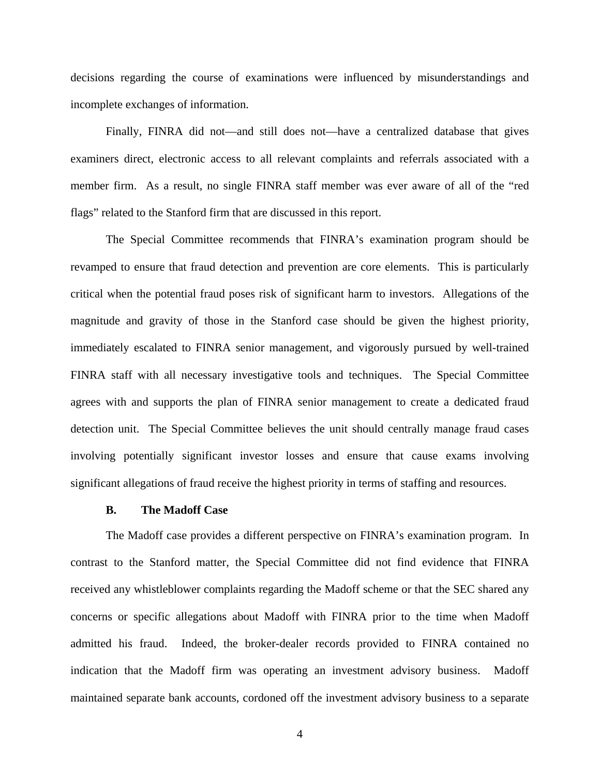decisions regarding the course of examinations were influenced by misunderstandings and incomplete exchanges of information.

Finally, FINRA did not—and still does not—have a centralized database that gives examiners direct, electronic access to all relevant complaints and referrals associated with a member firm. As a result, no single FINRA staff member was ever aware of all of the "red flags" related to the Stanford firm that are discussed in this report.

The Special Committee recommends that FINRA's examination program should be revamped to ensure that fraud detection and prevention are core elements. This is particularly critical when the potential fraud poses risk of significant harm to investors. Allegations of the magnitude and gravity of those in the Stanford case should be given the highest priority, immediately escalated to FINRA senior management, and vigorously pursued by well-trained FINRA staff with all necessary investigative tools and techniques. The Special Committee agrees with and supports the plan of FINRA senior management to create a dedicated fraud detection unit. The Special Committee believes the unit should centrally manage fraud cases involving potentially significant investor losses and ensure that cause exams involving significant allegations of fraud receive the highest priority in terms of staffing and resources.

#### **B. The Madoff Case**

The Madoff case provides a different perspective on FINRA's examination program. In contrast to the Stanford matter, the Special Committee did not find evidence that FINRA received any whistleblower complaints regarding the Madoff scheme or that the SEC shared any concerns or specific allegations about Madoff with FINRA prior to the time when Madoff admitted his fraud. Indeed, the broker-dealer records provided to FINRA contained no indication that the Madoff firm was operating an investment advisory business. Madoff maintained separate bank accounts, cordoned off the investment advisory business to a separate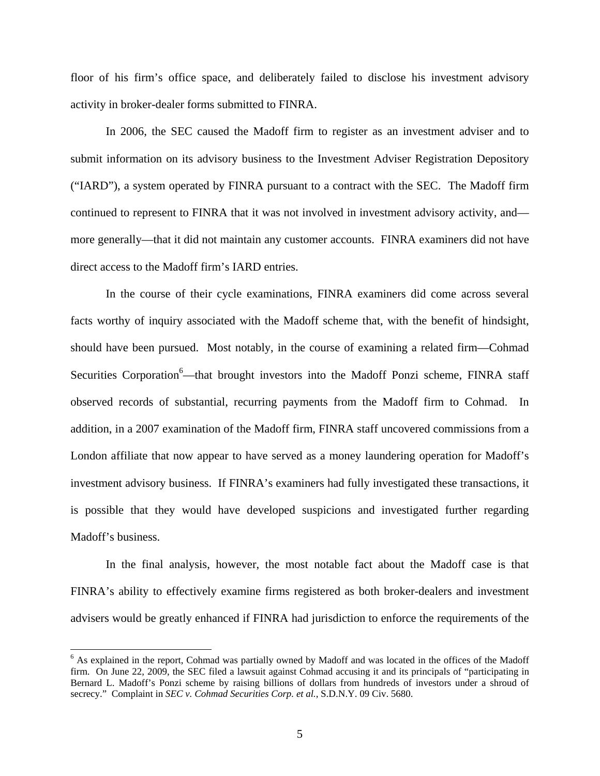floor of his firm's office space, and deliberately failed to disclose his investment advisory activity in broker-dealer forms submitted to FINRA.

In 2006, the SEC caused the Madoff firm to register as an investment adviser and to submit information on its advisory business to the Investment Adviser Registration Depository ("IARD"), a system operated by FINRA pursuant to a contract with the SEC. The Madoff firm continued to represent to FINRA that it was not involved in investment advisory activity, and more generally—that it did not maintain any customer accounts. FINRA examiners did not have direct access to the Madoff firm's IARD entries.

In the course of their cycle examinations, FINRA examiners did come across several facts worthy of inquiry associated with the Madoff scheme that, with the benefit of hindsight, should have been pursued. Most notably, in the course of examining a related firm—Cohmad Securities Corporation<sup>6</sup>—that brought investors into the Madoff Ponzi scheme, FINRA staff observed records of substantial, recurring payments from the Madoff firm to Cohmad. In addition, in a 2007 examination of the Madoff firm, FINRA staff uncovered commissions from a London affiliate that now appear to have served as a money laundering operation for Madoff's investment advisory business. If FINRA's examiners had fully investigated these transactions, it is possible that they would have developed suspicions and investigated further regarding Madoff's business.

In the final analysis, however, the most notable fact about the Madoff case is that FINRA's ability to effectively examine firms registered as both broker-dealers and investment advisers would be greatly enhanced if FINRA had jurisdiction to enforce the requirements of the

<sup>&</sup>lt;sup>6</sup> As explained in the report, Cohmad was partially owned by Madoff and was located in the offices of the Madoff firm. On June 22, 2009, the SEC filed a lawsuit against Cohmad accusing it and its principals of "participating in Bernard L. Madoff's Ponzi scheme by raising billions of dollars from hundreds of investors under a shroud of secrecy." Complaint in *SEC v. Cohmad Securities Corp. et al.*, S.D.N.Y. 09 Civ. 5680.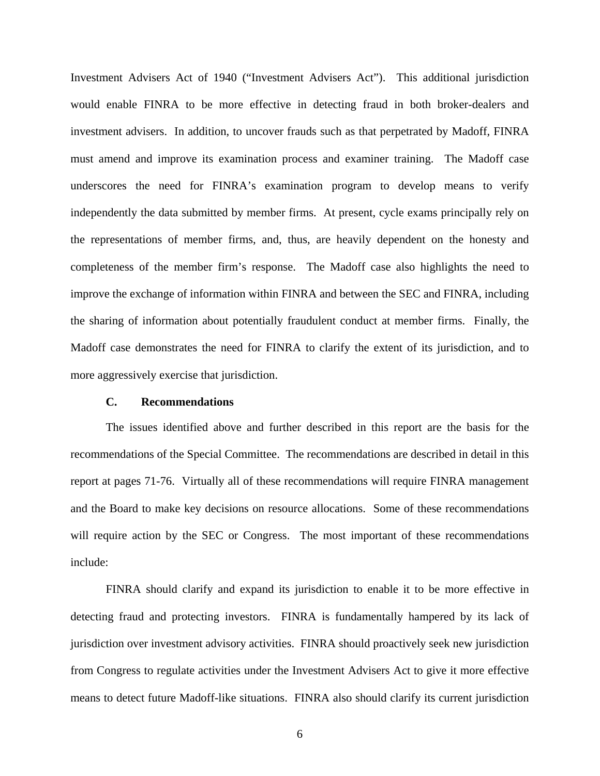Investment Advisers Act of 1940 ("Investment Advisers Act"). This additional jurisdiction would enable FINRA to be more effective in detecting fraud in both broker-dealers and investment advisers. In addition, to uncover frauds such as that perpetrated by Madoff, FINRA must amend and improve its examination process and examiner training. The Madoff case underscores the need for FINRA's examination program to develop means to verify independently the data submitted by member firms. At present, cycle exams principally rely on the representations of member firms, and, thus, are heavily dependent on the honesty and completeness of the member firm's response. The Madoff case also highlights the need to improve the exchange of information within FINRA and between the SEC and FINRA, including the sharing of information about potentially fraudulent conduct at member firms. Finally, the Madoff case demonstrates the need for FINRA to clarify the extent of its jurisdiction, and to more aggressively exercise that jurisdiction.

### **C. Recommendations**

The issues identified above and further described in this report are the basis for the recommendations of the Special Committee. The recommendations are described in detail in this report at pages 71-76. Virtually all of these recommendations will require FINRA management and the Board to make key decisions on resource allocations. Some of these recommendations will require action by the SEC or Congress. The most important of these recommendations include:

FINRA should clarify and expand its jurisdiction to enable it to be more effective in detecting fraud and protecting investors. FINRA is fundamentally hampered by its lack of jurisdiction over investment advisory activities. FINRA should proactively seek new jurisdiction from Congress to regulate activities under the Investment Advisers Act to give it more effective means to detect future Madoff-like situations. FINRA also should clarify its current jurisdiction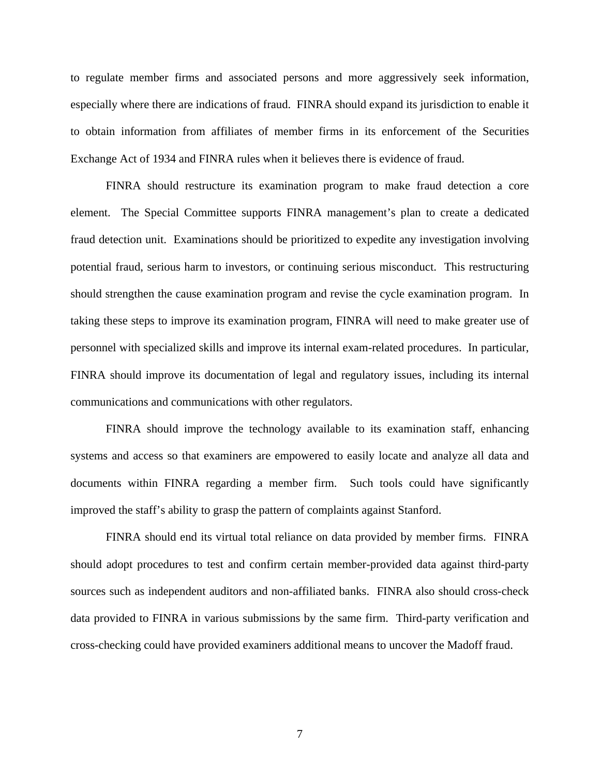to regulate member firms and associated persons and more aggressively seek information, especially where there are indications of fraud. FINRA should expand its jurisdiction to enable it to obtain information from affiliates of member firms in its enforcement of the Securities Exchange Act of 1934 and FINRA rules when it believes there is evidence of fraud.

FINRA should restructure its examination program to make fraud detection a core element. The Special Committee supports FINRA management's plan to create a dedicated fraud detection unit. Examinations should be prioritized to expedite any investigation involving potential fraud, serious harm to investors, or continuing serious misconduct. This restructuring should strengthen the cause examination program and revise the cycle examination program. In taking these steps to improve its examination program, FINRA will need to make greater use of personnel with specialized skills and improve its internal exam-related procedures. In particular, FINRA should improve its documentation of legal and regulatory issues, including its internal communications and communications with other regulators.

FINRA should improve the technology available to its examination staff, enhancing systems and access so that examiners are empowered to easily locate and analyze all data and documents within FINRA regarding a member firm. Such tools could have significantly improved the staff's ability to grasp the pattern of complaints against Stanford.

FINRA should end its virtual total reliance on data provided by member firms. FINRA should adopt procedures to test and confirm certain member-provided data against third-party sources such as independent auditors and non-affiliated banks. FINRA also should cross-check data provided to FINRA in various submissions by the same firm. Third-party verification and cross-checking could have provided examiners additional means to uncover the Madoff fraud.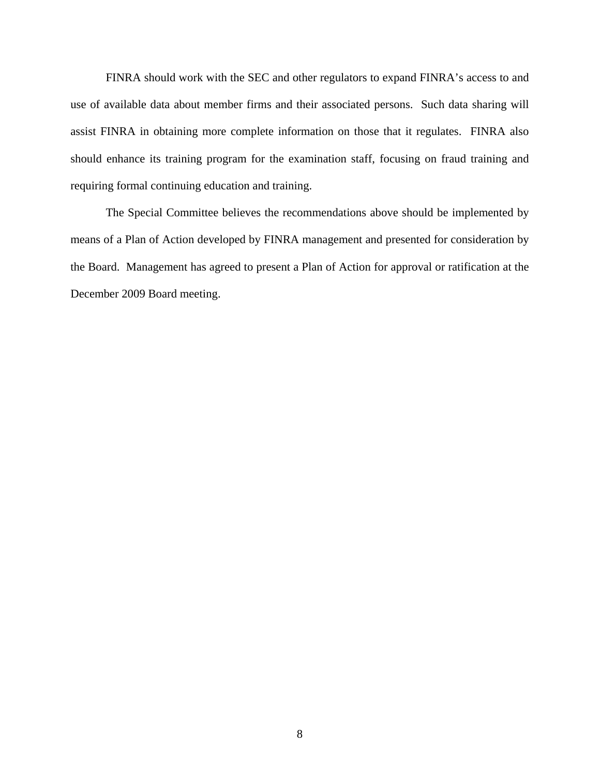FINRA should work with the SEC and other regulators to expand FINRA's access to and use of available data about member firms and their associated persons. Such data sharing will assist FINRA in obtaining more complete information on those that it regulates. FINRA also should enhance its training program for the examination staff, focusing on fraud training and requiring formal continuing education and training.

The Special Committee believes the recommendations above should be implemented by means of a Plan of Action developed by FINRA management and presented for consideration by the Board. Management has agreed to present a Plan of Action for approval or ratification at the December 2009 Board meeting.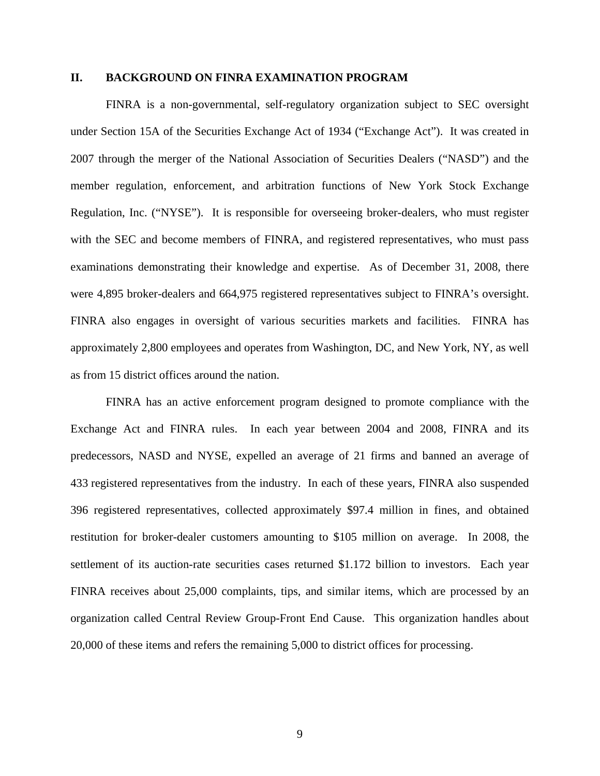### **II. BACKGROUND ON FINRA EXAMINATION PROGRAM**

FINRA is a non-governmental, self-regulatory organization subject to SEC oversight under Section 15A of the Securities Exchange Act of 1934 ("Exchange Act"). It was created in 2007 through the merger of the National Association of Securities Dealers ("NASD") and the member regulation, enforcement, and arbitration functions of New York Stock Exchange Regulation, Inc. ("NYSE"). It is responsible for overseeing broker-dealers, who must register with the SEC and become members of FINRA, and registered representatives, who must pass examinations demonstrating their knowledge and expertise. As of December 31, 2008, there were 4,895 broker-dealers and 664,975 registered representatives subject to FINRA's oversight. FINRA also engages in oversight of various securities markets and facilities. FINRA has approximately 2,800 employees and operates from Washington, DC, and New York, NY, as well as from 15 district offices around the nation.

FINRA has an active enforcement program designed to promote compliance with the Exchange Act and FINRA rules. In each year between 2004 and 2008, FINRA and its predecessors, NASD and NYSE, expelled an average of 21 firms and banned an average of 433 registered representatives from the industry. In each of these years, FINRA also suspended 396 registered representatives, collected approximately \$97.4 million in fines, and obtained restitution for broker-dealer customers amounting to \$105 million on average. In 2008, the settlement of its auction-rate securities cases returned \$1.172 billion to investors. Each year FINRA receives about 25,000 complaints, tips, and similar items, which are processed by an organization called Central Review Group-Front End Cause. This organization handles about 20,000 of these items and refers the remaining 5,000 to district offices for processing.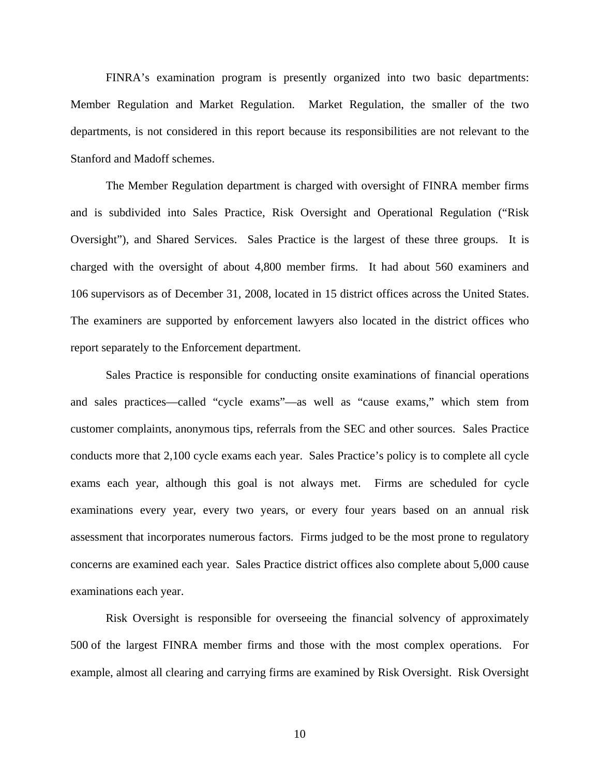FINRA's examination program is presently organized into two basic departments: Member Regulation and Market Regulation. Market Regulation, the smaller of the two departments, is not considered in this report because its responsibilities are not relevant to the Stanford and Madoff schemes.

The Member Regulation department is charged with oversight of FINRA member firms and is subdivided into Sales Practice, Risk Oversight and Operational Regulation ("Risk Oversight"), and Shared Services. Sales Practice is the largest of these three groups. It is charged with the oversight of about 4,800 member firms. It had about 560 examiners and 106 supervisors as of December 31, 2008, located in 15 district offices across the United States. The examiners are supported by enforcement lawyers also located in the district offices who report separately to the Enforcement department.

Sales Practice is responsible for conducting onsite examinations of financial operations and sales practices—called "cycle exams"—as well as "cause exams," which stem from customer complaints, anonymous tips, referrals from the SEC and other sources. Sales Practice conducts more that 2,100 cycle exams each year. Sales Practice's policy is to complete all cycle exams each year, although this goal is not always met. Firms are scheduled for cycle examinations every year, every two years, or every four years based on an annual risk assessment that incorporates numerous factors. Firms judged to be the most prone to regulatory concerns are examined each year. Sales Practice district offices also complete about 5,000 cause examinations each year.

Risk Oversight is responsible for overseeing the financial solvency of approximately 500 of the largest FINRA member firms and those with the most complex operations. For example, almost all clearing and carrying firms are examined by Risk Oversight. Risk Oversight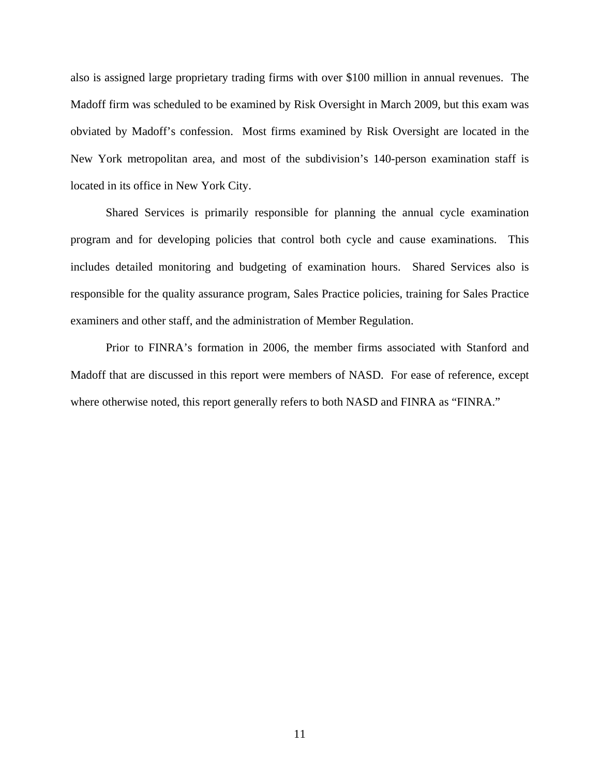also is assigned large proprietary trading firms with over \$100 million in annual revenues. The Madoff firm was scheduled to be examined by Risk Oversight in March 2009, but this exam was obviated by Madoff's confession. Most firms examined by Risk Oversight are located in the New York metropolitan area, and most of the subdivision's 140-person examination staff is located in its office in New York City.

Shared Services is primarily responsible for planning the annual cycle examination program and for developing policies that control both cycle and cause examinations. This includes detailed monitoring and budgeting of examination hours. Shared Services also is responsible for the quality assurance program, Sales Practice policies, training for Sales Practice examiners and other staff, and the administration of Member Regulation.

Prior to FINRA's formation in 2006, the member firms associated with Stanford and Madoff that are discussed in this report were members of NASD. For ease of reference, except where otherwise noted, this report generally refers to both NASD and FINRA as "FINRA."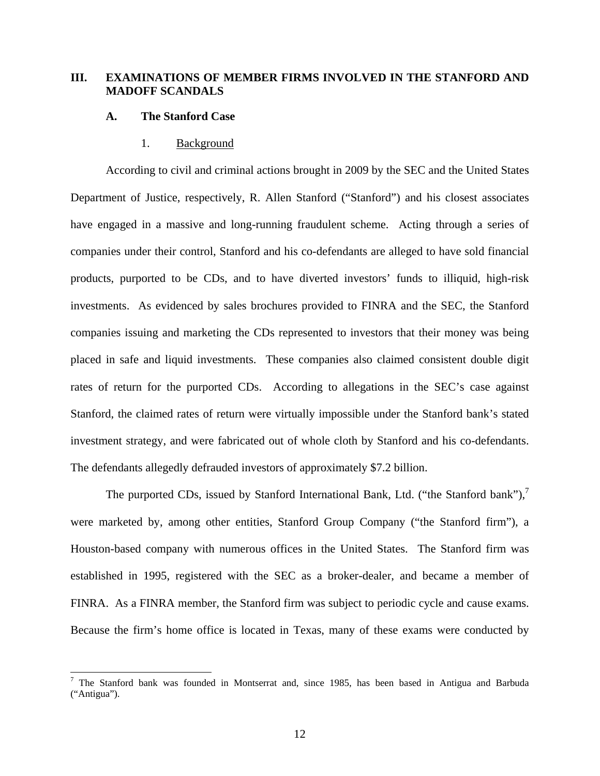## **III. EXAMINATIONS OF MEMBER FIRMS INVOLVED IN THE STANFORD AND MADOFF SCANDALS**

#### **A. The Stanford Case**

#### 1. Background

According to civil and criminal actions brought in 2009 by the SEC and the United States Department of Justice, respectively, R. Allen Stanford ("Stanford") and his closest associates have engaged in a massive and long-running fraudulent scheme. Acting through a series of companies under their control, Stanford and his co-defendants are alleged to have sold financial products, purported to be CDs, and to have diverted investors' funds to illiquid, high-risk investments. As evidenced by sales brochures provided to FINRA and the SEC, the Stanford companies issuing and marketing the CDs represented to investors that their money was being placed in safe and liquid investments. These companies also claimed consistent double digit rates of return for the purported CDs. According to allegations in the SEC's case against Stanford, the claimed rates of return were virtually impossible under the Stanford bank's stated investment strategy, and were fabricated out of whole cloth by Stanford and his co-defendants. The defendants allegedly defrauded investors of approximately \$7.2 billion.

The purported CDs, issued by Stanford International Bank, Ltd. ("the Stanford bank"),<sup>7</sup> were marketed by, among other entities, Stanford Group Company ("the Stanford firm"), a Houston-based company with numerous offices in the United States. The Stanford firm was established in 1995, registered with the SEC as a broker-dealer, and became a member of FINRA. As a FINRA member, the Stanford firm was subject to periodic cycle and cause exams. Because the firm's home office is located in Texas, many of these exams were conducted by

<sup>7</sup> The Stanford bank was founded in Montserrat and, since 1985, has been based in Antigua and Barbuda ("Antigua").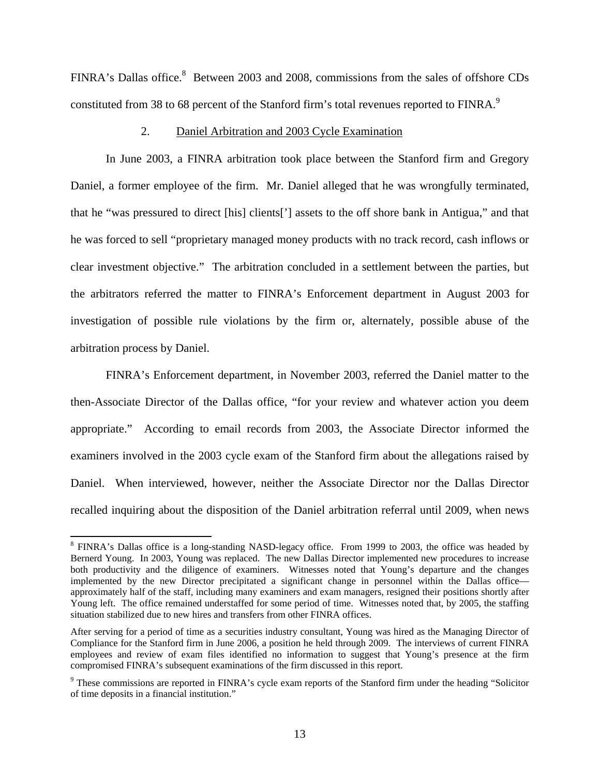FINRA's Dallas office.<sup>8</sup> Between 2003 and 2008, commissions from the sales of offshore CDs constituted from 38 to 68 percent of the Stanford firm's total revenues reported to FINRA.<sup>9</sup>

### 2. Daniel Arbitration and 2003 Cycle Examination

In June 2003, a FINRA arbitration took place between the Stanford firm and Gregory Daniel, a former employee of the firm. Mr. Daniel alleged that he was wrongfully terminated, that he "was pressured to direct [his] clients['] assets to the off shore bank in Antigua," and that he was forced to sell "proprietary managed money products with no track record, cash inflows or clear investment objective." The arbitration concluded in a settlement between the parties, but the arbitrators referred the matter to FINRA's Enforcement department in August 2003 for investigation of possible rule violations by the firm or, alternately, possible abuse of the arbitration process by Daniel.

FINRA's Enforcement department, in November 2003, referred the Daniel matter to the then-Associate Director of the Dallas office, "for your review and whatever action you deem appropriate." According to email records from 2003, the Associate Director informed the examiners involved in the 2003 cycle exam of the Stanford firm about the allegations raised by Daniel. When interviewed, however, neither the Associate Director nor the Dallas Director recalled inquiring about the disposition of the Daniel arbitration referral until 2009, when news

<sup>&</sup>lt;sup>8</sup> FINRA's Dallas office is a long-standing NASD-legacy office. From 1999 to 2003, the office was headed by Bernerd Young. In 2003, Young was replaced. The new Dallas Director implemented new procedures to increase both productivity and the diligence of examiners. Witnesses noted that Young's departure and the changes implemented by the new Director precipitated a significant change in personnel within the Dallas office approximately half of the staff, including many examiners and exam managers, resigned their positions shortly after Young left. The office remained understaffed for some period of time. Witnesses noted that, by 2005, the staffing situation stabilized due to new hires and transfers from other FINRA offices.

After serving for a period of time as a securities industry consultant, Young was hired as the Managing Director of Compliance for the Stanford firm in June 2006, a position he held through 2009. The interviews of current FINRA employees and review of exam files identified no information to suggest that Young's presence at the firm compromised FINRA's subsequent examinations of the firm discussed in this report.

<sup>&</sup>lt;sup>9</sup> These commissions are reported in FINRA's cycle exam reports of the Stanford firm under the heading "Solicitor of time deposits in a financial institution."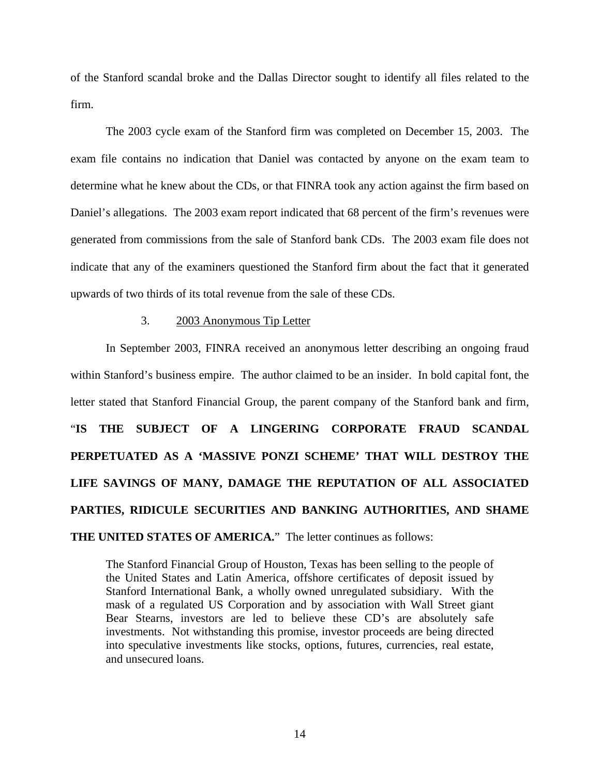of the Stanford scandal broke and the Dallas Director sought to identify all files related to the firm.

The 2003 cycle exam of the Stanford firm was completed on December 15, 2003. The exam file contains no indication that Daniel was contacted by anyone on the exam team to determine what he knew about the CDs, or that FINRA took any action against the firm based on Daniel's allegations. The 2003 exam report indicated that 68 percent of the firm's revenues were generated from commissions from the sale of Stanford bank CDs. The 2003 exam file does not indicate that any of the examiners questioned the Stanford firm about the fact that it generated upwards of two thirds of its total revenue from the sale of these CDs.

#### 3. 2003 Anonymous Tip Letter

In September 2003, FINRA received an anonymous letter describing an ongoing fraud within Stanford's business empire. The author claimed to be an insider. In bold capital font, the letter stated that Stanford Financial Group, the parent company of the Stanford bank and firm, "**IS THE SUBJECT OF A LINGERING CORPORATE FRAUD SCANDAL PERPETUATED AS A 'MASSIVE PONZI SCHEME' THAT WILL DESTROY THE LIFE SAVINGS OF MANY, DAMAGE THE REPUTATION OF ALL ASSOCIATED PARTIES, RIDICULE SECURITIES AND BANKING AUTHORITIES, AND SHAME THE UNITED STATES OF AMERICA.**" The letter continues as follows:

The Stanford Financial Group of Houston, Texas has been selling to the people of the United States and Latin America, offshore certificates of deposit issued by Stanford International Bank, a wholly owned unregulated subsidiary. With the mask of a regulated US Corporation and by association with Wall Street giant Bear Stearns, investors are led to believe these CD's are absolutely safe investments. Not withstanding this promise, investor proceeds are being directed into speculative investments like stocks, options, futures, currencies, real estate, and unsecured loans.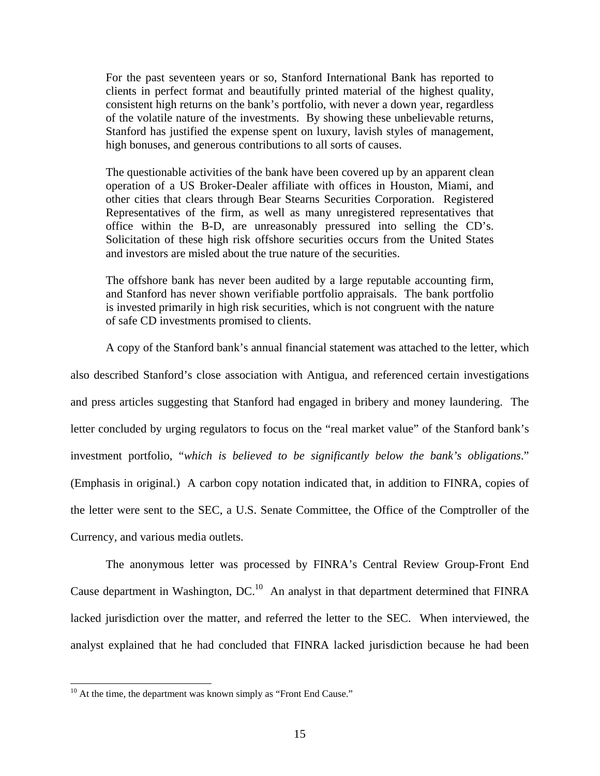For the past seventeen years or so, Stanford International Bank has reported to clients in perfect format and beautifully printed material of the highest quality, consistent high returns on the bank's portfolio, with never a down year, regardless of the volatile nature of the investments. By showing these unbelievable returns, Stanford has justified the expense spent on luxury, lavish styles of management, high bonuses, and generous contributions to all sorts of causes.

The questionable activities of the bank have been covered up by an apparent clean operation of a US Broker-Dealer affiliate with offices in Houston, Miami, and other cities that clears through Bear Stearns Securities Corporation. Registered Representatives of the firm, as well as many unregistered representatives that office within the B-D, are unreasonably pressured into selling the CD's. Solicitation of these high risk offshore securities occurs from the United States and investors are misled about the true nature of the securities.

The offshore bank has never been audited by a large reputable accounting firm, and Stanford has never shown verifiable portfolio appraisals. The bank portfolio is invested primarily in high risk securities, which is not congruent with the nature of safe CD investments promised to clients.

A copy of the Stanford bank's annual financial statement was attached to the letter, which also described Stanford's close association with Antigua, and referenced certain investigations and press articles suggesting that Stanford had engaged in bribery and money laundering. The letter concluded by urging regulators to focus on the "real market value" of the Stanford bank's investment portfolio, "*which is believed to be significantly below the bank's obligations*." (Emphasis in original.) A carbon copy notation indicated that, in addition to FINRA, copies of the letter were sent to the SEC, a U.S. Senate Committee, the Office of the Comptroller of the Currency, and various media outlets.

The anonymous letter was processed by FINRA's Central Review Group-Front End Cause department in Washington, DC.<sup>10</sup> An analyst in that department determined that FINRA lacked jurisdiction over the matter, and referred the letter to the SEC. When interviewed, the analyst explained that he had concluded that FINRA lacked jurisdiction because he had been

 $10<sup>10</sup>$  At the time, the department was known simply as "Front End Cause."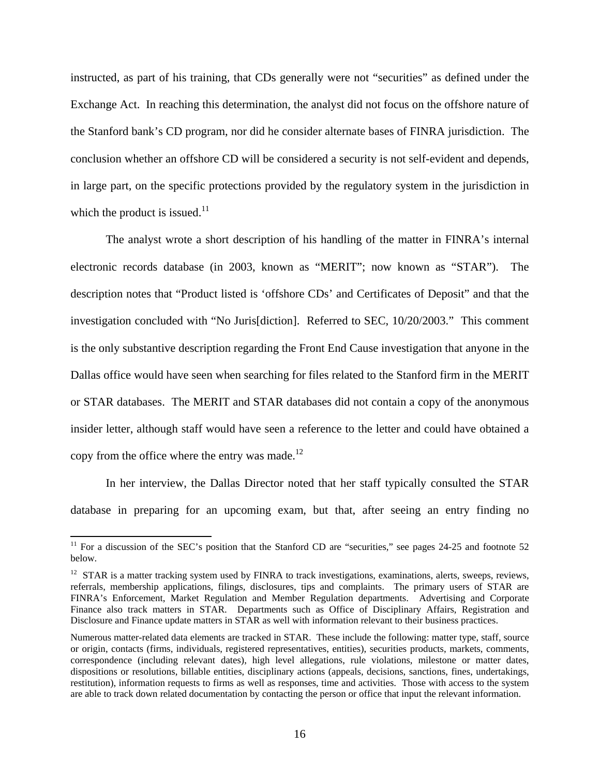instructed, as part of his training, that CDs generally were not "securities" as defined under the Exchange Act. In reaching this determination, the analyst did not focus on the offshore nature of the Stanford bank's CD program, nor did he consider alternate bases of FINRA jurisdiction. The conclusion whether an offshore CD will be considered a security is not self-evident and depends, in large part, on the specific protections provided by the regulatory system in the jurisdiction in which the product is issued. $11$ 

The analyst wrote a short description of his handling of the matter in FINRA's internal electronic records database (in 2003, known as "MERIT"; now known as "STAR"). The description notes that "Product listed is 'offshore CDs' and Certificates of Deposit" and that the investigation concluded with "No Juris[diction]. Referred to SEC, 10/20/2003." This comment is the only substantive description regarding the Front End Cause investigation that anyone in the Dallas office would have seen when searching for files related to the Stanford firm in the MERIT or STAR databases. The MERIT and STAR databases did not contain a copy of the anonymous insider letter, although staff would have seen a reference to the letter and could have obtained a copy from the office where the entry was made.<sup>12</sup>

In her interview, the Dallas Director noted that her staff typically consulted the STAR database in preparing for an upcoming exam, but that, after seeing an entry finding no

<sup>&</sup>lt;sup>11</sup> For a discussion of the SEC's position that the Stanford CD are "securities," see pages  $24-25$  and footnote  $52$ below.

 $12$  STAR is a matter tracking system used by FINRA to track investigations, examinations, alerts, sweeps, reviews, referrals, membership applications, filings, disclosures, tips and complaints. The primary users of STAR are FINRA's Enforcement, Market Regulation and Member Regulation departments. Advertising and Corporate Finance also track matters in STAR. Departments such as Office of Disciplinary Affairs, Registration and Disclosure and Finance update matters in STAR as well with information relevant to their business practices.

Numerous matter-related data elements are tracked in STAR. These include the following: matter type, staff, source or origin, contacts (firms, individuals, registered representatives, entities), securities products, markets, comments, correspondence (including relevant dates), high level allegations, rule violations, milestone or matter dates, dispositions or resolutions, billable entities, disciplinary actions (appeals, decisions, sanctions, fines, undertakings, restitution), information requests to firms as well as responses, time and activities. Those with access to the system are able to track down related documentation by contacting the person or office that input the relevant information.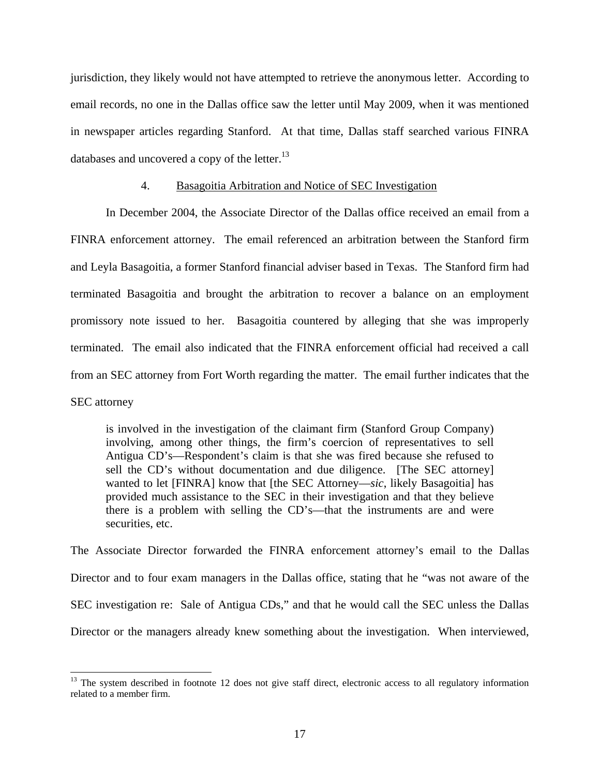jurisdiction, they likely would not have attempted to retrieve the anonymous letter. According to email records, no one in the Dallas office saw the letter until May 2009, when it was mentioned in newspaper articles regarding Stanford. At that time, Dallas staff searched various FINRA databases and uncovered a copy of the letter. $^{13}$ 

### 4. Basagoitia Arbitration and Notice of SEC Investigation

In December 2004, the Associate Director of the Dallas office received an email from a FINRA enforcement attorney. The email referenced an arbitration between the Stanford firm and Leyla Basagoitia, a former Stanford financial adviser based in Texas. The Stanford firm had terminated Basagoitia and brought the arbitration to recover a balance on an employment promissory note issued to her. Basagoitia countered by alleging that she was improperly terminated. The email also indicated that the FINRA enforcement official had received a call from an SEC attorney from Fort Worth regarding the matter. The email further indicates that the SEC attorney

is involved in the investigation of the claimant firm (Stanford Group Company) involving, among other things, the firm's coercion of representatives to sell Antigua CD's—Respondent's claim is that she was fired because she refused to sell the CD's without documentation and due diligence. [The SEC attorney] wanted to let [FINRA] know that [the SEC Attorney—*sic*, likely Basagoitia] has provided much assistance to the SEC in their investigation and that they believe there is a problem with selling the CD's—that the instruments are and were securities, etc.

The Associate Director forwarded the FINRA enforcement attorney's email to the Dallas Director and to four exam managers in the Dallas office, stating that he "was not aware of the SEC investigation re: Sale of Antigua CDs," and that he would call the SEC unless the Dallas Director or the managers already knew something about the investigation. When interviewed,

 $13$  The system described in footnote 12 does not give staff direct, electronic access to all regulatory information related to a member firm.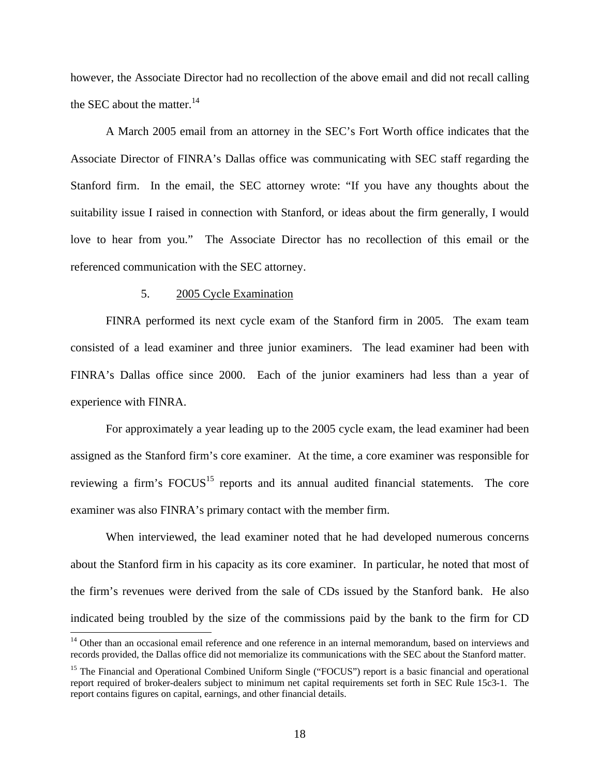however, the Associate Director had no recollection of the above email and did not recall calling the SEC about the matter. $^{14}$ 

A March 2005 email from an attorney in the SEC's Fort Worth office indicates that the Associate Director of FINRA's Dallas office was communicating with SEC staff regarding the Stanford firm. In the email, the SEC attorney wrote: "If you have any thoughts about the suitability issue I raised in connection with Stanford, or ideas about the firm generally, I would love to hear from you." The Associate Director has no recollection of this email or the referenced communication with the SEC attorney.

### 5. 2005 Cycle Examination

FINRA performed its next cycle exam of the Stanford firm in 2005. The exam team consisted of a lead examiner and three junior examiners. The lead examiner had been with FINRA's Dallas office since 2000. Each of the junior examiners had less than a year of experience with FINRA.

For approximately a year leading up to the 2005 cycle exam, the lead examiner had been assigned as the Stanford firm's core examiner. At the time, a core examiner was responsible for reviewing a firm's FOCUS<sup>15</sup> reports and its annual audited financial statements. The core examiner was also FINRA's primary contact with the member firm.

When interviewed, the lead examiner noted that he had developed numerous concerns about the Stanford firm in his capacity as its core examiner. In particular, he noted that most of the firm's revenues were derived from the sale of CDs issued by the Stanford bank. He also indicated being troubled by the size of the commissions paid by the bank to the firm for CD

<sup>&</sup>lt;sup>14</sup> Other than an occasional email reference and one reference in an internal memorandum, based on interviews and records provided, the Dallas office did not memorialize its communications with the SEC about the Stanford matter.

<sup>&</sup>lt;sup>15</sup> The Financial and Operational Combined Uniform Single ("FOCUS") report is a basic financial and operational report required of broker-dealers subject to minimum net capital requirements set forth in SEC Rule 15c3-1. The report contains figures on capital, earnings, and other financial details.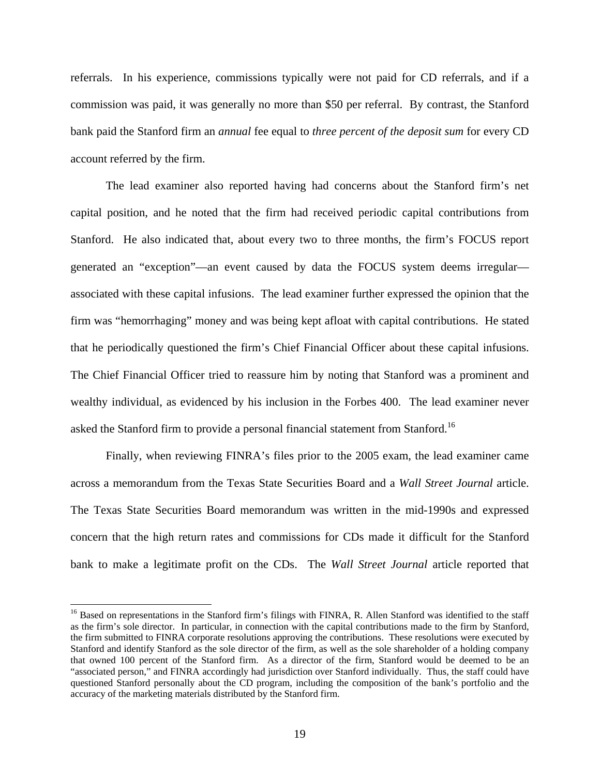referrals. In his experience, commissions typically were not paid for CD referrals, and if a commission was paid, it was generally no more than \$50 per referral. By contrast, the Stanford bank paid the Stanford firm an *annual* fee equal to *three percent of the deposit sum* for every CD account referred by the firm.

The lead examiner also reported having had concerns about the Stanford firm's net capital position, and he noted that the firm had received periodic capital contributions from Stanford. He also indicated that, about every two to three months, the firm's FOCUS report generated an "exception"—an event caused by data the FOCUS system deems irregular associated with these capital infusions. The lead examiner further expressed the opinion that the firm was "hemorrhaging" money and was being kept afloat with capital contributions. He stated that he periodically questioned the firm's Chief Financial Officer about these capital infusions. The Chief Financial Officer tried to reassure him by noting that Stanford was a prominent and wealthy individual, as evidenced by his inclusion in the Forbes 400. The lead examiner never asked the Stanford firm to provide a personal financial statement from Stanford.<sup>16</sup>

Finally, when reviewing FINRA's files prior to the 2005 exam, the lead examiner came across a memorandum from the Texas State Securities Board and a *Wall Street Journal* article. The Texas State Securities Board memorandum was written in the mid-1990s and expressed concern that the high return rates and commissions for CDs made it difficult for the Stanford bank to make a legitimate profit on the CDs. The *Wall Street Journal* article reported that

<sup>&</sup>lt;sup>16</sup> Based on representations in the Stanford firm's filings with FINRA, R. Allen Stanford was identified to the staff as the firm's sole director. In particular, in connection with the capital contributions made to the firm by Stanford, the firm submitted to FINRA corporate resolutions approving the contributions. These resolutions were executed by Stanford and identify Stanford as the sole director of the firm, as well as the sole shareholder of a holding company that owned 100 percent of the Stanford firm. As a director of the firm, Stanford would be deemed to be an "associated person," and FINRA accordingly had jurisdiction over Stanford individually. Thus, the staff could have questioned Stanford personally about the CD program, including the composition of the bank's portfolio and the accuracy of the marketing materials distributed by the Stanford firm.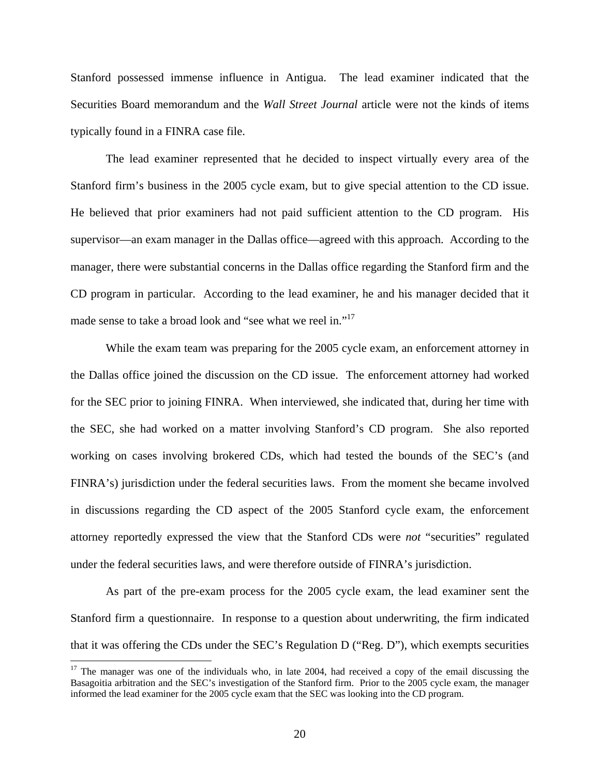Stanford possessed immense influence in Antigua. The lead examiner indicated that the Securities Board memorandum and the *Wall Street Journal* article were not the kinds of items typically found in a FINRA case file.

The lead examiner represented that he decided to inspect virtually every area of the Stanford firm's business in the 2005 cycle exam, but to give special attention to the CD issue. He believed that prior examiners had not paid sufficient attention to the CD program. His supervisor—an exam manager in the Dallas office—agreed with this approach. According to the manager, there were substantial concerns in the Dallas office regarding the Stanford firm and the CD program in particular. According to the lead examiner, he and his manager decided that it made sense to take a broad look and "see what we reel in."<sup>17</sup>

While the exam team was preparing for the 2005 cycle exam, an enforcement attorney in the Dallas office joined the discussion on the CD issue. The enforcement attorney had worked for the SEC prior to joining FINRA. When interviewed, she indicated that, during her time with the SEC, she had worked on a matter involving Stanford's CD program. She also reported working on cases involving brokered CDs, which had tested the bounds of the SEC's (and FINRA's) jurisdiction under the federal securities laws. From the moment she became involved in discussions regarding the CD aspect of the 2005 Stanford cycle exam, the enforcement attorney reportedly expressed the view that the Stanford CDs were *not* "securities" regulated under the federal securities laws, and were therefore outside of FINRA's jurisdiction.

As part of the pre-exam process for the 2005 cycle exam, the lead examiner sent the Stanford firm a questionnaire. In response to a question about underwriting, the firm indicated that it was offering the CDs under the SEC's Regulation D ("Reg. D"), which exempts securities

<sup>&</sup>lt;sup>17</sup> The manager was one of the individuals who, in late 2004, had received a copy of the email discussing the Basagoitia arbitration and the SEC's investigation of the Stanford firm. Prior to the 2005 cycle exam, the manager informed the lead examiner for the 2005 cycle exam that the SEC was looking into the CD program.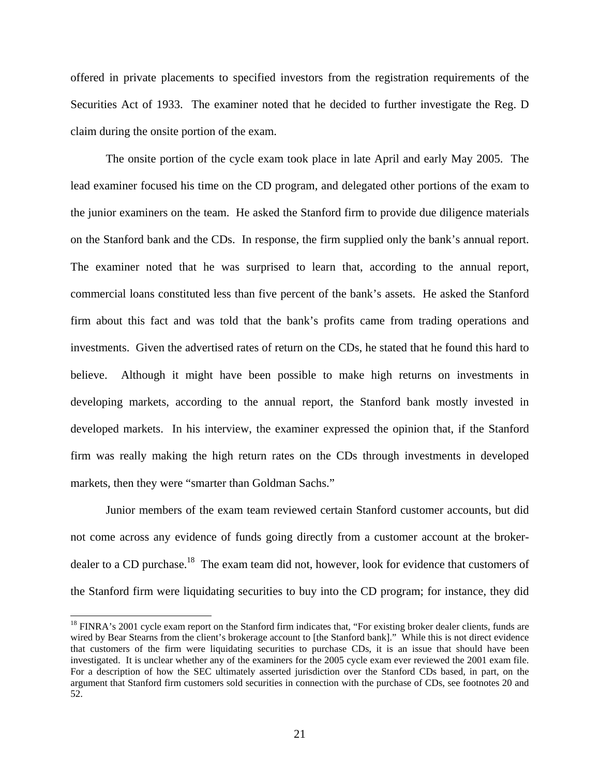offered in private placements to specified investors from the registration requirements of the Securities Act of 1933. The examiner noted that he decided to further investigate the Reg. D claim during the onsite portion of the exam.

The onsite portion of the cycle exam took place in late April and early May 2005. The lead examiner focused his time on the CD program, and delegated other portions of the exam to the junior examiners on the team. He asked the Stanford firm to provide due diligence materials on the Stanford bank and the CDs. In response, the firm supplied only the bank's annual report. The examiner noted that he was surprised to learn that, according to the annual report, commercial loans constituted less than five percent of the bank's assets. He asked the Stanford firm about this fact and was told that the bank's profits came from trading operations and investments. Given the advertised rates of return on the CDs, he stated that he found this hard to believe. Although it might have been possible to make high returns on investments in developing markets, according to the annual report, the Stanford bank mostly invested in developed markets. In his interview, the examiner expressed the opinion that, if the Stanford firm was really making the high return rates on the CDs through investments in developed markets, then they were "smarter than Goldman Sachs."

Junior members of the exam team reviewed certain Stanford customer accounts, but did not come across any evidence of funds going directly from a customer account at the brokerdealer to a CD purchase.<sup>18</sup> The exam team did not, however, look for evidence that customers of the Stanford firm were liquidating securities to buy into the CD program; for instance, they did

 $18$  FINRA's 2001 cycle exam report on the Stanford firm indicates that, "For existing broker dealer clients, funds are wired by Bear Stearns from the client's brokerage account to [the Stanford bank]." While this is not direct evidence that customers of the firm were liquidating securities to purchase CDs, it is an issue that should have been investigated. It is unclear whether any of the examiners for the 2005 cycle exam ever reviewed the 2001 exam file. For a description of how the SEC ultimately asserted jurisdiction over the Stanford CDs based, in part, on the argument that Stanford firm customers sold securities in connection with the purchase of CDs, see footnotes 20 and 52.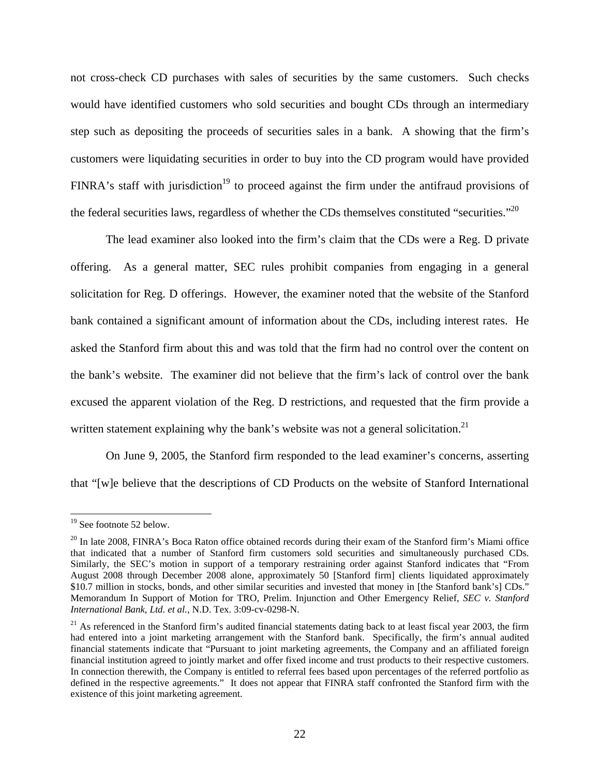not cross-check CD purchases with sales of securities by the same customers. Such checks would have identified customers who sold securities and bought CDs through an intermediary step such as depositing the proceeds of securities sales in a bank. A showing that the firm's customers were liquidating securities in order to buy into the CD program would have provided FINRA's staff with jurisdiction<sup>19</sup> to proceed against the firm under the antifraud provisions of the federal securities laws, regardless of whether the CDs themselves constituted "securities."20

The lead examiner also looked into the firm's claim that the CDs were a Reg. D private offering. As a general matter, SEC rules prohibit companies from engaging in a general solicitation for Reg. D offerings. However, the examiner noted that the website of the Stanford bank contained a significant amount of information about the CDs, including interest rates. He asked the Stanford firm about this and was told that the firm had no control over the content on the bank's website. The examiner did not believe that the firm's lack of control over the bank excused the apparent violation of the Reg. D restrictions, and requested that the firm provide a written statement explaining why the bank's website was not a general solicitation.<sup>21</sup>

On June 9, 2005, the Stanford firm responded to the lead examiner's concerns, asserting that "[w]e believe that the descriptions of CD Products on the website of Stanford International

 $19$  See footnote 52 below.

 $20$  In late 2008, FINRA's Boca Raton office obtained records during their exam of the Stanford firm's Miami office that indicated that a number of Stanford firm customers sold securities and simultaneously purchased CDs. Similarly, the SEC's motion in support of a temporary restraining order against Stanford indicates that "From August 2008 through December 2008 alone, approximately 50 [Stanford firm] clients liquidated approximately \$10.7 million in stocks, bonds, and other similar securities and invested that money in [the Stanford bank's] CDs." Memorandum In Support of Motion for TRO, Prelim. Injunction and Other Emergency Relief, *SEC v. Stanford International Bank, Ltd. et al.*, N.D. Tex. 3:09-cv-0298-N.

 $21$  As referenced in the Stanford firm's audited financial statements dating back to at least fiscal year 2003, the firm had entered into a joint marketing arrangement with the Stanford bank. Specifically, the firm's annual audited financial statements indicate that "Pursuant to joint marketing agreements, the Company and an affiliated foreign financial institution agreed to jointly market and offer fixed income and trust products to their respective customers. In connection therewith, the Company is entitled to referral fees based upon percentages of the referred portfolio as defined in the respective agreements." It does not appear that FINRA staff confronted the Stanford firm with the existence of this joint marketing agreement.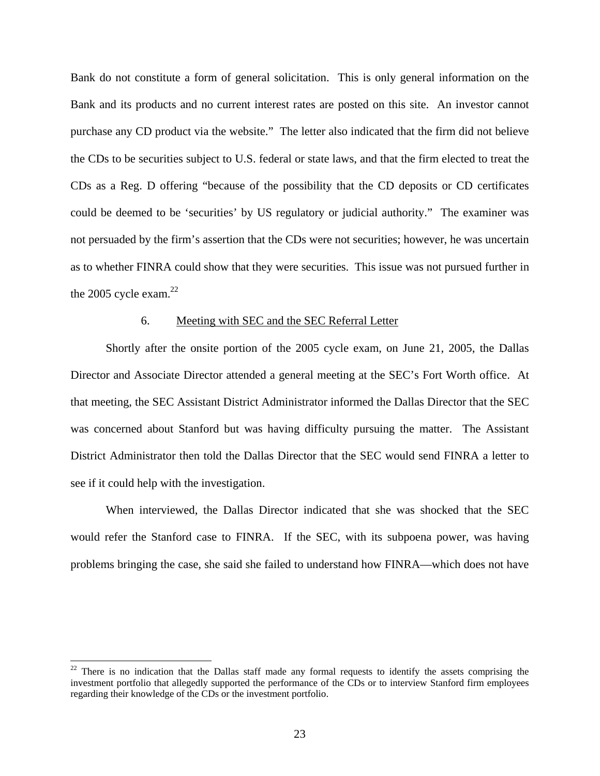Bank do not constitute a form of general solicitation. This is only general information on the Bank and its products and no current interest rates are posted on this site. An investor cannot purchase any CD product via the website." The letter also indicated that the firm did not believe the CDs to be securities subject to U.S. federal or state laws, and that the firm elected to treat the CDs as a Reg. D offering "because of the possibility that the CD deposits or CD certificates could be deemed to be 'securities' by US regulatory or judicial authority." The examiner was not persuaded by the firm's assertion that the CDs were not securities; however, he was uncertain as to whether FINRA could show that they were securities. This issue was not pursued further in the 2005 cycle exam. $^{22}$ 

### 6. Meeting with SEC and the SEC Referral Letter

Shortly after the onsite portion of the 2005 cycle exam, on June 21, 2005, the Dallas Director and Associate Director attended a general meeting at the SEC's Fort Worth office. At that meeting, the SEC Assistant District Administrator informed the Dallas Director that the SEC was concerned about Stanford but was having difficulty pursuing the matter. The Assistant District Administrator then told the Dallas Director that the SEC would send FINRA a letter to see if it could help with the investigation.

When interviewed, the Dallas Director indicated that she was shocked that the SEC would refer the Stanford case to FINRA. If the SEC, with its subpoena power, was having problems bringing the case, she said she failed to understand how FINRA—which does not have

 $22$  There is no indication that the Dallas staff made any formal requests to identify the assets comprising the investment portfolio that allegedly supported the performance of the CDs or to interview Stanford firm employees regarding their knowledge of the CDs or the investment portfolio.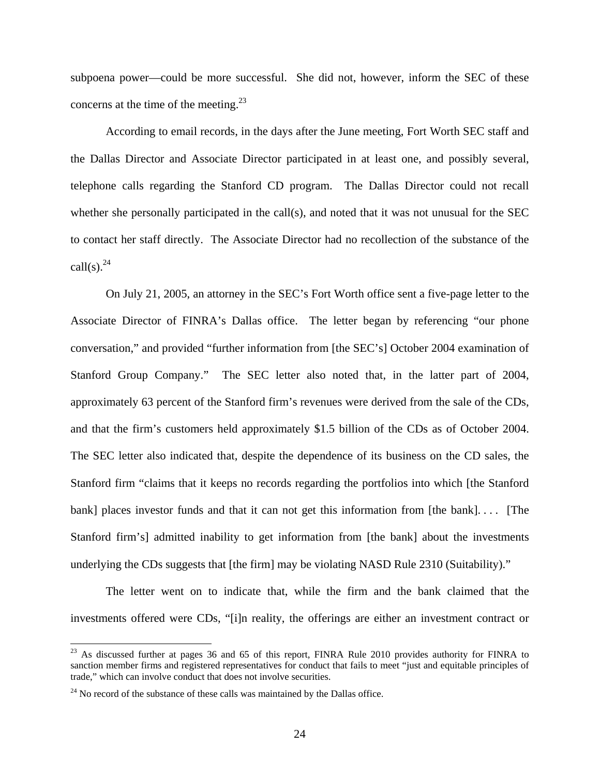subpoena power—could be more successful. She did not, however, inform the SEC of these concerns at the time of the meeting. $23$ 

According to email records, in the days after the June meeting, Fort Worth SEC staff and the Dallas Director and Associate Director participated in at least one, and possibly several, telephone calls regarding the Stanford CD program. The Dallas Director could not recall whether she personally participated in the call(s), and noted that it was not unusual for the SEC to contact her staff directly. The Associate Director had no recollection of the substance of the call $(s)$ <sup>24</sup>

On July 21, 2005, an attorney in the SEC's Fort Worth office sent a five-page letter to the Associate Director of FINRA's Dallas office. The letter began by referencing "our phone conversation," and provided "further information from [the SEC's] October 2004 examination of Stanford Group Company." The SEC letter also noted that, in the latter part of 2004, approximately 63 percent of the Stanford firm's revenues were derived from the sale of the CDs, and that the firm's customers held approximately \$1.5 billion of the CDs as of October 2004. The SEC letter also indicated that, despite the dependence of its business on the CD sales, the Stanford firm "claims that it keeps no records regarding the portfolios into which [the Stanford bank] places investor funds and that it can not get this information from [the bank].... [The Stanford firm's] admitted inability to get information from [the bank] about the investments underlying the CDs suggests that [the firm] may be violating NASD Rule 2310 (Suitability)."

The letter went on to indicate that, while the firm and the bank claimed that the investments offered were CDs, "[i]n reality, the offerings are either an investment contract or

 $^{23}$  As discussed further at pages 36 and 65 of this report, FINRA Rule 2010 provides authority for FINRA to sanction member firms and registered representatives for conduct that fails to meet "just and equitable principles of trade," which can involve conduct that does not involve securities.

 $24$  No record of the substance of these calls was maintained by the Dallas office.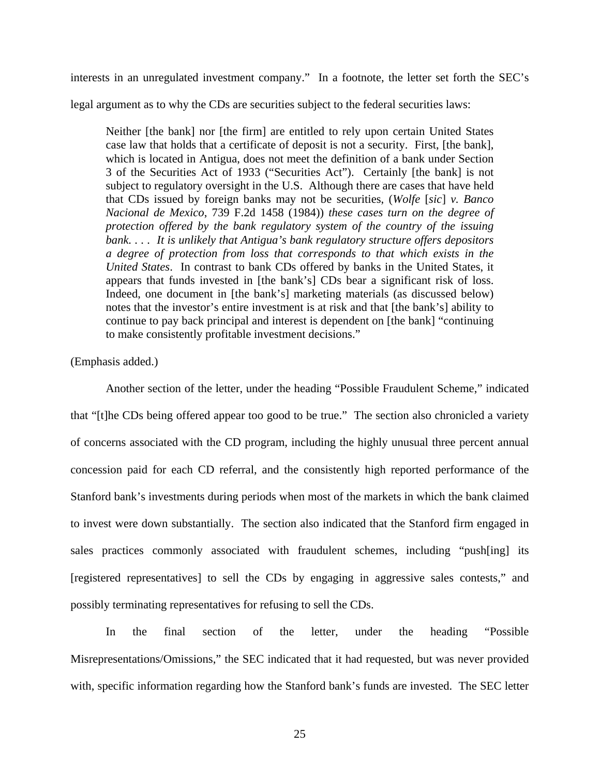interests in an unregulated investment company." In a footnote, the letter set forth the SEC's

legal argument as to why the CDs are securities subject to the federal securities laws:

Neither [the bank] nor [the firm] are entitled to rely upon certain United States case law that holds that a certificate of deposit is not a security. First, [the bank], which is located in Antigua, does not meet the definition of a bank under Section 3 of the Securities Act of 1933 ("Securities Act"). Certainly [the bank] is not subject to regulatory oversight in the U.S. Although there are cases that have held that CDs issued by foreign banks may not be securities, (*Wolfe* [*sic*] *v. Banco Nacional de Mexico*, 739 F.2d 1458 (1984)) *these cases turn on the degree of protection offered by the bank regulatory system of the country of the issuing bank. . . . It is unlikely that Antigua's bank regulatory structure offers depositors a degree of protection from loss that corresponds to that which exists in the United States*. In contrast to bank CDs offered by banks in the United States, it appears that funds invested in [the bank's] CDs bear a significant risk of loss. Indeed, one document in [the bank's] marketing materials (as discussed below) notes that the investor's entire investment is at risk and that [the bank's] ability to continue to pay back principal and interest is dependent on [the bank] "continuing to make consistently profitable investment decisions."

### (Emphasis added.)

Another section of the letter, under the heading "Possible Fraudulent Scheme," indicated that "[t]he CDs being offered appear too good to be true." The section also chronicled a variety of concerns associated with the CD program, including the highly unusual three percent annual concession paid for each CD referral, and the consistently high reported performance of the Stanford bank's investments during periods when most of the markets in which the bank claimed to invest were down substantially. The section also indicated that the Stanford firm engaged in sales practices commonly associated with fraudulent schemes, including "push[ing] its [registered representatives] to sell the CDs by engaging in aggressive sales contests," and possibly terminating representatives for refusing to sell the CDs.

In the final section of the letter, under the heading "Possible Misrepresentations/Omissions," the SEC indicated that it had requested, but was never provided with, specific information regarding how the Stanford bank's funds are invested. The SEC letter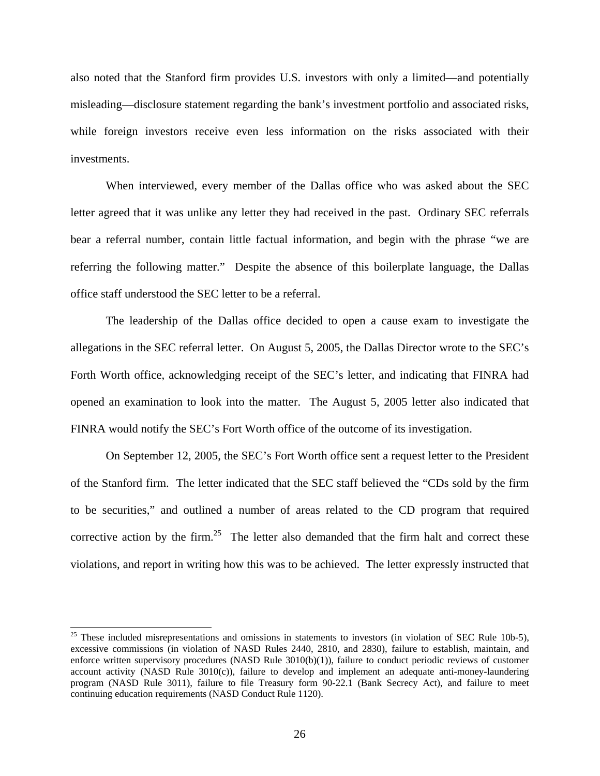also noted that the Stanford firm provides U.S. investors with only a limited—and potentially misleading—disclosure statement regarding the bank's investment portfolio and associated risks, while foreign investors receive even less information on the risks associated with their investments.

When interviewed, every member of the Dallas office who was asked about the SEC letter agreed that it was unlike any letter they had received in the past. Ordinary SEC referrals bear a referral number, contain little factual information, and begin with the phrase "we are referring the following matter." Despite the absence of this boilerplate language, the Dallas office staff understood the SEC letter to be a referral.

The leadership of the Dallas office decided to open a cause exam to investigate the allegations in the SEC referral letter. On August 5, 2005, the Dallas Director wrote to the SEC's Forth Worth office, acknowledging receipt of the SEC's letter, and indicating that FINRA had opened an examination to look into the matter. The August 5, 2005 letter also indicated that FINRA would notify the SEC's Fort Worth office of the outcome of its investigation.

On September 12, 2005, the SEC's Fort Worth office sent a request letter to the President of the Stanford firm. The letter indicated that the SEC staff believed the "CDs sold by the firm to be securities," and outlined a number of areas related to the CD program that required corrective action by the firm.<sup>25</sup> The letter also demanded that the firm halt and correct these violations, and report in writing how this was to be achieved. The letter expressly instructed that

 $25$  These included misrepresentations and omissions in statements to investors (in violation of SEC Rule 10b-5), excessive commissions (in violation of NASD Rules 2440, 2810, and 2830), failure to establish, maintain, and enforce written supervisory procedures (NASD Rule  $3010(b)(1)$ ), failure to conduct periodic reviews of customer account activity (NASD Rule 3010(c)), failure to develop and implement an adequate anti-money-laundering program (NASD Rule 3011), failure to file Treasury form 90-22.1 (Bank Secrecy Act), and failure to meet continuing education requirements (NASD Conduct Rule 1120).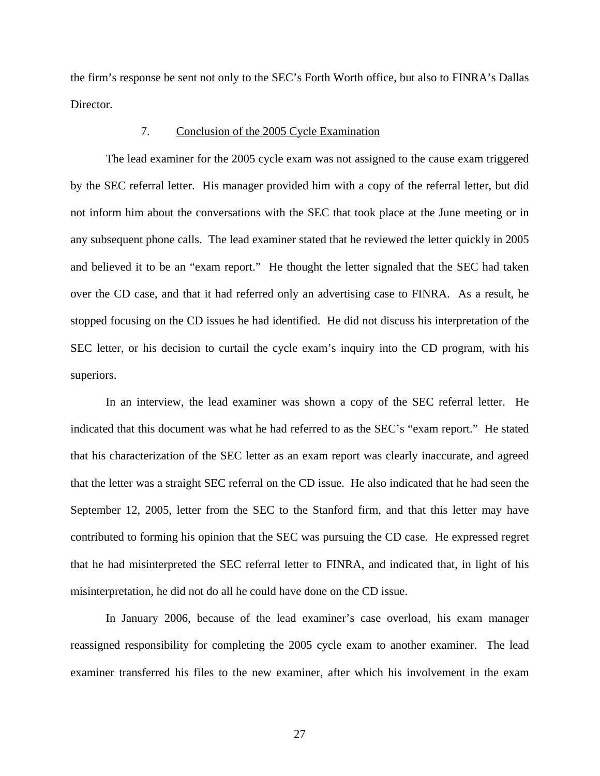the firm's response be sent not only to the SEC's Forth Worth office, but also to FINRA's Dallas Director.

### 7. Conclusion of the 2005 Cycle Examination

The lead examiner for the 2005 cycle exam was not assigned to the cause exam triggered by the SEC referral letter. His manager provided him with a copy of the referral letter, but did not inform him about the conversations with the SEC that took place at the June meeting or in any subsequent phone calls. The lead examiner stated that he reviewed the letter quickly in 2005 and believed it to be an "exam report." He thought the letter signaled that the SEC had taken over the CD case, and that it had referred only an advertising case to FINRA. As a result, he stopped focusing on the CD issues he had identified. He did not discuss his interpretation of the SEC letter, or his decision to curtail the cycle exam's inquiry into the CD program, with his superiors.

In an interview, the lead examiner was shown a copy of the SEC referral letter. He indicated that this document was what he had referred to as the SEC's "exam report." He stated that his characterization of the SEC letter as an exam report was clearly inaccurate, and agreed that the letter was a straight SEC referral on the CD issue. He also indicated that he had seen the September 12, 2005, letter from the SEC to the Stanford firm, and that this letter may have contributed to forming his opinion that the SEC was pursuing the CD case. He expressed regret that he had misinterpreted the SEC referral letter to FINRA, and indicated that, in light of his misinterpretation, he did not do all he could have done on the CD issue.

In January 2006, because of the lead examiner's case overload, his exam manager reassigned responsibility for completing the 2005 cycle exam to another examiner. The lead examiner transferred his files to the new examiner, after which his involvement in the exam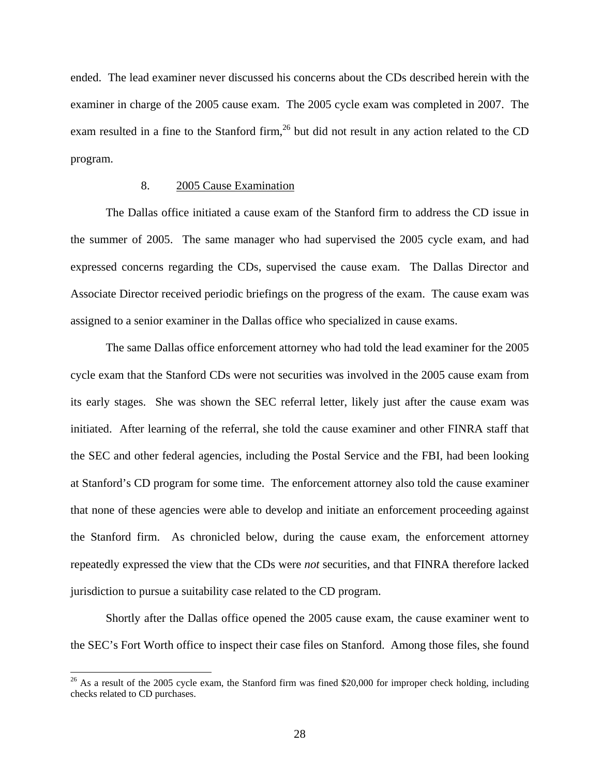ended. The lead examiner never discussed his concerns about the CDs described herein with the examiner in charge of the 2005 cause exam. The 2005 cycle exam was completed in 2007. The exam resulted in a fine to the Stanford firm,  $26$  but did not result in any action related to the CD program.

### 8. 2005 Cause Examination

The Dallas office initiated a cause exam of the Stanford firm to address the CD issue in the summer of 2005. The same manager who had supervised the 2005 cycle exam, and had expressed concerns regarding the CDs, supervised the cause exam. The Dallas Director and Associate Director received periodic briefings on the progress of the exam. The cause exam was assigned to a senior examiner in the Dallas office who specialized in cause exams.

The same Dallas office enforcement attorney who had told the lead examiner for the 2005 cycle exam that the Stanford CDs were not securities was involved in the 2005 cause exam from its early stages. She was shown the SEC referral letter, likely just after the cause exam was initiated. After learning of the referral, she told the cause examiner and other FINRA staff that the SEC and other federal agencies, including the Postal Service and the FBI, had been looking at Stanford's CD program for some time. The enforcement attorney also told the cause examiner that none of these agencies were able to develop and initiate an enforcement proceeding against the Stanford firm. As chronicled below, during the cause exam, the enforcement attorney repeatedly expressed the view that the CDs were *not* securities, and that FINRA therefore lacked jurisdiction to pursue a suitability case related to the CD program.

Shortly after the Dallas office opened the 2005 cause exam, the cause examiner went to the SEC's Fort Worth office to inspect their case files on Stanford. Among those files, she found

 $^{26}$  As a result of the 2005 cycle exam, the Stanford firm was fined \$20,000 for improper check holding, including checks related to CD purchases.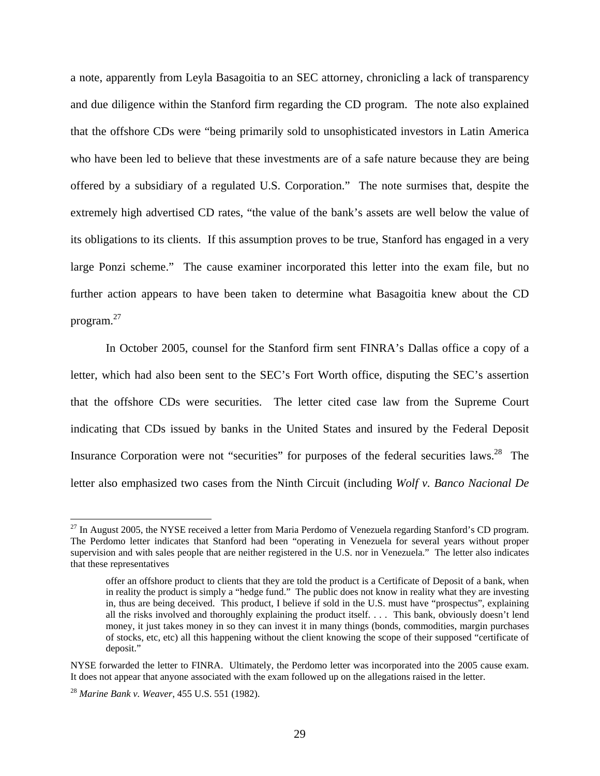a note, apparently from Leyla Basagoitia to an SEC attorney, chronicling a lack of transparency and due diligence within the Stanford firm regarding the CD program. The note also explained that the offshore CDs were "being primarily sold to unsophisticated investors in Latin America who have been led to believe that these investments are of a safe nature because they are being offered by a subsidiary of a regulated U.S. Corporation." The note surmises that, despite the extremely high advertised CD rates, "the value of the bank's assets are well below the value of its obligations to its clients. If this assumption proves to be true, Stanford has engaged in a very large Ponzi scheme." The cause examiner incorporated this letter into the exam file, but no further action appears to have been taken to determine what Basagoitia knew about the CD program.<sup>27</sup>

In October 2005, counsel for the Stanford firm sent FINRA's Dallas office a copy of a letter, which had also been sent to the SEC's Fort Worth office, disputing the SEC's assertion that the offshore CDs were securities. The letter cited case law from the Supreme Court indicating that CDs issued by banks in the United States and insured by the Federal Deposit Insurance Corporation were not "securities" for purposes of the federal securities laws.<sup>28</sup> The letter also emphasized two cases from the Ninth Circuit (including *Wolf v. Banco Nacional De* 

 $^{27}$  In August 2005, the NYSE received a letter from Maria Perdomo of Venezuela regarding Stanford's CD program. The Perdomo letter indicates that Stanford had been "operating in Venezuela for several years without proper supervision and with sales people that are neither registered in the U.S. nor in Venezuela." The letter also indicates that these representatives

offer an offshore product to clients that they are told the product is a Certificate of Deposit of a bank, when in reality the product is simply a "hedge fund." The public does not know in reality what they are investing in, thus are being deceived. This product, I believe if sold in the U.S. must have "prospectus", explaining all the risks involved and thoroughly explaining the product itself. . . . This bank, obviously doesn't lend money, it just takes money in so they can invest it in many things (bonds, commodities, margin purchases of stocks, etc, etc) all this happening without the client knowing the scope of their supposed "certificate of deposit."

NYSE forwarded the letter to FINRA. Ultimately, the Perdomo letter was incorporated into the 2005 cause exam. It does not appear that anyone associated with the exam followed up on the allegations raised in the letter.

<sup>28</sup> *Marine Bank v. Weaver*, 455 U.S. 551 (1982).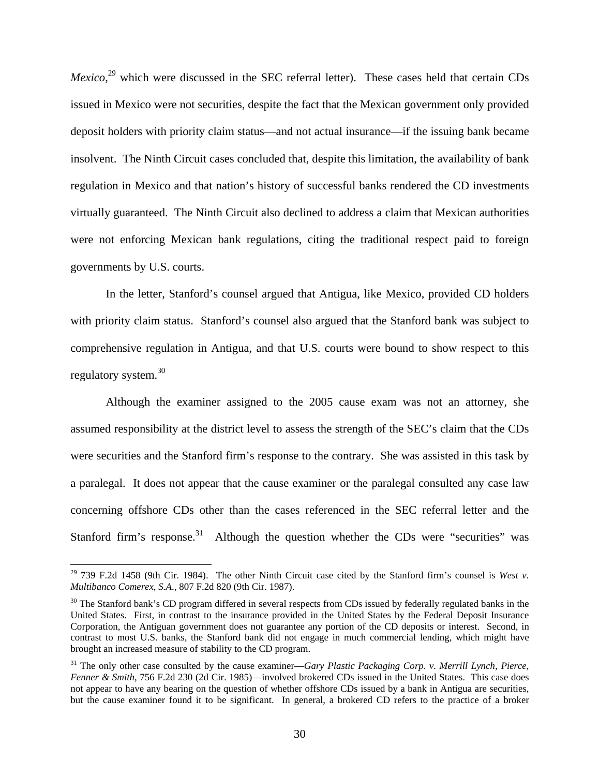*Mexico*,<sup>29</sup> which were discussed in the SEC referral letter). These cases held that certain CDs issued in Mexico were not securities, despite the fact that the Mexican government only provided deposit holders with priority claim status—and not actual insurance—if the issuing bank became insolvent. The Ninth Circuit cases concluded that, despite this limitation, the availability of bank regulation in Mexico and that nation's history of successful banks rendered the CD investments virtually guaranteed. The Ninth Circuit also declined to address a claim that Mexican authorities were not enforcing Mexican bank regulations, citing the traditional respect paid to foreign governments by U.S. courts.

In the letter, Stanford's counsel argued that Antigua, like Mexico, provided CD holders with priority claim status. Stanford's counsel also argued that the Stanford bank was subject to comprehensive regulation in Antigua, and that U.S. courts were bound to show respect to this regulatory system.<sup>30</sup>

Although the examiner assigned to the 2005 cause exam was not an attorney, she assumed responsibility at the district level to assess the strength of the SEC's claim that the CDs were securities and the Stanford firm's response to the contrary. She was assisted in this task by a paralegal. It does not appear that the cause examiner or the paralegal consulted any case law concerning offshore CDs other than the cases referenced in the SEC referral letter and the Stanford firm's response.<sup>31</sup> Although the question whether the CDs were "securities" was

<sup>29 739</sup> F.2d 1458 (9th Cir. 1984). The other Ninth Circuit case cited by the Stanford firm's counsel is *West v. Multibanco Comerex, S.A*., 807 F.2d 820 (9th Cir. 1987).

<sup>&</sup>lt;sup>30</sup> The Stanford bank's CD program differed in several respects from CDs issued by federally regulated banks in the United States. First, in contrast to the insurance provided in the United States by the Federal Deposit Insurance Corporation, the Antiguan government does not guarantee any portion of the CD deposits or interest. Second, in contrast to most U.S. banks, the Stanford bank did not engage in much commercial lending, which might have brought an increased measure of stability to the CD program.

<sup>&</sup>lt;sup>31</sup> The only other case consulted by the cause examiner—*Gary Plastic Packaging Corp. v. Merrill Lynch, Pierce, Fenner & Smith*, 756 F.2d 230 (2d Cir. 1985)—involved brokered CDs issued in the United States. This case does not appear to have any bearing on the question of whether offshore CDs issued by a bank in Antigua are securities, but the cause examiner found it to be significant. In general, a brokered CD refers to the practice of a broker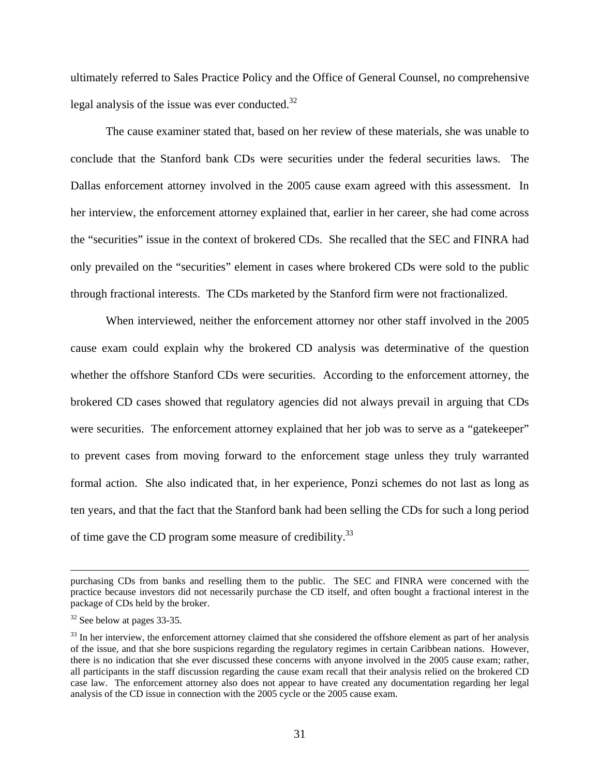ultimately referred to Sales Practice Policy and the Office of General Counsel, no comprehensive legal analysis of the issue was ever conducted.<sup>32</sup>

The cause examiner stated that, based on her review of these materials, she was unable to conclude that the Stanford bank CDs were securities under the federal securities laws. The Dallas enforcement attorney involved in the 2005 cause exam agreed with this assessment. In her interview, the enforcement attorney explained that, earlier in her career, she had come across the "securities" issue in the context of brokered CDs. She recalled that the SEC and FINRA had only prevailed on the "securities" element in cases where brokered CDs were sold to the public through fractional interests. The CDs marketed by the Stanford firm were not fractionalized.

When interviewed, neither the enforcement attorney nor other staff involved in the 2005 cause exam could explain why the brokered CD analysis was determinative of the question whether the offshore Stanford CDs were securities. According to the enforcement attorney, the brokered CD cases showed that regulatory agencies did not always prevail in arguing that CDs were securities. The enforcement attorney explained that her job was to serve as a "gatekeeper" to prevent cases from moving forward to the enforcement stage unless they truly warranted formal action. She also indicated that, in her experience, Ponzi schemes do not last as long as ten years, and that the fact that the Stanford bank had been selling the CDs for such a long period of time gave the CD program some measure of credibility.<sup>33</sup>

purchasing CDs from banks and reselling them to the public. The SEC and FINRA were concerned with the practice because investors did not necessarily purchase the CD itself, and often bought a fractional interest in the package of CDs held by the broker.

<sup>&</sup>lt;sup>32</sup> See below at pages 33-35.

 $33$  In her interview, the enforcement attorney claimed that she considered the offshore element as part of her analysis of the issue, and that she bore suspicions regarding the regulatory regimes in certain Caribbean nations. However, there is no indication that she ever discussed these concerns with anyone involved in the 2005 cause exam; rather, all participants in the staff discussion regarding the cause exam recall that their analysis relied on the brokered CD case law. The enforcement attorney also does not appear to have created any documentation regarding her legal analysis of the CD issue in connection with the 2005 cycle or the 2005 cause exam.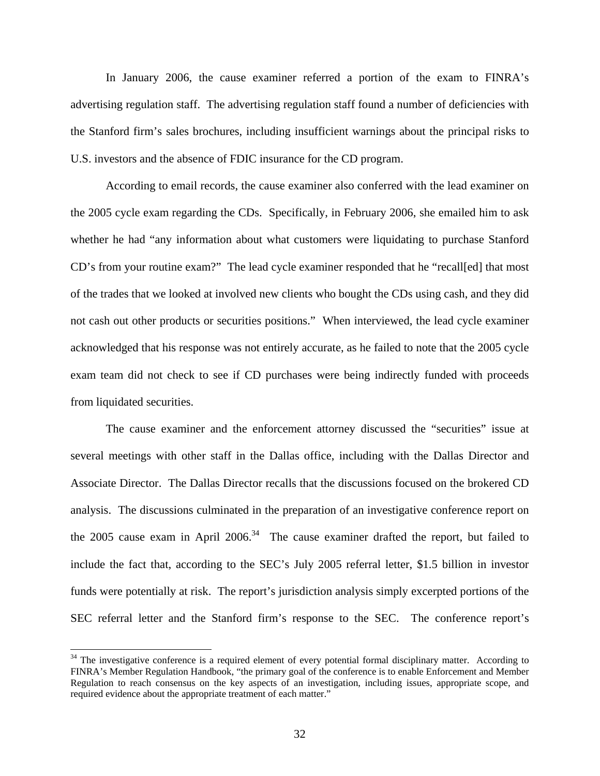In January 2006, the cause examiner referred a portion of the exam to FINRA's advertising regulation staff. The advertising regulation staff found a number of deficiencies with the Stanford firm's sales brochures, including insufficient warnings about the principal risks to U.S. investors and the absence of FDIC insurance for the CD program.

According to email records, the cause examiner also conferred with the lead examiner on the 2005 cycle exam regarding the CDs. Specifically, in February 2006, she emailed him to ask whether he had "any information about what customers were liquidating to purchase Stanford CD's from your routine exam?" The lead cycle examiner responded that he "recall[ed] that most of the trades that we looked at involved new clients who bought the CDs using cash, and they did not cash out other products or securities positions." When interviewed, the lead cycle examiner acknowledged that his response was not entirely accurate, as he failed to note that the 2005 cycle exam team did not check to see if CD purchases were being indirectly funded with proceeds from liquidated securities.

The cause examiner and the enforcement attorney discussed the "securities" issue at several meetings with other staff in the Dallas office, including with the Dallas Director and Associate Director. The Dallas Director recalls that the discussions focused on the brokered CD analysis. The discussions culminated in the preparation of an investigative conference report on the 2005 cause exam in April 2006.<sup>34</sup> The cause examiner drafted the report, but failed to include the fact that, according to the SEC's July 2005 referral letter, \$1.5 billion in investor funds were potentially at risk. The report's jurisdiction analysis simply excerpted portions of the SEC referral letter and the Stanford firm's response to the SEC. The conference report's

<sup>&</sup>lt;sup>34</sup> The investigative conference is a required element of every potential formal disciplinary matter. According to FINRA's Member Regulation Handbook, "the primary goal of the conference is to enable Enforcement and Member Regulation to reach consensus on the key aspects of an investigation, including issues, appropriate scope, and required evidence about the appropriate treatment of each matter."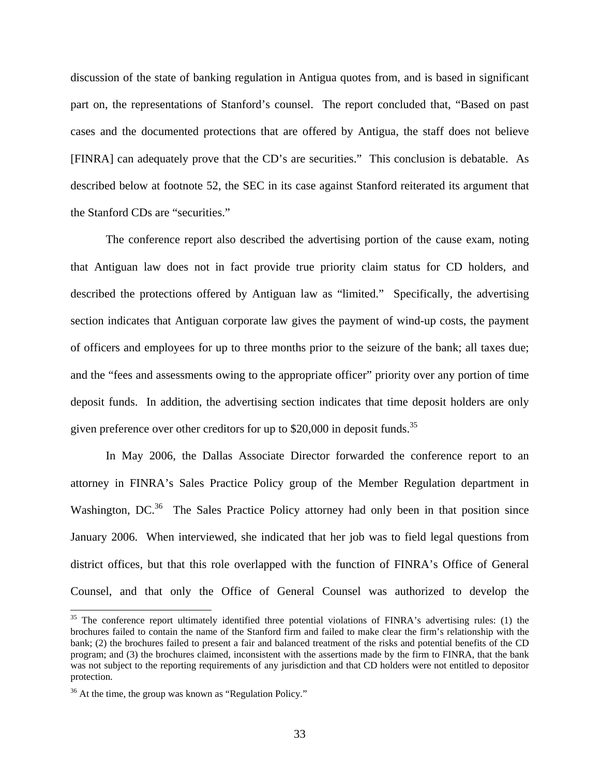discussion of the state of banking regulation in Antigua quotes from, and is based in significant part on, the representations of Stanford's counsel. The report concluded that, "Based on past cases and the documented protections that are offered by Antigua, the staff does not believe [FINRA] can adequately prove that the CD's are securities." This conclusion is debatable. As described below at footnote 52, the SEC in its case against Stanford reiterated its argument that the Stanford CDs are "securities."

The conference report also described the advertising portion of the cause exam, noting that Antiguan law does not in fact provide true priority claim status for CD holders, and described the protections offered by Antiguan law as "limited." Specifically, the advertising section indicates that Antiguan corporate law gives the payment of wind-up costs, the payment of officers and employees for up to three months prior to the seizure of the bank; all taxes due; and the "fees and assessments owing to the appropriate officer" priority over any portion of time deposit funds. In addition, the advertising section indicates that time deposit holders are only given preference over other creditors for up to  $$20,000$  in deposit funds.<sup>35</sup>

In May 2006, the Dallas Associate Director forwarded the conference report to an attorney in FINRA's Sales Practice Policy group of the Member Regulation department in Washington, DC.<sup>36</sup> The Sales Practice Policy attorney had only been in that position since January 2006. When interviewed, she indicated that her job was to field legal questions from district offices, but that this role overlapped with the function of FINRA's Office of General Counsel, and that only the Office of General Counsel was authorized to develop the

<sup>&</sup>lt;sup>35</sup> The conference report ultimately identified three potential violations of FINRA's advertising rules: (1) the brochures failed to contain the name of the Stanford firm and failed to make clear the firm's relationship with the bank; (2) the brochures failed to present a fair and balanced treatment of the risks and potential benefits of the CD program; and (3) the brochures claimed, inconsistent with the assertions made by the firm to FINRA, that the bank was not subject to the reporting requirements of any jurisdiction and that CD holders were not entitled to depositor protection.

 $36$  At the time, the group was known as "Regulation Policy."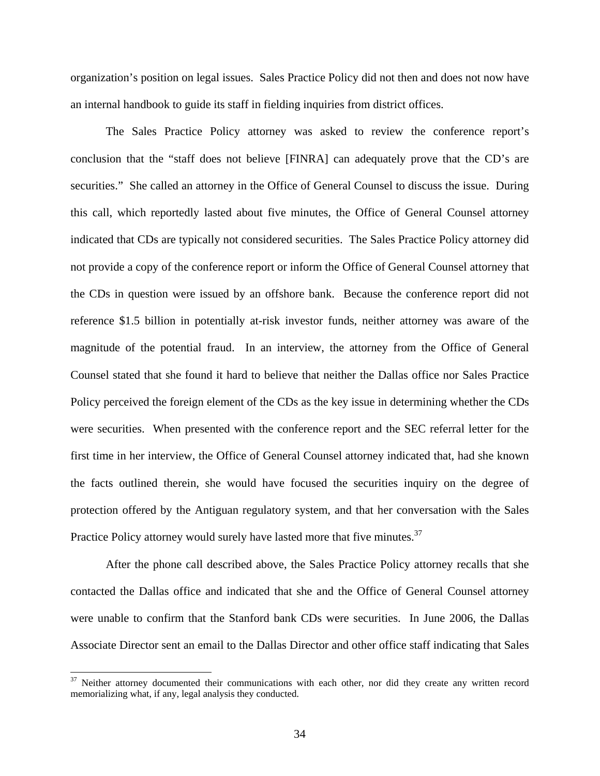organization's position on legal issues. Sales Practice Policy did not then and does not now have an internal handbook to guide its staff in fielding inquiries from district offices.

The Sales Practice Policy attorney was asked to review the conference report's conclusion that the "staff does not believe [FINRA] can adequately prove that the CD's are securities." She called an attorney in the Office of General Counsel to discuss the issue. During this call, which reportedly lasted about five minutes, the Office of General Counsel attorney indicated that CDs are typically not considered securities. The Sales Practice Policy attorney did not provide a copy of the conference report or inform the Office of General Counsel attorney that the CDs in question were issued by an offshore bank. Because the conference report did not reference \$1.5 billion in potentially at-risk investor funds, neither attorney was aware of the magnitude of the potential fraud. In an interview, the attorney from the Office of General Counsel stated that she found it hard to believe that neither the Dallas office nor Sales Practice Policy perceived the foreign element of the CDs as the key issue in determining whether the CDs were securities. When presented with the conference report and the SEC referral letter for the first time in her interview, the Office of General Counsel attorney indicated that, had she known the facts outlined therein, she would have focused the securities inquiry on the degree of protection offered by the Antiguan regulatory system, and that her conversation with the Sales Practice Policy attorney would surely have lasted more that five minutes.<sup>37</sup>

After the phone call described above, the Sales Practice Policy attorney recalls that she contacted the Dallas office and indicated that she and the Office of General Counsel attorney were unable to confirm that the Stanford bank CDs were securities. In June 2006, the Dallas Associate Director sent an email to the Dallas Director and other office staff indicating that Sales

<sup>&</sup>lt;sup>37</sup> Neither attorney documented their communications with each other, nor did they create any written record memorializing what, if any, legal analysis they conducted.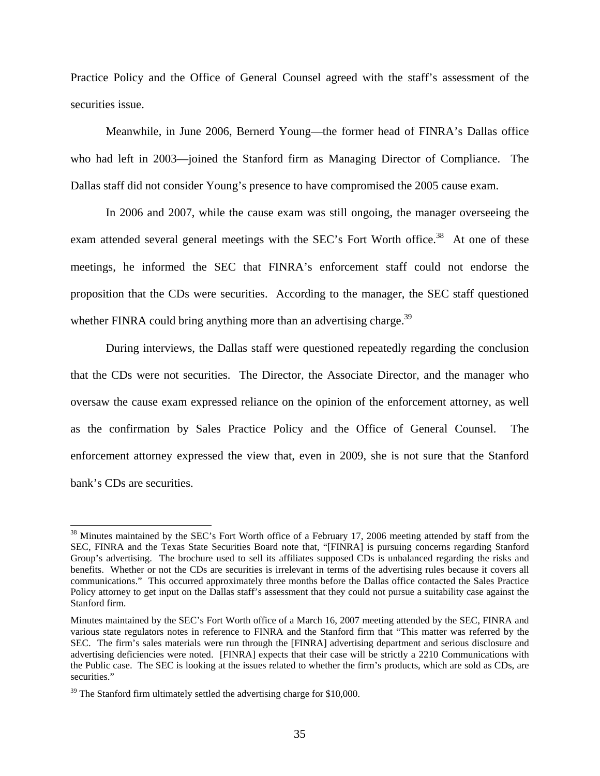Practice Policy and the Office of General Counsel agreed with the staff's assessment of the securities issue.

Meanwhile, in June 2006, Bernerd Young—the former head of FINRA's Dallas office who had left in 2003—joined the Stanford firm as Managing Director of Compliance. The Dallas staff did not consider Young's presence to have compromised the 2005 cause exam.

In 2006 and 2007, while the cause exam was still ongoing, the manager overseeing the exam attended several general meetings with the SEC's Fort Worth office.<sup>38</sup> At one of these meetings, he informed the SEC that FINRA's enforcement staff could not endorse the proposition that the CDs were securities. According to the manager, the SEC staff questioned whether FINRA could bring anything more than an advertising charge.<sup>39</sup>

During interviews, the Dallas staff were questioned repeatedly regarding the conclusion that the CDs were not securities. The Director, the Associate Director, and the manager who oversaw the cause exam expressed reliance on the opinion of the enforcement attorney, as well as the confirmation by Sales Practice Policy and the Office of General Counsel. The enforcement attorney expressed the view that, even in 2009, she is not sure that the Stanford bank's CDs are securities.

<sup>&</sup>lt;sup>38</sup> Minutes maintained by the SEC's Fort Worth office of a February 17, 2006 meeting attended by staff from the SEC, FINRA and the Texas State Securities Board note that, "[FINRA] is pursuing concerns regarding Stanford Group's advertising. The brochure used to sell its affiliates supposed CDs is unbalanced regarding the risks and benefits. Whether or not the CDs are securities is irrelevant in terms of the advertising rules because it covers all communications." This occurred approximately three months before the Dallas office contacted the Sales Practice Policy attorney to get input on the Dallas staff's assessment that they could not pursue a suitability case against the Stanford firm.

Minutes maintained by the SEC's Fort Worth office of a March 16, 2007 meeting attended by the SEC, FINRA and various state regulators notes in reference to FINRA and the Stanford firm that "This matter was referred by the SEC. The firm's sales materials were run through the [FINRA] advertising department and serious disclosure and advertising deficiencies were noted. [FINRA] expects that their case will be strictly a 2210 Communications with the Public case. The SEC is looking at the issues related to whether the firm's products, which are sold as CDs, are securities."

<sup>&</sup>lt;sup>39</sup> The Stanford firm ultimately settled the advertising charge for \$10,000.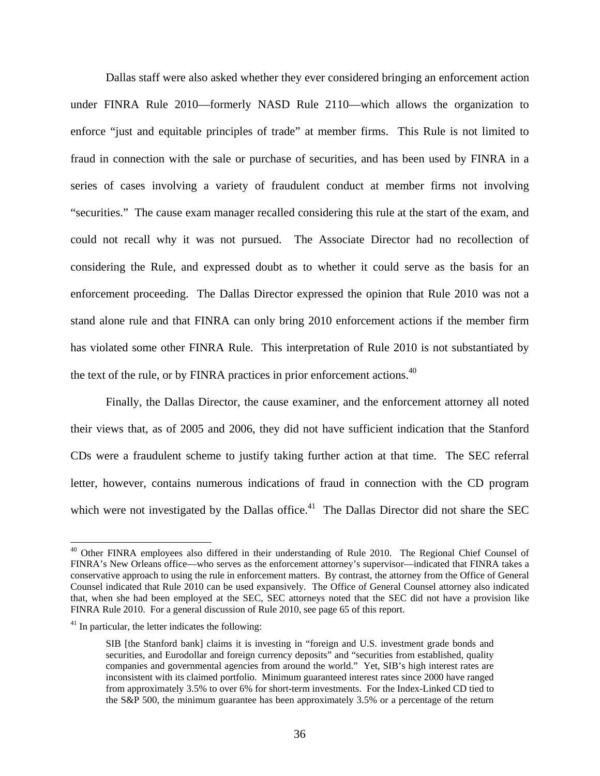Dallas staff were also asked whether they ever considered bringing an enforcement action under FINRA Rule 2010—formerly NASD Rule 2110—which allows the organization to enforce "just and equitable principles of trade" at member firms. This Rule is not limited to fraud in connection with the sale or purchase of securities, and has been used by FINRA in a series of cases involving a variety of fraudulent conduct at member firms not involving "securities." The cause exam manager recalled considering this rule at the start of the exam, and could not recall why it was not pursued. The Associate Director had no recollection of considering the Rule, and expressed doubt as to whether it could serve as the basis for an enforcement proceeding. The Dallas Director expressed the opinion that Rule 2010 was not a stand alone rule and that FINRA can only bring 2010 enforcement actions if the member firm has violated some other FINRA Rule. This interpretation of Rule 2010 is not substantiated by the text of the rule, or by FINRA practices in prior enforcement actions.<sup>40</sup>

Finally, the Dallas Director, the cause examiner, and the enforcement attorney all noted their views that, as of 2005 and 2006, they did not have sufficient indication that the Stanford CDs were a fraudulent scheme to justify taking further action at that time. The SEC referral letter, however, contains numerous indications of fraud in connection with the CD program which were not investigated by the Dallas office.<sup>41</sup> The Dallas Director did not share the SEC

<sup>&</sup>lt;sup>40</sup> Other FINRA employees also differed in their understanding of Rule 2010. The Regional Chief Counsel of FINRA's New Orleans office—who serves as the enforcement attorney's supervisor—indicated that FINRA takes a conservative approach to using the rule in enforcement matters. By contrast, the attorney from the Office of General Counsel indicated that Rule 2010 can be used expansively. The Office of General Counsel attorney also indicated that, when she had been employed at the SEC, SEC attorneys noted that the SEC did not have a provision like FINRA Rule 2010. For a general discussion of Rule 2010, see page 65 of this report.

<sup>&</sup>lt;sup>41</sup> In particular, the letter indicates the following:

SIB [the Stanford bank] claims it is investing in "foreign and U.S. investment grade bonds and securities, and Eurodollar and foreign currency deposits" and "securities from established, quality companies and governmental agencies from around the world." Yet, SIB's high interest rates are inconsistent with its claimed portfolio. Minimum guaranteed interest rates since 2000 have ranged from approximately 3.5% to over 6% for short-term investments. For the Index-Linked CD tied to the S&P 500, the minimum guarantee has been approximately 3.5% or a percentage of the return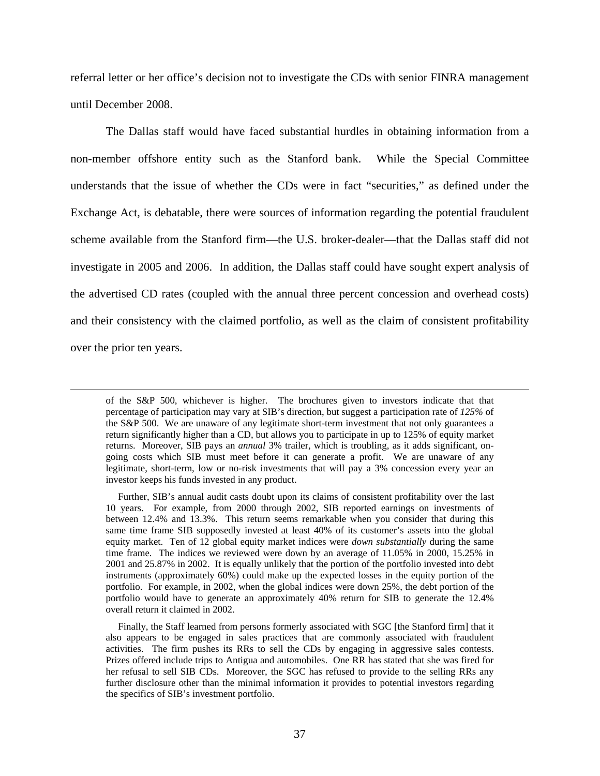referral letter or her office's decision not to investigate the CDs with senior FINRA management until December 2008.

The Dallas staff would have faced substantial hurdles in obtaining information from a non-member offshore entity such as the Stanford bank. While the Special Committee understands that the issue of whether the CDs were in fact "securities," as defined under the Exchange Act, is debatable, there were sources of information regarding the potential fraudulent scheme available from the Stanford firm—the U.S. broker-dealer—that the Dallas staff did not investigate in 2005 and 2006. In addition, the Dallas staff could have sought expert analysis of the advertised CD rates (coupled with the annual three percent concession and overhead costs) and their consistency with the claimed portfolio, as well as the claim of consistent profitability over the prior ten years.

of the S&P 500, whichever is higher. The brochures given to investors indicate that that percentage of participation may vary at SIB's direction, but suggest a participation rate of *125%* of the S&P 500. We are unaware of any legitimate short-term investment that not only guarantees a return significantly higher than a CD, but allows you to participate in up to 125% of equity market returns. Moreover, SIB pays an *annual* 3% trailer, which is troubling, as it adds significant, ongoing costs which SIB must meet before it can generate a profit. We are unaware of any legitimate, short-term, low or no-risk investments that will pay a 3% concession every year an investor keeps his funds invested in any product.

 Further, SIB's annual audit casts doubt upon its claims of consistent profitability over the last 10 years. For example, from 2000 through 2002, SIB reported earnings on investments of between 12.4% and 13.3%. This return seems remarkable when you consider that during this same time frame SIB supposedly invested at least 40% of its customer's assets into the global equity market. Ten of 12 global equity market indices were *down substantially* during the same time frame. The indices we reviewed were down by an average of 11.05% in 2000, 15.25% in 2001 and 25.87% in 2002. It is equally unlikely that the portion of the portfolio invested into debt instruments (approximately 60%) could make up the expected losses in the equity portion of the portfolio. For example, in 2002, when the global indices were down 25%, the debt portion of the portfolio would have to generate an approximately 40% return for SIB to generate the 12.4% overall return it claimed in 2002.

 Finally, the Staff learned from persons formerly associated with SGC [the Stanford firm] that it also appears to be engaged in sales practices that are commonly associated with fraudulent activities. The firm pushes its RRs to sell the CDs by engaging in aggressive sales contests. Prizes offered include trips to Antigua and automobiles. One RR has stated that she was fired for her refusal to sell SIB CDs. Moreover, the SGC has refused to provide to the selling RRs any further disclosure other than the minimal information it provides to potential investors regarding the specifics of SIB's investment portfolio.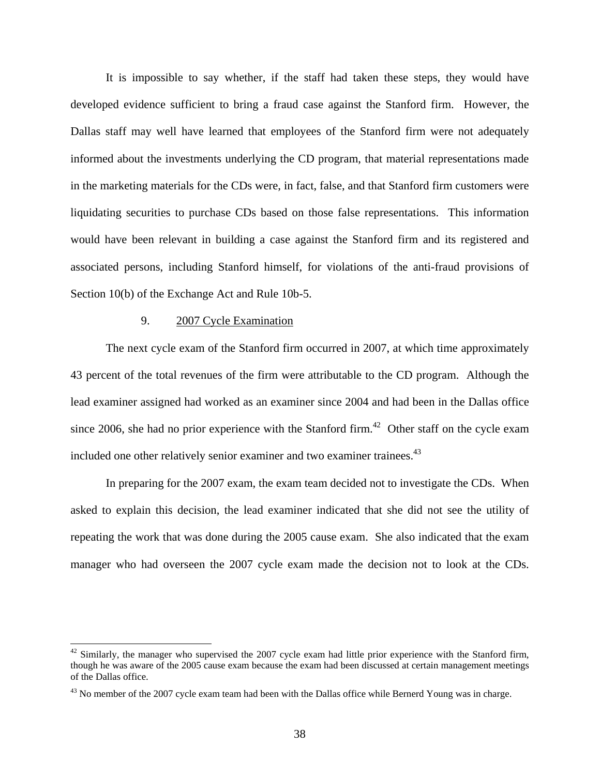It is impossible to say whether, if the staff had taken these steps, they would have developed evidence sufficient to bring a fraud case against the Stanford firm. However, the Dallas staff may well have learned that employees of the Stanford firm were not adequately informed about the investments underlying the CD program, that material representations made in the marketing materials for the CDs were, in fact, false, and that Stanford firm customers were liquidating securities to purchase CDs based on those false representations. This information would have been relevant in building a case against the Stanford firm and its registered and associated persons, including Stanford himself, for violations of the anti-fraud provisions of Section 10(b) of the Exchange Act and Rule 10b-5.

#### 9. 2007 Cycle Examination

The next cycle exam of the Stanford firm occurred in 2007, at which time approximately 43 percent of the total revenues of the firm were attributable to the CD program. Although the lead examiner assigned had worked as an examiner since 2004 and had been in the Dallas office since 2006, she had no prior experience with the Stanford firm.<sup>42</sup> Other staff on the cycle exam included one other relatively senior examiner and two examiner trainees.<sup>43</sup>

In preparing for the 2007 exam, the exam team decided not to investigate the CDs. When asked to explain this decision, the lead examiner indicated that she did not see the utility of repeating the work that was done during the 2005 cause exam. She also indicated that the exam manager who had overseen the 2007 cycle exam made the decision not to look at the CDs.

 $42$  Similarly, the manager who supervised the 2007 cycle exam had little prior experience with the Stanford firm, though he was aware of the 2005 cause exam because the exam had been discussed at certain management meetings of the Dallas office.

 $43$  No member of the 2007 cycle exam team had been with the Dallas office while Bernerd Young was in charge.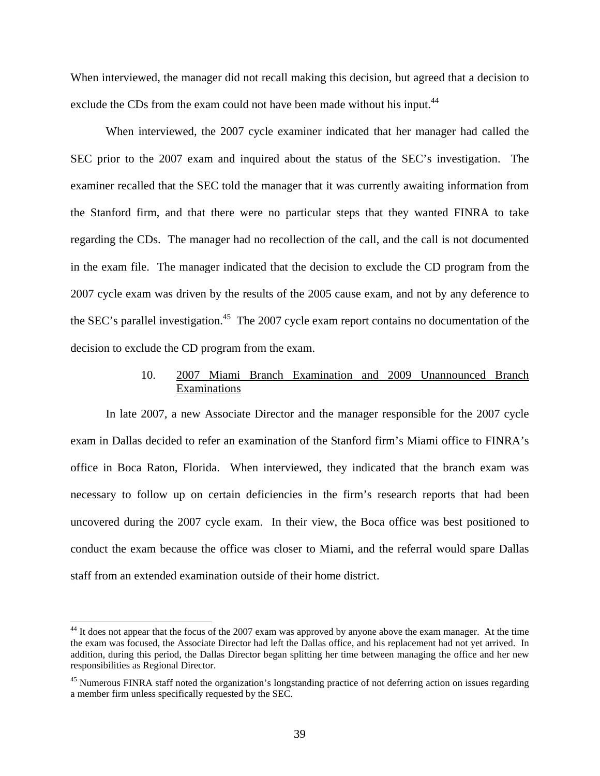When interviewed, the manager did not recall making this decision, but agreed that a decision to exclude the CDs from the exam could not have been made without his input.<sup>44</sup>

When interviewed, the 2007 cycle examiner indicated that her manager had called the SEC prior to the 2007 exam and inquired about the status of the SEC's investigation. The examiner recalled that the SEC told the manager that it was currently awaiting information from the Stanford firm, and that there were no particular steps that they wanted FINRA to take regarding the CDs. The manager had no recollection of the call, and the call is not documented in the exam file. The manager indicated that the decision to exclude the CD program from the 2007 cycle exam was driven by the results of the 2005 cause exam, and not by any deference to the SEC's parallel investigation.<sup>45</sup> The 2007 cycle exam report contains no documentation of the decision to exclude the CD program from the exam.

# 10. 2007 Miami Branch Examination and 2009 Unannounced Branch Examinations

In late 2007, a new Associate Director and the manager responsible for the 2007 cycle exam in Dallas decided to refer an examination of the Stanford firm's Miami office to FINRA's office in Boca Raton, Florida. When interviewed, they indicated that the branch exam was necessary to follow up on certain deficiencies in the firm's research reports that had been uncovered during the 2007 cycle exam. In their view, the Boca office was best positioned to conduct the exam because the office was closer to Miami, and the referral would spare Dallas staff from an extended examination outside of their home district.

 $44$  It does not appear that the focus of the 2007 exam was approved by anyone above the exam manager. At the time the exam was focused, the Associate Director had left the Dallas office, and his replacement had not yet arrived. In addition, during this period, the Dallas Director began splitting her time between managing the office and her new responsibilities as Regional Director.

<sup>&</sup>lt;sup>45</sup> Numerous FINRA staff noted the organization's longstanding practice of not deferring action on issues regarding a member firm unless specifically requested by the SEC.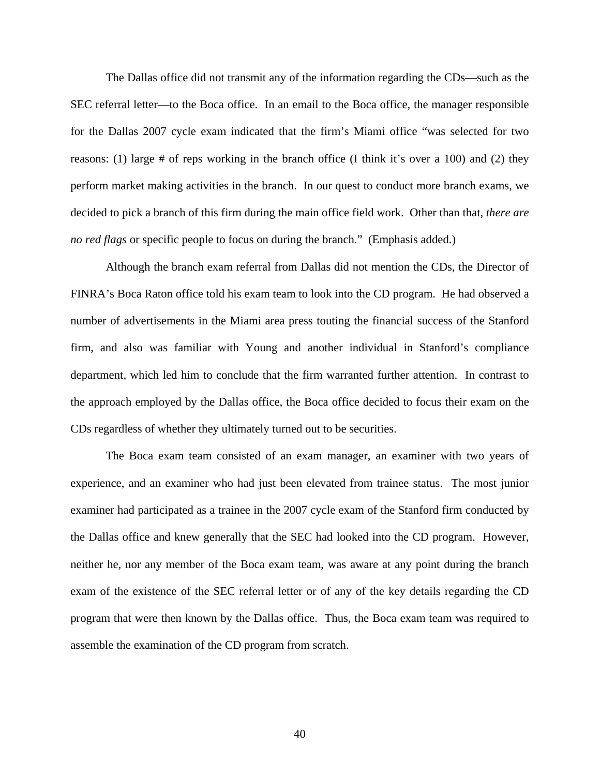The Dallas office did not transmit any of the information regarding the CDs—such as the SEC referral letter—to the Boca office. In an email to the Boca office, the manager responsible for the Dallas 2007 cycle exam indicated that the firm's Miami office "was selected for two reasons: (1) large # of reps working in the branch office (I think it's over a 100) and (2) they perform market making activities in the branch. In our quest to conduct more branch exams, we decided to pick a branch of this firm during the main office field work. Other than that, *there are no red flags* or specific people to focus on during the branch." (Emphasis added.)

Although the branch exam referral from Dallas did not mention the CDs, the Director of FINRA's Boca Raton office told his exam team to look into the CD program. He had observed a number of advertisements in the Miami area press touting the financial success of the Stanford firm, and also was familiar with Young and another individual in Stanford's compliance department, which led him to conclude that the firm warranted further attention. In contrast to the approach employed by the Dallas office, the Boca office decided to focus their exam on the CDs regardless of whether they ultimately turned out to be securities.

The Boca exam team consisted of an exam manager, an examiner with two years of experience, and an examiner who had just been elevated from trainee status. The most junior examiner had participated as a trainee in the 2007 cycle exam of the Stanford firm conducted by the Dallas office and knew generally that the SEC had looked into the CD program. However, neither he, nor any member of the Boca exam team, was aware at any point during the branch exam of the existence of the SEC referral letter or of any of the key details regarding the CD program that were then known by the Dallas office. Thus, the Boca exam team was required to assemble the examination of the CD program from scratch.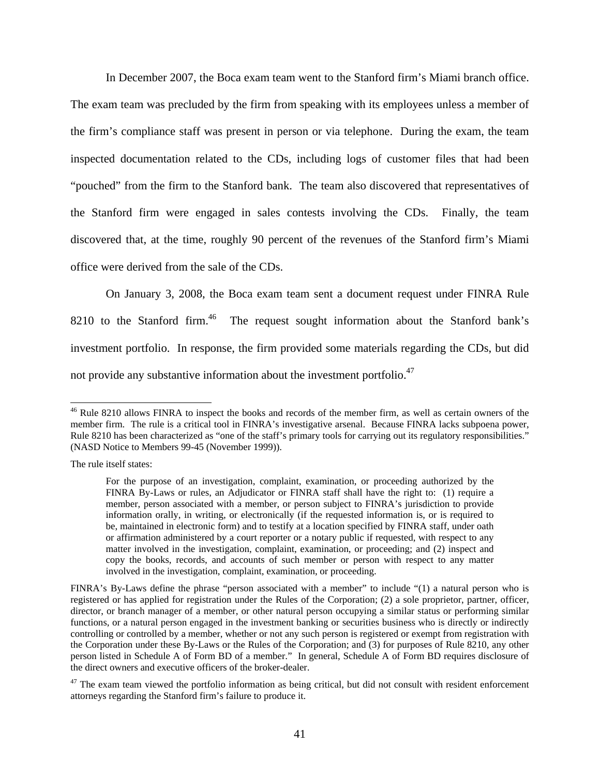In December 2007, the Boca exam team went to the Stanford firm's Miami branch office. The exam team was precluded by the firm from speaking with its employees unless a member of the firm's compliance staff was present in person or via telephone. During the exam, the team inspected documentation related to the CDs, including logs of customer files that had been "pouched" from the firm to the Stanford bank. The team also discovered that representatives of the Stanford firm were engaged in sales contests involving the CDs. Finally, the team discovered that, at the time, roughly 90 percent of the revenues of the Stanford firm's Miami office were derived from the sale of the CDs.

On January 3, 2008, the Boca exam team sent a document request under FINRA Rule 8210 to the Stanford firm.<sup>46</sup> The request sought information about the Stanford bank's investment portfolio. In response, the firm provided some materials regarding the CDs, but did not provide any substantive information about the investment portfolio.<sup>47</sup>

<sup>&</sup>lt;sup>46</sup> Rule 8210 allows FINRA to inspect the books and records of the member firm, as well as certain owners of the member firm. The rule is a critical tool in FINRA's investigative arsenal. Because FINRA lacks subpoena power, Rule 8210 has been characterized as "one of the staff's primary tools for carrying out its regulatory responsibilities." (NASD Notice to Members 99-45 (November 1999)).

The rule itself states:

For the purpose of an investigation, complaint, examination, or proceeding authorized by the FINRA By-Laws or rules, an Adjudicator or FINRA staff shall have the right to: (1) require a member, person associated with a member, or person subject to FINRA's jurisdiction to provide information orally, in writing, or electronically (if the requested information is, or is required to be, maintained in electronic form) and to testify at a location specified by FINRA staff, under oath or affirmation administered by a court reporter or a notary public if requested, with respect to any matter involved in the investigation, complaint, examination, or proceeding; and (2) inspect and copy the books, records, and accounts of such member or person with respect to any matter involved in the investigation, complaint, examination, or proceeding.

FINRA's By-Laws define the phrase "person associated with a member" to include "(1) a natural person who is registered or has applied for registration under the Rules of the Corporation; (2) a sole proprietor, partner, officer, director, or branch manager of a member, or other natural person occupying a similar status or performing similar functions, or a natural person engaged in the investment banking or securities business who is directly or indirectly controlling or controlled by a member, whether or not any such person is registered or exempt from registration with the Corporation under these By-Laws or the Rules of the Corporation; and (3) for purposes of Rule 8210, any other person listed in Schedule A of Form BD of a member." In general, Schedule A of Form BD requires disclosure of the direct owners and executive officers of the broker-dealer.

 $47$  The exam team viewed the portfolio information as being critical, but did not consult with resident enforcement attorneys regarding the Stanford firm's failure to produce it.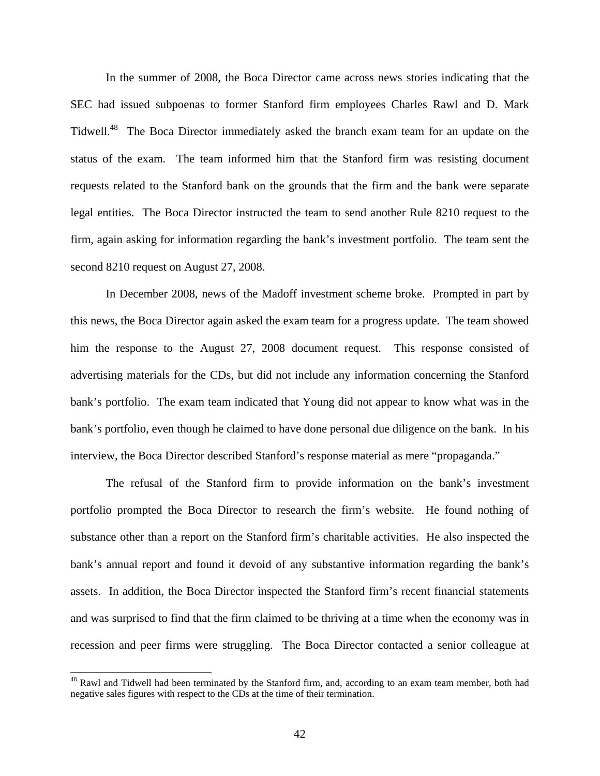In the summer of 2008, the Boca Director came across news stories indicating that the SEC had issued subpoenas to former Stanford firm employees Charles Rawl and D. Mark Tidwell.<sup>48</sup> The Boca Director immediately asked the branch exam team for an update on the status of the exam. The team informed him that the Stanford firm was resisting document requests related to the Stanford bank on the grounds that the firm and the bank were separate legal entities. The Boca Director instructed the team to send another Rule 8210 request to the firm, again asking for information regarding the bank's investment portfolio. The team sent the second 8210 request on August 27, 2008.

In December 2008, news of the Madoff investment scheme broke. Prompted in part by this news, the Boca Director again asked the exam team for a progress update. The team showed him the response to the August 27, 2008 document request. This response consisted of advertising materials for the CDs, but did not include any information concerning the Stanford bank's portfolio. The exam team indicated that Young did not appear to know what was in the bank's portfolio, even though he claimed to have done personal due diligence on the bank. In his interview, the Boca Director described Stanford's response material as mere "propaganda."

The refusal of the Stanford firm to provide information on the bank's investment portfolio prompted the Boca Director to research the firm's website. He found nothing of substance other than a report on the Stanford firm's charitable activities. He also inspected the bank's annual report and found it devoid of any substantive information regarding the bank's assets. In addition, the Boca Director inspected the Stanford firm's recent financial statements and was surprised to find that the firm claimed to be thriving at a time when the economy was in recession and peer firms were struggling. The Boca Director contacted a senior colleague at

<sup>&</sup>lt;sup>48</sup> Rawl and Tidwell had been terminated by the Stanford firm, and, according to an exam team member, both had negative sales figures with respect to the CDs at the time of their termination.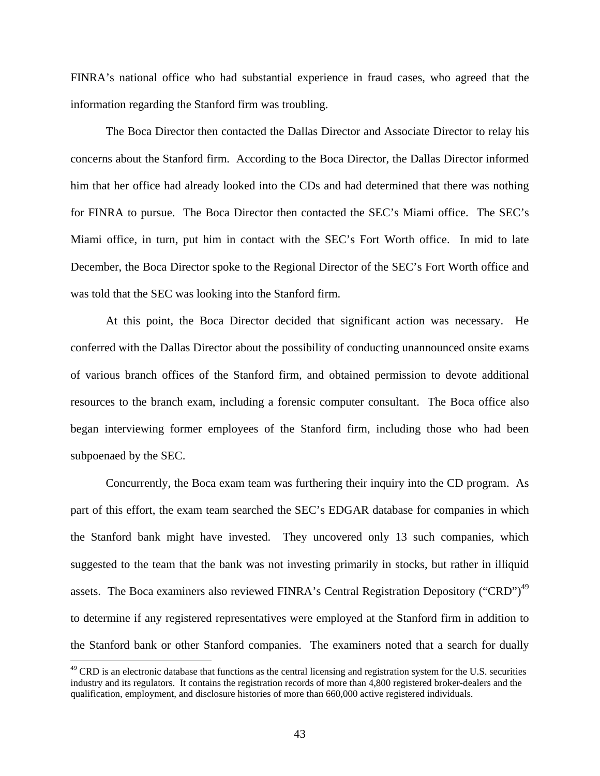FINRA's national office who had substantial experience in fraud cases, who agreed that the information regarding the Stanford firm was troubling.

The Boca Director then contacted the Dallas Director and Associate Director to relay his concerns about the Stanford firm. According to the Boca Director, the Dallas Director informed him that her office had already looked into the CDs and had determined that there was nothing for FINRA to pursue. The Boca Director then contacted the SEC's Miami office. The SEC's Miami office, in turn, put him in contact with the SEC's Fort Worth office. In mid to late December, the Boca Director spoke to the Regional Director of the SEC's Fort Worth office and was told that the SEC was looking into the Stanford firm.

At this point, the Boca Director decided that significant action was necessary. He conferred with the Dallas Director about the possibility of conducting unannounced onsite exams of various branch offices of the Stanford firm, and obtained permission to devote additional resources to the branch exam, including a forensic computer consultant. The Boca office also began interviewing former employees of the Stanford firm, including those who had been subpoenaed by the SEC.

Concurrently, the Boca exam team was furthering their inquiry into the CD program. As part of this effort, the exam team searched the SEC's EDGAR database for companies in which the Stanford bank might have invested. They uncovered only 13 such companies, which suggested to the team that the bank was not investing primarily in stocks, but rather in illiquid assets. The Boca examiners also reviewed FINRA's Central Registration Depository ("CRD")<sup>49</sup> to determine if any registered representatives were employed at the Stanford firm in addition to the Stanford bank or other Stanford companies. The examiners noted that a search for dually

 $49$  CRD is an electronic database that functions as the central licensing and registration system for the U.S. securities industry and its regulators. It contains the registration records of more than 4,800 registered broker-dealers and the qualification, employment, and disclosure histories of more than 660,000 active registered individuals.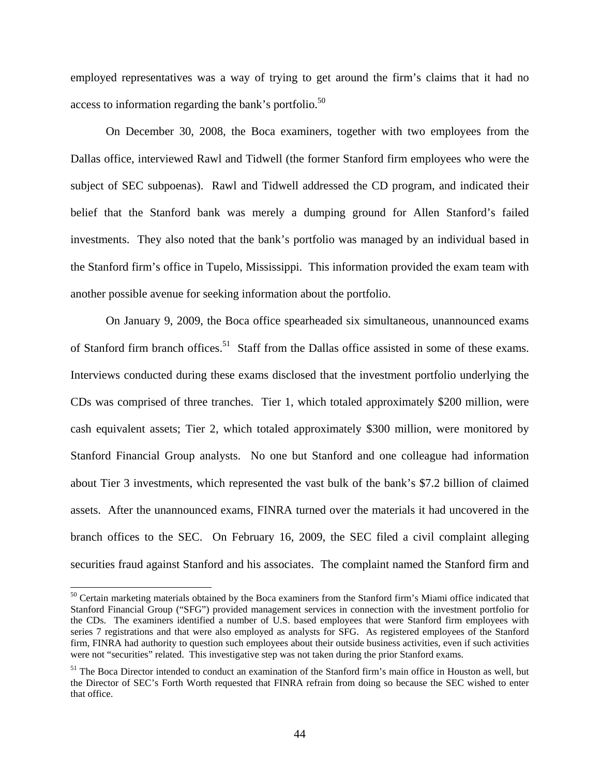employed representatives was a way of trying to get around the firm's claims that it had no access to information regarding the bank's portfolio. $50$ 

On December 30, 2008, the Boca examiners, together with two employees from the Dallas office, interviewed Rawl and Tidwell (the former Stanford firm employees who were the subject of SEC subpoenas). Rawl and Tidwell addressed the CD program, and indicated their belief that the Stanford bank was merely a dumping ground for Allen Stanford's failed investments. They also noted that the bank's portfolio was managed by an individual based in the Stanford firm's office in Tupelo, Mississippi. This information provided the exam team with another possible avenue for seeking information about the portfolio.

On January 9, 2009, the Boca office spearheaded six simultaneous, unannounced exams of Stanford firm branch offices.<sup>51</sup> Staff from the Dallas office assisted in some of these exams. Interviews conducted during these exams disclosed that the investment portfolio underlying the CDs was comprised of three tranches. Tier 1, which totaled approximately \$200 million, were cash equivalent assets; Tier 2, which totaled approximately \$300 million, were monitored by Stanford Financial Group analysts. No one but Stanford and one colleague had information about Tier 3 investments, which represented the vast bulk of the bank's \$7.2 billion of claimed assets. After the unannounced exams, FINRA turned over the materials it had uncovered in the branch offices to the SEC. On February 16, 2009, the SEC filed a civil complaint alleging securities fraud against Stanford and his associates. The complaint named the Stanford firm and

<sup>&</sup>lt;sup>50</sup> Certain marketing materials obtained by the Boca examiners from the Stanford firm's Miami office indicated that Stanford Financial Group ("SFG") provided management services in connection with the investment portfolio for the CDs. The examiners identified a number of U.S. based employees that were Stanford firm employees with series 7 registrations and that were also employed as analysts for SFG. As registered employees of the Stanford firm, FINRA had authority to question such employees about their outside business activities, even if such activities were not "securities" related. This investigative step was not taken during the prior Stanford exams.

<sup>&</sup>lt;sup>51</sup> The Boca Director intended to conduct an examination of the Stanford firm's main office in Houston as well, but the Director of SEC's Forth Worth requested that FINRA refrain from doing so because the SEC wished to enter that office.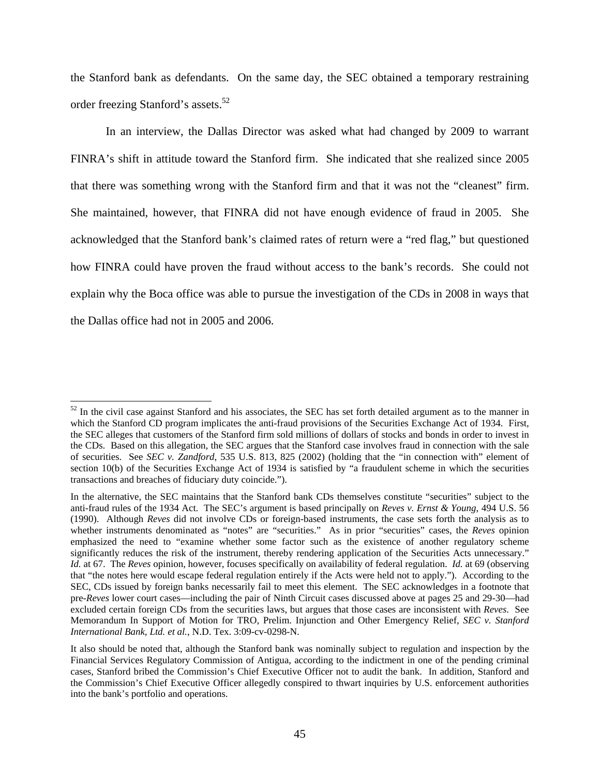the Stanford bank as defendants. On the same day, the SEC obtained a temporary restraining order freezing Stanford's assets.<sup>52</sup>

In an interview, the Dallas Director was asked what had changed by 2009 to warrant FINRA's shift in attitude toward the Stanford firm. She indicated that she realized since 2005 that there was something wrong with the Stanford firm and that it was not the "cleanest" firm. She maintained, however, that FINRA did not have enough evidence of fraud in 2005. She acknowledged that the Stanford bank's claimed rates of return were a "red flag," but questioned how FINRA could have proven the fraud without access to the bank's records. She could not explain why the Boca office was able to pursue the investigation of the CDs in 2008 in ways that the Dallas office had not in 2005 and 2006.

 $52$  In the civil case against Stanford and his associates, the SEC has set forth detailed argument as to the manner in which the Stanford CD program implicates the anti-fraud provisions of the Securities Exchange Act of 1934. First, the SEC alleges that customers of the Stanford firm sold millions of dollars of stocks and bonds in order to invest in the CDs. Based on this allegation, the SEC argues that the Stanford case involves fraud in connection with the sale of securities. See *SEC v. Zandford*, 535 U.S. 813, 825 (2002) (holding that the "in connection with" element of section 10(b) of the Securities Exchange Act of 1934 is satisfied by "a fraudulent scheme in which the securities transactions and breaches of fiduciary duty coincide.").

In the alternative, the SEC maintains that the Stanford bank CDs themselves constitute "securities" subject to the anti-fraud rules of the 1934 Act. The SEC's argument is based principally on *Reves v. Ernst & Young*, 494 U.S. 56 (1990). Although *Reves* did not involve CDs or foreign-based instruments, the case sets forth the analysis as to whether instruments denominated as "notes" are "securities." As in prior "securities" cases, the *Reves* opinion emphasized the need to "examine whether some factor such as the existence of another regulatory scheme significantly reduces the risk of the instrument, thereby rendering application of the Securities Acts unnecessary." *Id.* at 67. The *Reves* opinion, however, focuses specifically on availability of federal regulation. *Id.* at 69 (observing that "the notes here would escape federal regulation entirely if the Acts were held not to apply."). According to the SEC, CDs issued by foreign banks necessarily fail to meet this element. The SEC acknowledges in a footnote that pre-*Reves* lower court cases—including the pair of Ninth Circuit cases discussed above at pages 25 and 29-30—had excluded certain foreign CDs from the securities laws, but argues that those cases are inconsistent with *Reves*. See Memorandum In Support of Motion for TRO, Prelim. Injunction and Other Emergency Relief, *SEC v. Stanford International Bank, Ltd. et al.*, N.D. Tex. 3:09-cv-0298-N.

It also should be noted that, although the Stanford bank was nominally subject to regulation and inspection by the Financial Services Regulatory Commission of Antigua, according to the indictment in one of the pending criminal cases, Stanford bribed the Commission's Chief Executive Officer not to audit the bank. In addition, Stanford and the Commission's Chief Executive Officer allegedly conspired to thwart inquiries by U.S. enforcement authorities into the bank's portfolio and operations.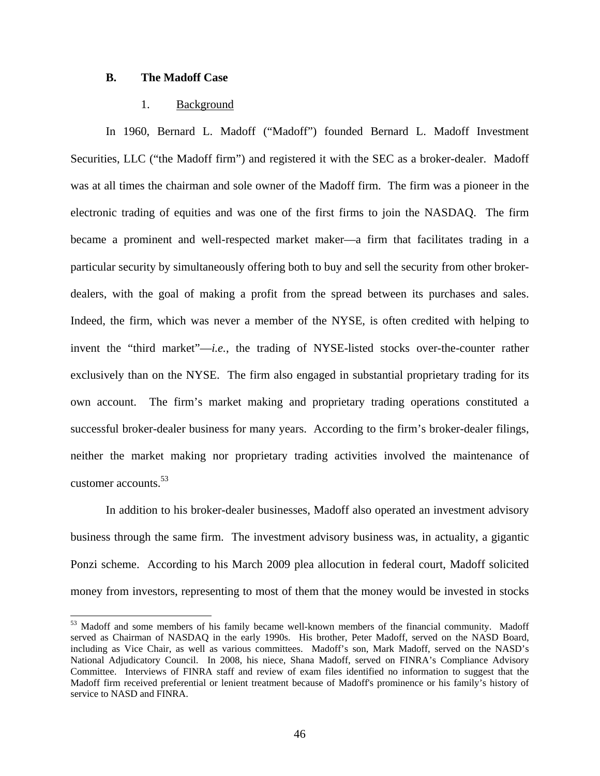#### **B. The Madoff Case**

## 1. Background

In 1960, Bernard L. Madoff ("Madoff") founded Bernard L. Madoff Investment Securities, LLC ("the Madoff firm") and registered it with the SEC as a broker-dealer. Madoff was at all times the chairman and sole owner of the Madoff firm. The firm was a pioneer in the electronic trading of equities and was one of the first firms to join the NASDAQ. The firm became a prominent and well-respected market maker—a firm that facilitates trading in a particular security by simultaneously offering both to buy and sell the security from other brokerdealers, with the goal of making a profit from the spread between its purchases and sales. Indeed, the firm, which was never a member of the NYSE, is often credited with helping to invent the "third market"—*i.e.*, the trading of NYSE-listed stocks over-the-counter rather exclusively than on the NYSE. The firm also engaged in substantial proprietary trading for its own account. The firm's market making and proprietary trading operations constituted a successful broker-dealer business for many years. According to the firm's broker-dealer filings, neither the market making nor proprietary trading activities involved the maintenance of customer accounts.53

In addition to his broker-dealer businesses, Madoff also operated an investment advisory business through the same firm. The investment advisory business was, in actuality, a gigantic Ponzi scheme. According to his March 2009 plea allocution in federal court, Madoff solicited money from investors, representing to most of them that the money would be invested in stocks

<sup>&</sup>lt;sup>53</sup> Madoff and some members of his family became well-known members of the financial community. Madoff served as Chairman of NASDAQ in the early 1990s. His brother, Peter Madoff, served on the NASD Board, including as Vice Chair, as well as various committees. Madoff's son, Mark Madoff, served on the NASD's National Adjudicatory Council. In 2008, his niece, Shana Madoff, served on FINRA's Compliance Advisory Committee. Interviews of FINRA staff and review of exam files identified no information to suggest that the Madoff firm received preferential or lenient treatment because of Madoff's prominence or his family's history of service to NASD and FINRA.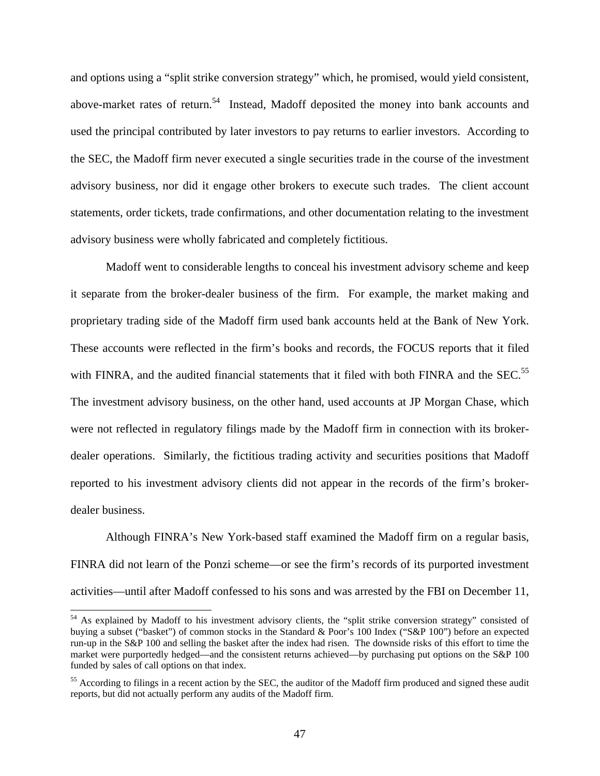and options using a "split strike conversion strategy" which, he promised, would yield consistent, above-market rates of return.<sup>54</sup> Instead, Madoff deposited the money into bank accounts and used the principal contributed by later investors to pay returns to earlier investors. According to the SEC, the Madoff firm never executed a single securities trade in the course of the investment advisory business, nor did it engage other brokers to execute such trades. The client account statements, order tickets, trade confirmations, and other documentation relating to the investment advisory business were wholly fabricated and completely fictitious.

Madoff went to considerable lengths to conceal his investment advisory scheme and keep it separate from the broker-dealer business of the firm. For example, the market making and proprietary trading side of the Madoff firm used bank accounts held at the Bank of New York. These accounts were reflected in the firm's books and records, the FOCUS reports that it filed with FINRA, and the audited financial statements that it filed with both FINRA and the SEC.<sup>55</sup> The investment advisory business, on the other hand, used accounts at JP Morgan Chase, which were not reflected in regulatory filings made by the Madoff firm in connection with its brokerdealer operations. Similarly, the fictitious trading activity and securities positions that Madoff reported to his investment advisory clients did not appear in the records of the firm's brokerdealer business.

Although FINRA's New York-based staff examined the Madoff firm on a regular basis, FINRA did not learn of the Ponzi scheme—or see the firm's records of its purported investment activities—until after Madoff confessed to his sons and was arrested by the FBI on December 11,

<sup>&</sup>lt;sup>54</sup> As explained by Madoff to his investment advisory clients, the "split strike conversion strategy" consisted of buying a subset ("basket") of common stocks in the Standard & Poor's 100 Index ("S&P 100") before an expected run-up in the S&P 100 and selling the basket after the index had risen. The downside risks of this effort to time the market were purportedly hedged—and the consistent returns achieved—by purchasing put options on the S&P 100 funded by sales of call options on that index.

<sup>&</sup>lt;sup>55</sup> According to filings in a recent action by the SEC, the auditor of the Madoff firm produced and signed these audit reports, but did not actually perform any audits of the Madoff firm.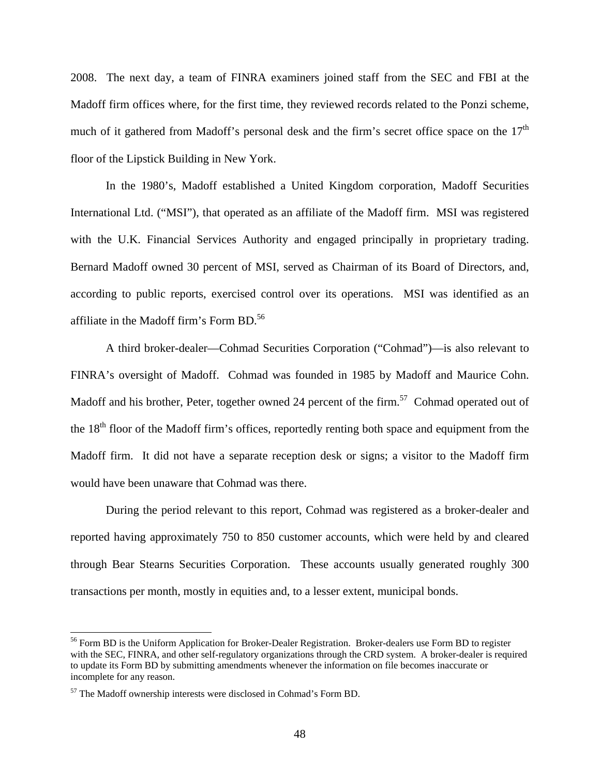2008. The next day, a team of FINRA examiners joined staff from the SEC and FBI at the Madoff firm offices where, for the first time, they reviewed records related to the Ponzi scheme, much of it gathered from Madoff's personal desk and the firm's secret office space on the  $17<sup>th</sup>$ floor of the Lipstick Building in New York.

In the 1980's, Madoff established a United Kingdom corporation, Madoff Securities International Ltd. ("MSI"), that operated as an affiliate of the Madoff firm. MSI was registered with the U.K. Financial Services Authority and engaged principally in proprietary trading. Bernard Madoff owned 30 percent of MSI, served as Chairman of its Board of Directors, and, according to public reports, exercised control over its operations. MSI was identified as an affiliate in the Madoff firm's Form BD.<sup>56</sup>

A third broker-dealer—Cohmad Securities Corporation ("Cohmad")—is also relevant to FINRA's oversight of Madoff. Cohmad was founded in 1985 by Madoff and Maurice Cohn. Madoff and his brother, Peter, together owned 24 percent of the firm.<sup>57</sup> Cohmad operated out of the  $18<sup>th</sup>$  floor of the Madoff firm's offices, reportedly renting both space and equipment from the Madoff firm. It did not have a separate reception desk or signs; a visitor to the Madoff firm would have been unaware that Cohmad was there.

During the period relevant to this report, Cohmad was registered as a broker-dealer and reported having approximately 750 to 850 customer accounts, which were held by and cleared through Bear Stearns Securities Corporation. These accounts usually generated roughly 300 transactions per month, mostly in equities and, to a lesser extent, municipal bonds.

<sup>&</sup>lt;sup>56</sup> Form BD is the Uniform Application for Broker-Dealer Registration. Broker-dealers use Form BD to register with the SEC, FINRA, and other self-regulatory organizations through the CRD system. A broker-dealer is required to update its Form BD by submitting amendments whenever the information on file becomes inaccurate or incomplete for any reason.

<sup>&</sup>lt;sup>57</sup> The Madoff ownership interests were disclosed in Cohmad's Form BD.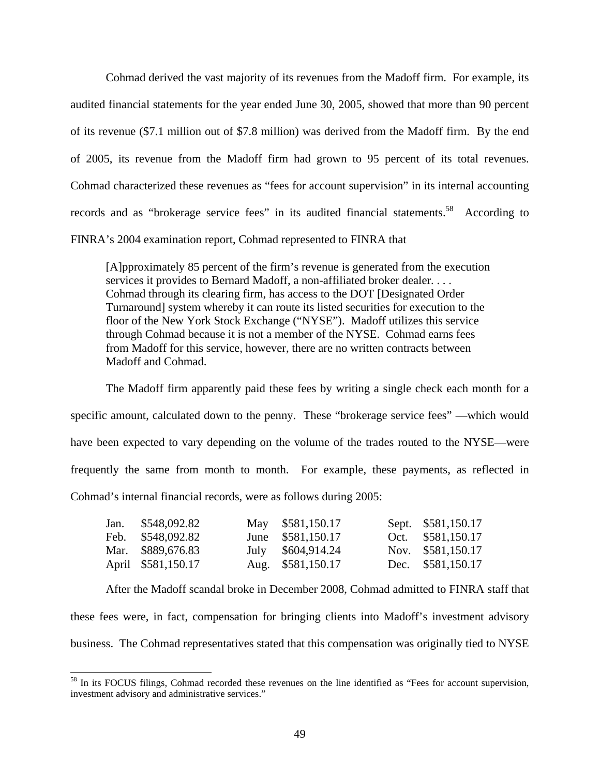Cohmad derived the vast majority of its revenues from the Madoff firm. For example, its audited financial statements for the year ended June 30, 2005, showed that more than 90 percent of its revenue (\$7.1 million out of \$7.8 million) was derived from the Madoff firm. By the end of 2005, its revenue from the Madoff firm had grown to 95 percent of its total revenues. Cohmad characterized these revenues as "fees for account supervision" in its internal accounting records and as "brokerage service fees" in its audited financial statements.<sup>58</sup> According to FINRA's 2004 examination report, Cohmad represented to FINRA that

[A]pproximately 85 percent of the firm's revenue is generated from the execution services it provides to Bernard Madoff, a non-affiliated broker dealer. . . . Cohmad through its clearing firm, has access to the DOT [Designated Order Turnaround] system whereby it can route its listed securities for execution to the floor of the New York Stock Exchange ("NYSE"). Madoff utilizes this service through Cohmad because it is not a member of the NYSE. Cohmad earns fees from Madoff for this service, however, there are no written contracts between Madoff and Cohmad.

The Madoff firm apparently paid these fees by writing a single check each month for a specific amount, calculated down to the penny. These "brokerage service fees" —which would have been expected to vary depending on the volume of the trades routed to the NYSE—were frequently the same from month to month. For example, these payments, as reflected in Cohmad's internal financial records, were as follows during 2005:

| Jan. \$548,092.82  | May \$581,150.17  | Sept. \$581,150.17 |
|--------------------|-------------------|--------------------|
| Feb. \$548,092.82  | June \$581,150.17 | Oct. \$581,150.17  |
| Mar. \$889,676.83  | July \$604,914.24 | Nov. \$581,150.17  |
| April \$581,150.17 | Aug. \$581,150.17 | Dec. \$581,150.17  |

After the Madoff scandal broke in December 2008, Cohmad admitted to FINRA staff that these fees were, in fact, compensation for bringing clients into Madoff's investment advisory business. The Cohmad representatives stated that this compensation was originally tied to NYSE

<sup>&</sup>lt;sup>58</sup> In its FOCUS filings, Cohmad recorded these revenues on the line identified as "Fees for account supervision, investment advisory and administrative services."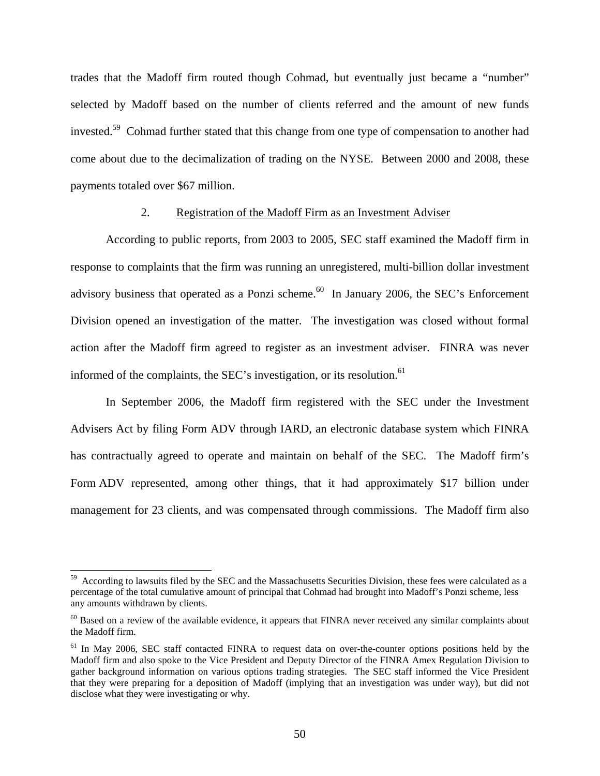trades that the Madoff firm routed though Cohmad, but eventually just became a "number" selected by Madoff based on the number of clients referred and the amount of new funds invested.<sup>59</sup> Cohmad further stated that this change from one type of compensation to another had come about due to the decimalization of trading on the NYSE. Between 2000 and 2008, these payments totaled over \$67 million.

#### 2. Registration of the Madoff Firm as an Investment Adviser

According to public reports, from 2003 to 2005, SEC staff examined the Madoff firm in response to complaints that the firm was running an unregistered, multi-billion dollar investment advisory business that operated as a Ponzi scheme. $60$  In January 2006, the SEC's Enforcement Division opened an investigation of the matter. The investigation was closed without formal action after the Madoff firm agreed to register as an investment adviser. FINRA was never informed of the complaints, the SEC's investigation, or its resolution.  $61$ 

In September 2006, the Madoff firm registered with the SEC under the Investment Advisers Act by filing Form ADV through IARD, an electronic database system which FINRA has contractually agreed to operate and maintain on behalf of the SEC. The Madoff firm's Form ADV represented, among other things, that it had approximately \$17 billion under management for 23 clients, and was compensated through commissions. The Madoff firm also

<sup>&</sup>lt;sup>59</sup> According to lawsuits filed by the SEC and the Massachusetts Securities Division, these fees were calculated as a percentage of the total cumulative amount of principal that Cohmad had brought into Madoff's Ponzi scheme, less any amounts withdrawn by clients.

 $60$  Based on a review of the available evidence, it appears that FINRA never received any similar complaints about the Madoff firm.

<sup>&</sup>lt;sup>61</sup> In May 2006, SEC staff contacted FINRA to request data on over-the-counter options positions held by the Madoff firm and also spoke to the Vice President and Deputy Director of the FINRA Amex Regulation Division to gather background information on various options trading strategies. The SEC staff informed the Vice President that they were preparing for a deposition of Madoff (implying that an investigation was under way), but did not disclose what they were investigating or why.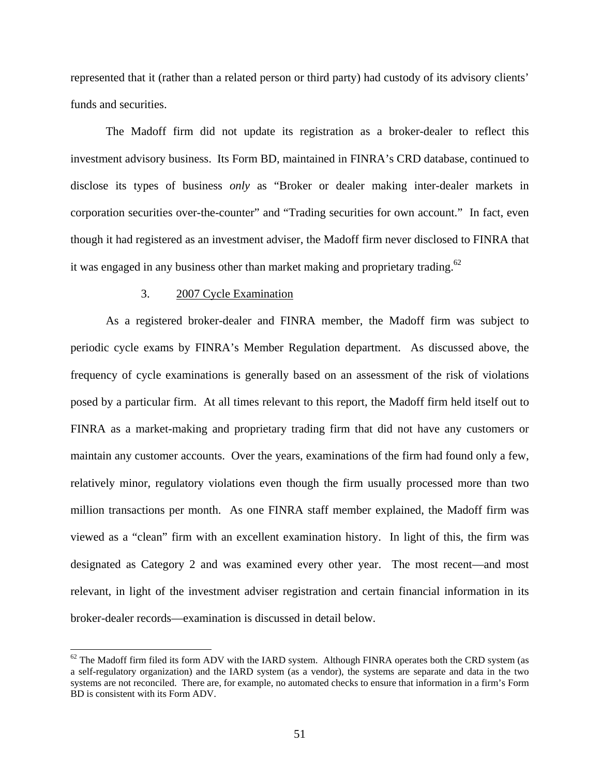represented that it (rather than a related person or third party) had custody of its advisory clients' funds and securities.

The Madoff firm did not update its registration as a broker-dealer to reflect this investment advisory business. Its Form BD, maintained in FINRA's CRD database, continued to disclose its types of business *only* as "Broker or dealer making inter-dealer markets in corporation securities over-the-counter" and "Trading securities for own account." In fact, even though it had registered as an investment adviser, the Madoff firm never disclosed to FINRA that it was engaged in any business other than market making and proprietary trading.<sup>62</sup>

## 3. 2007 Cycle Examination

As a registered broker-dealer and FINRA member, the Madoff firm was subject to periodic cycle exams by FINRA's Member Regulation department. As discussed above, the frequency of cycle examinations is generally based on an assessment of the risk of violations posed by a particular firm. At all times relevant to this report, the Madoff firm held itself out to FINRA as a market-making and proprietary trading firm that did not have any customers or maintain any customer accounts. Over the years, examinations of the firm had found only a few, relatively minor, regulatory violations even though the firm usually processed more than two million transactions per month. As one FINRA staff member explained, the Madoff firm was viewed as a "clean" firm with an excellent examination history. In light of this, the firm was designated as Category 2 and was examined every other year. The most recent—and most relevant, in light of the investment adviser registration and certain financial information in its broker-dealer records—examination is discussed in detail below.

 $62$  The Madoff firm filed its form ADV with the IARD system. Although FINRA operates both the CRD system (as a self-regulatory organization) and the IARD system (as a vendor), the systems are separate and data in the two systems are not reconciled. There are, for example, no automated checks to ensure that information in a firm's Form BD is consistent with its Form ADV.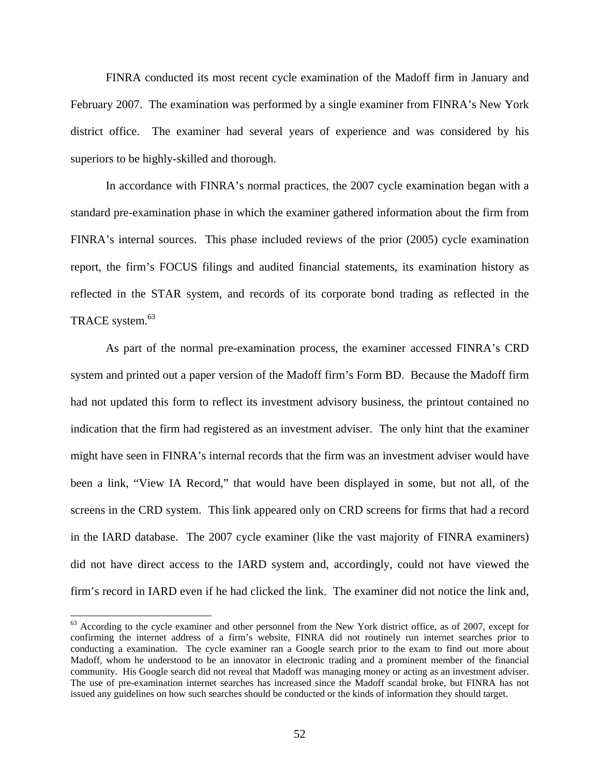FINRA conducted its most recent cycle examination of the Madoff firm in January and February 2007. The examination was performed by a single examiner from FINRA's New York district office. The examiner had several years of experience and was considered by his superiors to be highly-skilled and thorough.

In accordance with FINRA's normal practices, the 2007 cycle examination began with a standard pre-examination phase in which the examiner gathered information about the firm from FINRA's internal sources. This phase included reviews of the prior (2005) cycle examination report, the firm's FOCUS filings and audited financial statements, its examination history as reflected in the STAR system, and records of its corporate bond trading as reflected in the TRACE system.<sup>63</sup>

As part of the normal pre-examination process, the examiner accessed FINRA's CRD system and printed out a paper version of the Madoff firm's Form BD. Because the Madoff firm had not updated this form to reflect its investment advisory business, the printout contained no indication that the firm had registered as an investment adviser. The only hint that the examiner might have seen in FINRA's internal records that the firm was an investment adviser would have been a link, "View IA Record," that would have been displayed in some, but not all, of the screens in the CRD system. This link appeared only on CRD screens for firms that had a record in the IARD database. The 2007 cycle examiner (like the vast majority of FINRA examiners) did not have direct access to the IARD system and, accordingly, could not have viewed the firm's record in IARD even if he had clicked the link. The examiner did not notice the link and,

 $63$  According to the cycle examiner and other personnel from the New York district office, as of 2007, except for confirming the internet address of a firm's website, FINRA did not routinely run internet searches prior to conducting a examination. The cycle examiner ran a Google search prior to the exam to find out more about Madoff, whom he understood to be an innovator in electronic trading and a prominent member of the financial community. His Google search did not reveal that Madoff was managing money or acting as an investment adviser. The use of pre-examination internet searches has increased since the Madoff scandal broke, but FINRA has not issued any guidelines on how such searches should be conducted or the kinds of information they should target.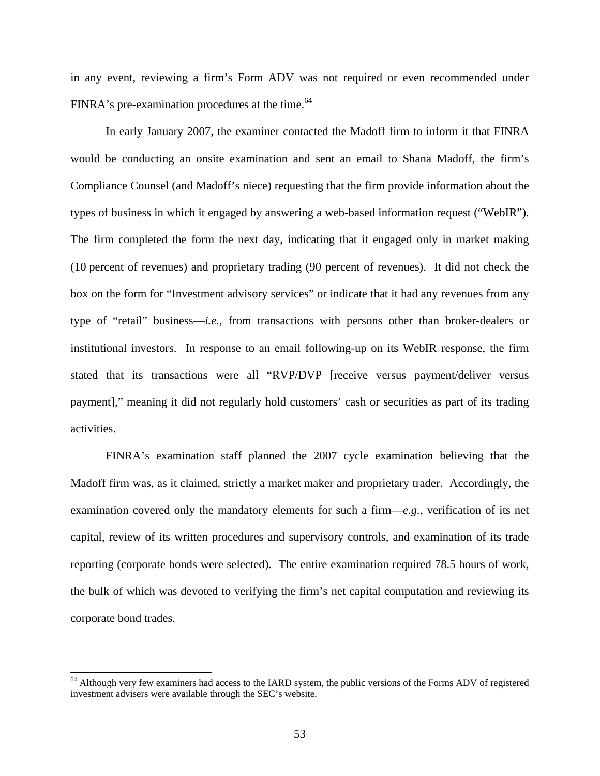in any event, reviewing a firm's Form ADV was not required or even recommended under FINRA's pre-examination procedures at the time.<sup>64</sup>

In early January 2007, the examiner contacted the Madoff firm to inform it that FINRA would be conducting an onsite examination and sent an email to Shana Madoff, the firm's Compliance Counsel (and Madoff's niece) requesting that the firm provide information about the types of business in which it engaged by answering a web-based information request ("WebIR"). The firm completed the form the next day, indicating that it engaged only in market making (10 percent of revenues) and proprietary trading (90 percent of revenues). It did not check the box on the form for "Investment advisory services" or indicate that it had any revenues from any type of "retail" business—*i.e.*, from transactions with persons other than broker-dealers or institutional investors. In response to an email following-up on its WebIR response, the firm stated that its transactions were all "RVP/DVP [receive versus payment/deliver versus payment]," meaning it did not regularly hold customers' cash or securities as part of its trading activities.

FINRA's examination staff planned the 2007 cycle examination believing that the Madoff firm was, as it claimed, strictly a market maker and proprietary trader. Accordingly, the examination covered only the mandatory elements for such a firm—*e.g.*, verification of its net capital, review of its written procedures and supervisory controls, and examination of its trade reporting (corporate bonds were selected). The entire examination required 78.5 hours of work, the bulk of which was devoted to verifying the firm's net capital computation and reviewing its corporate bond trades.

<sup>&</sup>lt;sup>64</sup> Although very few examiners had access to the IARD system, the public versions of the Forms ADV of registered investment advisers were available through the SEC's website.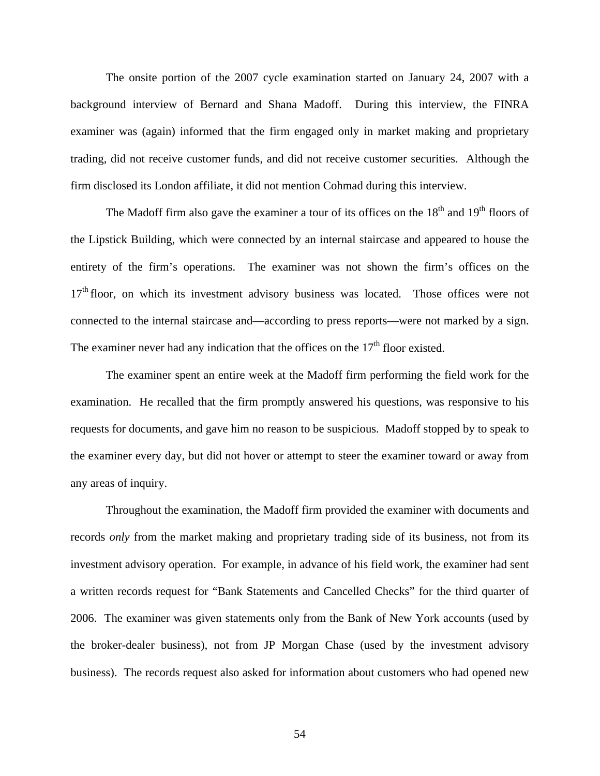The onsite portion of the 2007 cycle examination started on January 24, 2007 with a background interview of Bernard and Shana Madoff. During this interview, the FINRA examiner was (again) informed that the firm engaged only in market making and proprietary trading, did not receive customer funds, and did not receive customer securities. Although the firm disclosed its London affiliate, it did not mention Cohmad during this interview.

The Madoff firm also gave the examiner a tour of its offices on the  $18<sup>th</sup>$  and  $19<sup>th</sup>$  floors of the Lipstick Building, which were connected by an internal staircase and appeared to house the entirety of the firm's operations. The examiner was not shown the firm's offices on the 17<sup>th</sup> floor, on which its investment advisory business was located. Those offices were not connected to the internal staircase and—according to press reports—were not marked by a sign. The examiner never had any indication that the offices on the  $17<sup>th</sup>$  floor existed.

The examiner spent an entire week at the Madoff firm performing the field work for the examination. He recalled that the firm promptly answered his questions, was responsive to his requests for documents, and gave him no reason to be suspicious. Madoff stopped by to speak to the examiner every day, but did not hover or attempt to steer the examiner toward or away from any areas of inquiry.

Throughout the examination, the Madoff firm provided the examiner with documents and records *only* from the market making and proprietary trading side of its business, not from its investment advisory operation. For example, in advance of his field work, the examiner had sent a written records request for "Bank Statements and Cancelled Checks" for the third quarter of 2006. The examiner was given statements only from the Bank of New York accounts (used by the broker-dealer business), not from JP Morgan Chase (used by the investment advisory business). The records request also asked for information about customers who had opened new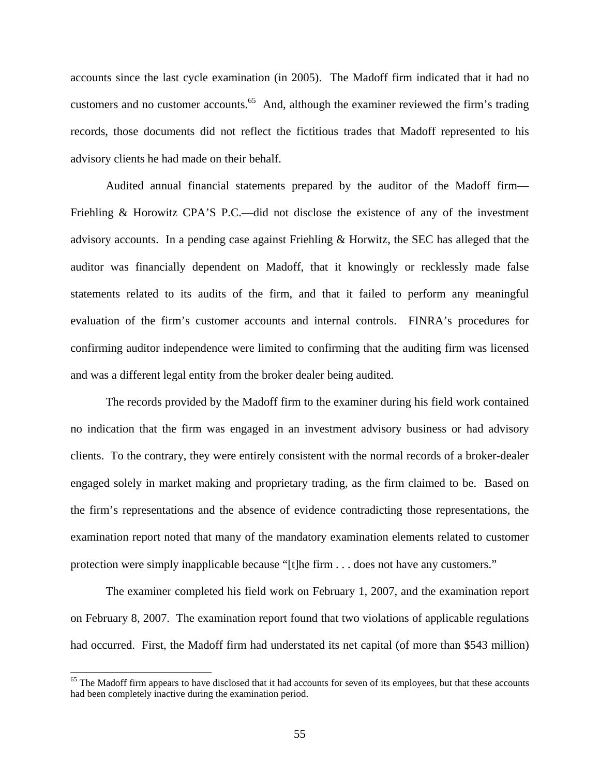accounts since the last cycle examination (in 2005). The Madoff firm indicated that it had no customers and no customer accounts.<sup>65</sup> And, although the examiner reviewed the firm's trading records, those documents did not reflect the fictitious trades that Madoff represented to his advisory clients he had made on their behalf.

Audited annual financial statements prepared by the auditor of the Madoff firm— Friehling & Horowitz CPA'S P.C.—did not disclose the existence of any of the investment advisory accounts. In a pending case against Friehling & Horwitz, the SEC has alleged that the auditor was financially dependent on Madoff, that it knowingly or recklessly made false statements related to its audits of the firm, and that it failed to perform any meaningful evaluation of the firm's customer accounts and internal controls. FINRA's procedures for confirming auditor independence were limited to confirming that the auditing firm was licensed and was a different legal entity from the broker dealer being audited.

The records provided by the Madoff firm to the examiner during his field work contained no indication that the firm was engaged in an investment advisory business or had advisory clients. To the contrary, they were entirely consistent with the normal records of a broker-dealer engaged solely in market making and proprietary trading, as the firm claimed to be. Based on the firm's representations and the absence of evidence contradicting those representations, the examination report noted that many of the mandatory examination elements related to customer protection were simply inapplicable because "[t]he firm . . . does not have any customers."

The examiner completed his field work on February 1, 2007, and the examination report on February 8, 2007. The examination report found that two violations of applicable regulations had occurred. First, the Madoff firm had understated its net capital (of more than \$543 million)

<sup>&</sup>lt;sup>65</sup> The Madoff firm appears to have disclosed that it had accounts for seven of its employees, but that these accounts had been completely inactive during the examination period.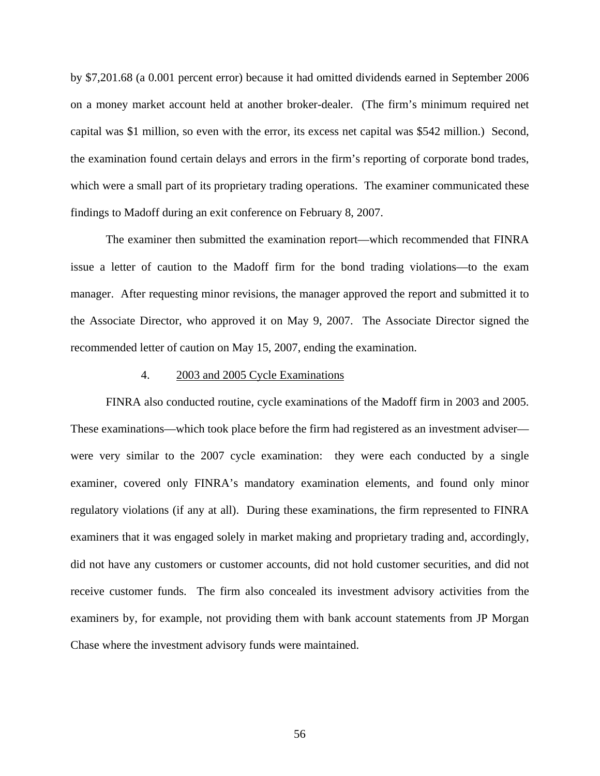by \$7,201.68 (a 0.001 percent error) because it had omitted dividends earned in September 2006 on a money market account held at another broker-dealer. (The firm's minimum required net capital was \$1 million, so even with the error, its excess net capital was \$542 million.) Second, the examination found certain delays and errors in the firm's reporting of corporate bond trades, which were a small part of its proprietary trading operations. The examiner communicated these findings to Madoff during an exit conference on February 8, 2007.

The examiner then submitted the examination report—which recommended that FINRA issue a letter of caution to the Madoff firm for the bond trading violations—to the exam manager. After requesting minor revisions, the manager approved the report and submitted it to the Associate Director, who approved it on May 9, 2007. The Associate Director signed the recommended letter of caution on May 15, 2007, ending the examination.

#### 4. 2003 and 2005 Cycle Examinations

FINRA also conducted routine, cycle examinations of the Madoff firm in 2003 and 2005. These examinations—which took place before the firm had registered as an investment adviser were very similar to the 2007 cycle examination: they were each conducted by a single examiner, covered only FINRA's mandatory examination elements, and found only minor regulatory violations (if any at all). During these examinations, the firm represented to FINRA examiners that it was engaged solely in market making and proprietary trading and, accordingly, did not have any customers or customer accounts, did not hold customer securities, and did not receive customer funds. The firm also concealed its investment advisory activities from the examiners by, for example, not providing them with bank account statements from JP Morgan Chase where the investment advisory funds were maintained.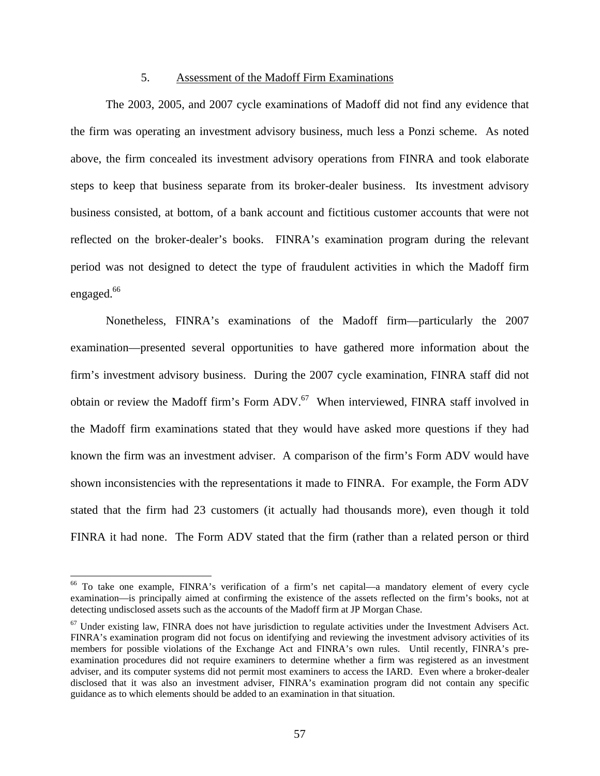### 5. Assessment of the Madoff Firm Examinations

The 2003, 2005, and 2007 cycle examinations of Madoff did not find any evidence that the firm was operating an investment advisory business, much less a Ponzi scheme. As noted above, the firm concealed its investment advisory operations from FINRA and took elaborate steps to keep that business separate from its broker-dealer business. Its investment advisory business consisted, at bottom, of a bank account and fictitious customer accounts that were not reflected on the broker-dealer's books. FINRA's examination program during the relevant period was not designed to detect the type of fraudulent activities in which the Madoff firm engaged.<sup>66</sup>

Nonetheless, FINRA's examinations of the Madoff firm—particularly the 2007 examination—presented several opportunities to have gathered more information about the firm's investment advisory business. During the 2007 cycle examination, FINRA staff did not obtain or review the Madoff firm's Form ADV.<sup>67</sup> When interviewed, FINRA staff involved in the Madoff firm examinations stated that they would have asked more questions if they had known the firm was an investment adviser. A comparison of the firm's Form ADV would have shown inconsistencies with the representations it made to FINRA. For example, the Form ADV stated that the firm had 23 customers (it actually had thousands more), even though it told FINRA it had none. The Form ADV stated that the firm (rather than a related person or third

<sup>66</sup> To take one example, FINRA's verification of a firm's net capital—a mandatory element of every cycle examination—is principally aimed at confirming the existence of the assets reflected on the firm's books, not at detecting undisclosed assets such as the accounts of the Madoff firm at JP Morgan Chase.

 $67$  Under existing law, FINRA does not have jurisdiction to regulate activities under the Investment Advisers Act. FINRA's examination program did not focus on identifying and reviewing the investment advisory activities of its members for possible violations of the Exchange Act and FINRA's own rules. Until recently, FINRA's preexamination procedures did not require examiners to determine whether a firm was registered as an investment adviser, and its computer systems did not permit most examiners to access the IARD. Even where a broker-dealer disclosed that it was also an investment adviser, FINRA's examination program did not contain any specific guidance as to which elements should be added to an examination in that situation.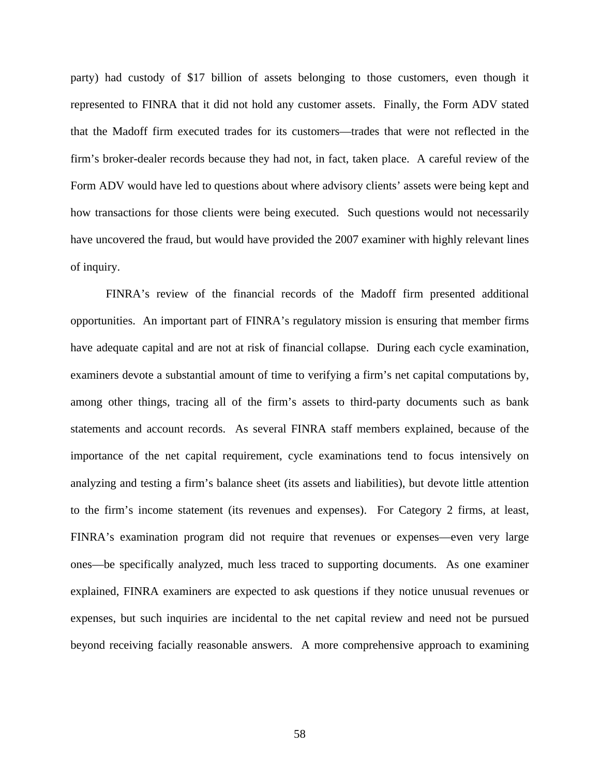party) had custody of \$17 billion of assets belonging to those customers, even though it represented to FINRA that it did not hold any customer assets. Finally, the Form ADV stated that the Madoff firm executed trades for its customers—trades that were not reflected in the firm's broker-dealer records because they had not, in fact, taken place. A careful review of the Form ADV would have led to questions about where advisory clients' assets were being kept and how transactions for those clients were being executed. Such questions would not necessarily have uncovered the fraud, but would have provided the 2007 examiner with highly relevant lines of inquiry.

FINRA's review of the financial records of the Madoff firm presented additional opportunities. An important part of FINRA's regulatory mission is ensuring that member firms have adequate capital and are not at risk of financial collapse. During each cycle examination, examiners devote a substantial amount of time to verifying a firm's net capital computations by, among other things, tracing all of the firm's assets to third-party documents such as bank statements and account records. As several FINRA staff members explained, because of the importance of the net capital requirement, cycle examinations tend to focus intensively on analyzing and testing a firm's balance sheet (its assets and liabilities), but devote little attention to the firm's income statement (its revenues and expenses). For Category 2 firms, at least, FINRA's examination program did not require that revenues or expenses—even very large ones—be specifically analyzed, much less traced to supporting documents. As one examiner explained, FINRA examiners are expected to ask questions if they notice unusual revenues or expenses, but such inquiries are incidental to the net capital review and need not be pursued beyond receiving facially reasonable answers. A more comprehensive approach to examining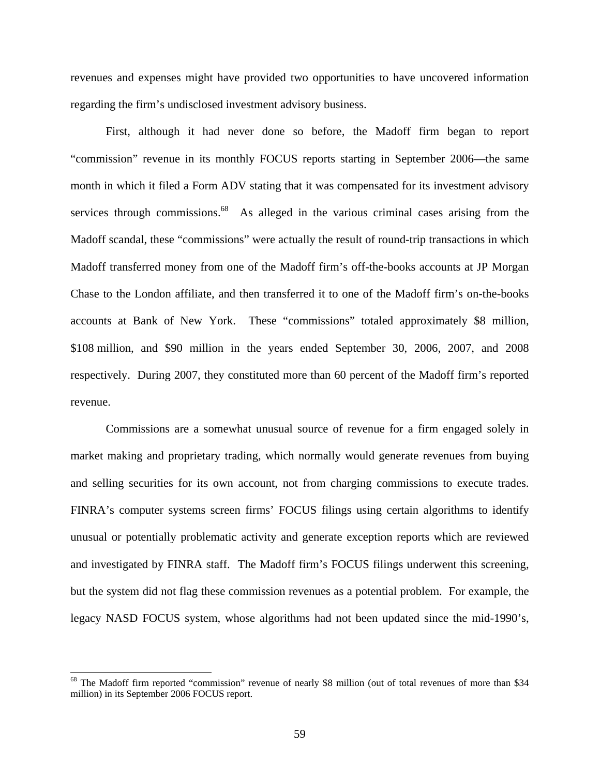revenues and expenses might have provided two opportunities to have uncovered information regarding the firm's undisclosed investment advisory business.

First, although it had never done so before, the Madoff firm began to report "commission" revenue in its monthly FOCUS reports starting in September 2006—the same month in which it filed a Form ADV stating that it was compensated for its investment advisory services through commissions.<sup>68</sup> As alleged in the various criminal cases arising from the Madoff scandal, these "commissions" were actually the result of round-trip transactions in which Madoff transferred money from one of the Madoff firm's off-the-books accounts at JP Morgan Chase to the London affiliate, and then transferred it to one of the Madoff firm's on-the-books accounts at Bank of New York. These "commissions" totaled approximately \$8 million, \$108 million, and \$90 million in the years ended September 30, 2006, 2007, and 2008 respectively. During 2007, they constituted more than 60 percent of the Madoff firm's reported revenue.

Commissions are a somewhat unusual source of revenue for a firm engaged solely in market making and proprietary trading, which normally would generate revenues from buying and selling securities for its own account, not from charging commissions to execute trades. FINRA's computer systems screen firms' FOCUS filings using certain algorithms to identify unusual or potentially problematic activity and generate exception reports which are reviewed and investigated by FINRA staff. The Madoff firm's FOCUS filings underwent this screening, but the system did not flag these commission revenues as a potential problem. For example, the legacy NASD FOCUS system, whose algorithms had not been updated since the mid-1990's,

<sup>&</sup>lt;sup>68</sup> The Madoff firm reported "commission" revenue of nearly \$8 million (out of total revenues of more than \$34 million) in its September 2006 FOCUS report.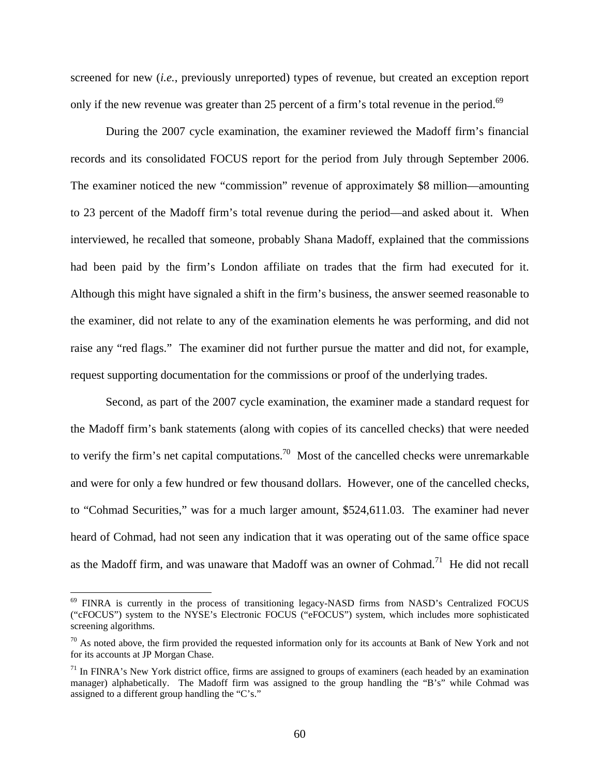screened for new (*i.e.*, previously unreported) types of revenue, but created an exception report only if the new revenue was greater than 25 percent of a firm's total revenue in the period.<sup>69</sup>

During the 2007 cycle examination, the examiner reviewed the Madoff firm's financial records and its consolidated FOCUS report for the period from July through September 2006. The examiner noticed the new "commission" revenue of approximately \$8 million—amounting to 23 percent of the Madoff firm's total revenue during the period—and asked about it. When interviewed, he recalled that someone, probably Shana Madoff, explained that the commissions had been paid by the firm's London affiliate on trades that the firm had executed for it. Although this might have signaled a shift in the firm's business, the answer seemed reasonable to the examiner, did not relate to any of the examination elements he was performing, and did not raise any "red flags." The examiner did not further pursue the matter and did not, for example, request supporting documentation for the commissions or proof of the underlying trades.

Second, as part of the 2007 cycle examination, the examiner made a standard request for the Madoff firm's bank statements (along with copies of its cancelled checks) that were needed to verify the firm's net capital computations.70 Most of the cancelled checks were unremarkable and were for only a few hundred or few thousand dollars. However, one of the cancelled checks, to "Cohmad Securities," was for a much larger amount, \$524,611.03. The examiner had never heard of Cohmad, had not seen any indication that it was operating out of the same office space as the Madoff firm, and was unaware that Madoff was an owner of Cohmad.<sup>71</sup> He did not recall

<sup>69</sup> FINRA is currently in the process of transitioning legacy-NASD firms from NASD's Centralized FOCUS ("cFOCUS") system to the NYSE's Electronic FOCUS ("eFOCUS") system, which includes more sophisticated screening algorithms.

 $70$  As noted above, the firm provided the requested information only for its accounts at Bank of New York and not for its accounts at JP Morgan Chase.

 $<sup>71</sup>$  In FINRA's New York district office, firms are assigned to groups of examiners (each headed by an examination</sup> manager) alphabetically. The Madoff firm was assigned to the group handling the "B's" while Cohmad was assigned to a different group handling the "C's."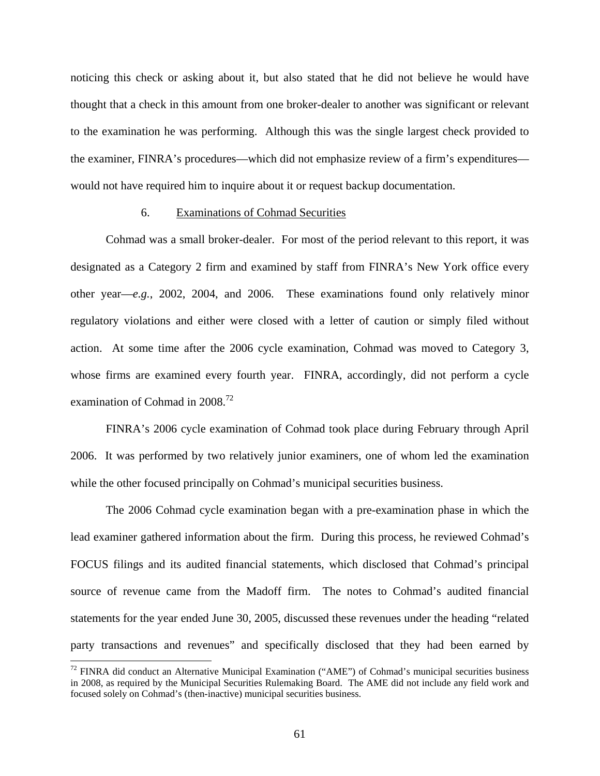noticing this check or asking about it, but also stated that he did not believe he would have thought that a check in this amount from one broker-dealer to another was significant or relevant to the examination he was performing. Although this was the single largest check provided to the examiner, FINRA's procedures—which did not emphasize review of a firm's expenditures would not have required him to inquire about it or request backup documentation.

#### 6. Examinations of Cohmad Securities

Cohmad was a small broker-dealer. For most of the period relevant to this report, it was designated as a Category 2 firm and examined by staff from FINRA's New York office every other year—*e.g.*, 2002, 2004, and 2006. These examinations found only relatively minor regulatory violations and either were closed with a letter of caution or simply filed without action. At some time after the 2006 cycle examination, Cohmad was moved to Category 3, whose firms are examined every fourth year. FINRA, accordingly, did not perform a cycle examination of Cohmad in 2008.<sup>72</sup>

FINRA's 2006 cycle examination of Cohmad took place during February through April 2006. It was performed by two relatively junior examiners, one of whom led the examination while the other focused principally on Cohmad's municipal securities business.

The 2006 Cohmad cycle examination began with a pre-examination phase in which the lead examiner gathered information about the firm. During this process, he reviewed Cohmad's FOCUS filings and its audited financial statements, which disclosed that Cohmad's principal source of revenue came from the Madoff firm. The notes to Cohmad's audited financial statements for the year ended June 30, 2005, discussed these revenues under the heading "related party transactions and revenues" and specifically disclosed that they had been earned by

 $72$  FINRA did conduct an Alternative Municipal Examination ("AME") of Cohmad's municipal securities business in 2008, as required by the Municipal Securities Rulemaking Board. The AME did not include any field work and focused solely on Cohmad's (then-inactive) municipal securities business.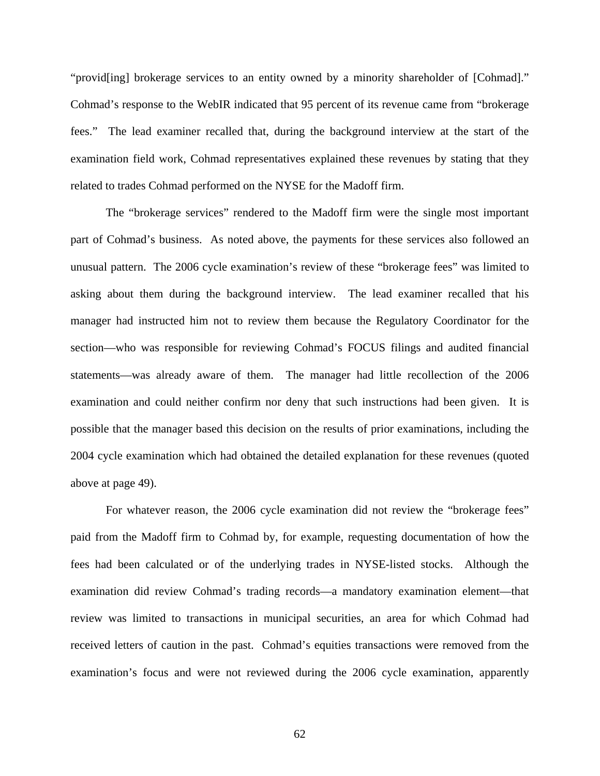"provid[ing] brokerage services to an entity owned by a minority shareholder of [Cohmad]." Cohmad's response to the WebIR indicated that 95 percent of its revenue came from "brokerage fees." The lead examiner recalled that, during the background interview at the start of the examination field work, Cohmad representatives explained these revenues by stating that they related to trades Cohmad performed on the NYSE for the Madoff firm.

The "brokerage services" rendered to the Madoff firm were the single most important part of Cohmad's business. As noted above, the payments for these services also followed an unusual pattern. The 2006 cycle examination's review of these "brokerage fees" was limited to asking about them during the background interview. The lead examiner recalled that his manager had instructed him not to review them because the Regulatory Coordinator for the section—who was responsible for reviewing Cohmad's FOCUS filings and audited financial statements—was already aware of them. The manager had little recollection of the 2006 examination and could neither confirm nor deny that such instructions had been given. It is possible that the manager based this decision on the results of prior examinations, including the 2004 cycle examination which had obtained the detailed explanation for these revenues (quoted above at page 49).

For whatever reason, the 2006 cycle examination did not review the "brokerage fees" paid from the Madoff firm to Cohmad by, for example, requesting documentation of how the fees had been calculated or of the underlying trades in NYSE-listed stocks. Although the examination did review Cohmad's trading records—a mandatory examination element—that review was limited to transactions in municipal securities, an area for which Cohmad had received letters of caution in the past. Cohmad's equities transactions were removed from the examination's focus and were not reviewed during the 2006 cycle examination, apparently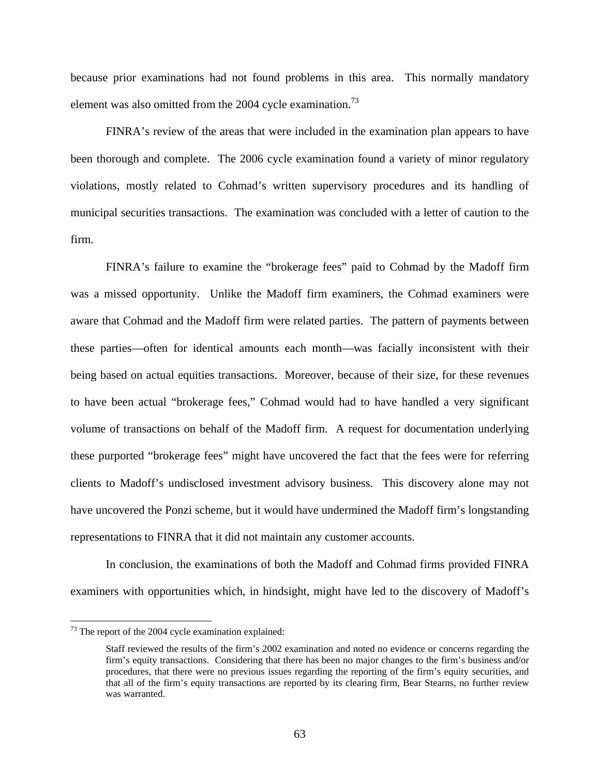because prior examinations had not found problems in this area. This normally mandatory element was also omitted from the 2004 cycle examination.<sup>73</sup>

FINRA's review of the areas that were included in the examination plan appears to have been thorough and complete. The 2006 cycle examination found a variety of minor regulatory violations, mostly related to Cohmad's written supervisory procedures and its handling of municipal securities transactions. The examination was concluded with a letter of caution to the firm.

FINRA's failure to examine the "brokerage fees" paid to Cohmad by the Madoff firm was a missed opportunity. Unlike the Madoff firm examiners, the Cohmad examiners were aware that Cohmad and the Madoff firm were related parties. The pattern of payments between these parties—often for identical amounts each month—was facially inconsistent with their being based on actual equities transactions. Moreover, because of their size, for these revenues to have been actual "brokerage fees," Cohmad would had to have handled a very significant volume of transactions on behalf of the Madoff firm. A request for documentation underlying these purported "brokerage fees" might have uncovered the fact that the fees were for referring clients to Madoff's undisclosed investment advisory business. This discovery alone may not have uncovered the Ponzi scheme, but it would have undermined the Madoff firm's longstanding representations to FINRA that it did not maintain any customer accounts.

In conclusion, the examinations of both the Madoff and Cohmad firms provided FINRA examiners with opportunities which, in hindsight, might have led to the discovery of Madoff's

 $73$  The report of the 2004 cycle examination explained:

Staff reviewed the results of the firm's 2002 examination and noted no evidence or concerns regarding the firm's equity transactions. Considering that there has been no major changes to the firm's business and/or procedures, that there were no previous issues regarding the reporting of the firm's equity securities, and that all of the firm's equity transactions are reported by its clearing firm, Bear Stearns, no further review was warranted.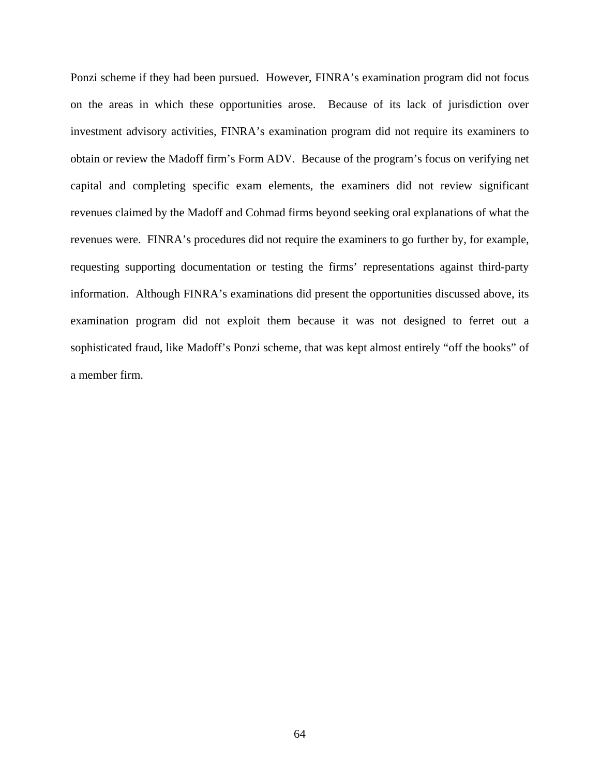Ponzi scheme if they had been pursued. However, FINRA's examination program did not focus on the areas in which these opportunities arose. Because of its lack of jurisdiction over investment advisory activities, FINRA's examination program did not require its examiners to obtain or review the Madoff firm's Form ADV. Because of the program's focus on verifying net capital and completing specific exam elements, the examiners did not review significant revenues claimed by the Madoff and Cohmad firms beyond seeking oral explanations of what the revenues were. FINRA's procedures did not require the examiners to go further by, for example, requesting supporting documentation or testing the firms' representations against third-party information. Although FINRA's examinations did present the opportunities discussed above, its examination program did not exploit them because it was not designed to ferret out a sophisticated fraud, like Madoff's Ponzi scheme, that was kept almost entirely "off the books" of a member firm.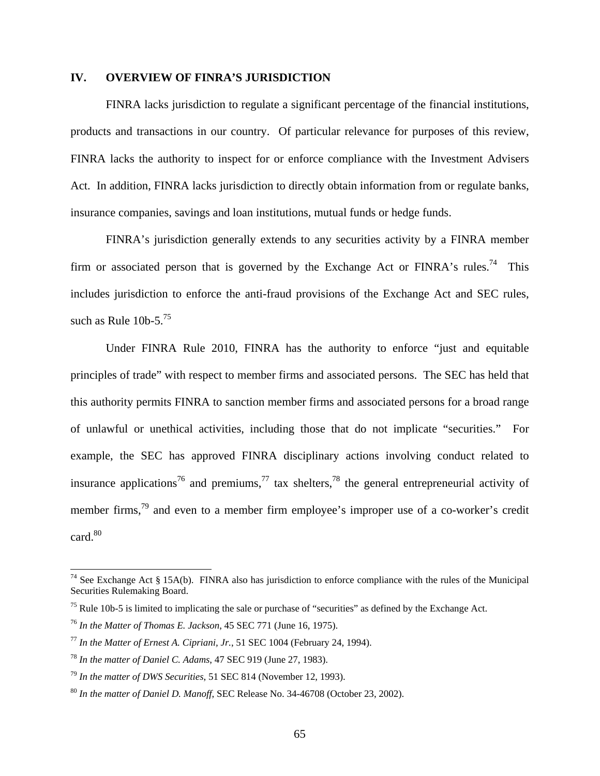# **IV. OVERVIEW OF FINRA'S JURISDICTION**

FINRA lacks jurisdiction to regulate a significant percentage of the financial institutions, products and transactions in our country. Of particular relevance for purposes of this review, FINRA lacks the authority to inspect for or enforce compliance with the Investment Advisers Act. In addition, FINRA lacks jurisdiction to directly obtain information from or regulate banks, insurance companies, savings and loan institutions, mutual funds or hedge funds.

FINRA's jurisdiction generally extends to any securities activity by a FINRA member firm or associated person that is governed by the Exchange Act or  $FINRA$ 's rules.<sup>74</sup> This includes jurisdiction to enforce the anti-fraud provisions of the Exchange Act and SEC rules, such as Rule  $10b-5$ <sup>75</sup>

Under FINRA Rule 2010, FINRA has the authority to enforce "just and equitable principles of trade" with respect to member firms and associated persons. The SEC has held that this authority permits FINRA to sanction member firms and associated persons for a broad range of unlawful or unethical activities, including those that do not implicate "securities." For example, the SEC has approved FINRA disciplinary actions involving conduct related to insurance applications<sup>76</sup> and premiums,<sup>77</sup> tax shelters,<sup>78</sup> the general entrepreneurial activity of member firms,<sup>79</sup> and even to a member firm employee's improper use of a co-worker's credit card.<sup>80</sup>

<sup>&</sup>lt;sup>74</sup> See Exchange Act § 15A(b). FINRA also has jurisdiction to enforce compliance with the rules of the Municipal Securities Rulemaking Board.

 $75$  Rule 10b-5 is limited to implicating the sale or purchase of "securities" as defined by the Exchange Act.

<sup>76</sup> *In the Matter of Thomas E. Jackson*, 45 SEC 771 (June 16, 1975).

<sup>77</sup> *In the Matter of Ernest A. Cipriani, Jr.*, 51 SEC 1004 (February 24, 1994).

<sup>78</sup> *In the matter of Daniel C. Adams*, 47 SEC 919 (June 27, 1983).

<sup>79</sup> *In the matter of DWS Securities*, 51 SEC 814 (November 12, 1993).

<sup>80</sup> *In the matter of Daniel D. Manoff*, SEC Release No. 34-46708 (October 23, 2002).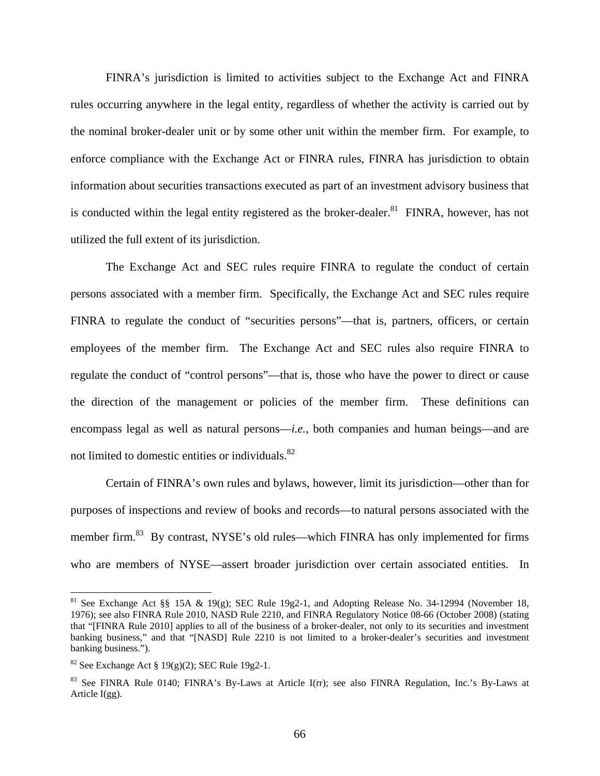FINRA's jurisdiction is limited to activities subject to the Exchange Act and FINRA rules occurring anywhere in the legal entity, regardless of whether the activity is carried out by the nominal broker-dealer unit or by some other unit within the member firm. For example, to enforce compliance with the Exchange Act or FINRA rules, FINRA has jurisdiction to obtain information about securities transactions executed as part of an investment advisory business that is conducted within the legal entity registered as the broker-dealer. $81$  FINRA, however, has not utilized the full extent of its jurisdiction.

The Exchange Act and SEC rules require FINRA to regulate the conduct of certain persons associated with a member firm. Specifically, the Exchange Act and SEC rules require FINRA to regulate the conduct of "securities persons"—that is, partners, officers, or certain employees of the member firm. The Exchange Act and SEC rules also require FINRA to regulate the conduct of "control persons"—that is, those who have the power to direct or cause the direction of the management or policies of the member firm. These definitions can encompass legal as well as natural persons—*i.e.*, both companies and human beings—and are not limited to domestic entities or individuals.<sup>82</sup>

Certain of FINRA's own rules and bylaws, however, limit its jurisdiction—other than for purposes of inspections and review of books and records—to natural persons associated with the member firm.<sup>83</sup> By contrast, NYSE's old rules—which FINRA has only implemented for firms who are members of NYSE—assert broader jurisdiction over certain associated entities. In

<sup>&</sup>lt;sup>81</sup> See Exchange Act §§ 15A & 19(g); SEC Rule 19g2-1, and Adopting Release No. 34-12994 (November 18, 1976); see also FINRA Rule 2010, NASD Rule 2210, and FINRA Regulatory Notice 08-66 (October 2008) (stating that "[FINRA Rule 2010] applies to all of the business of a broker-dealer, not only to its securities and investment banking business," and that "[NASD] Rule 2210 is not limited to a broker-dealer's securities and investment banking business.").

<sup>&</sup>lt;sup>82</sup> See Exchange Act § 19(g)(2); SEC Rule 19g2-1.

<sup>83</sup> See FINRA Rule 0140; FINRA's By-Laws at Article I(rr); see also FINRA Regulation, Inc.'s By-Laws at Article I(gg).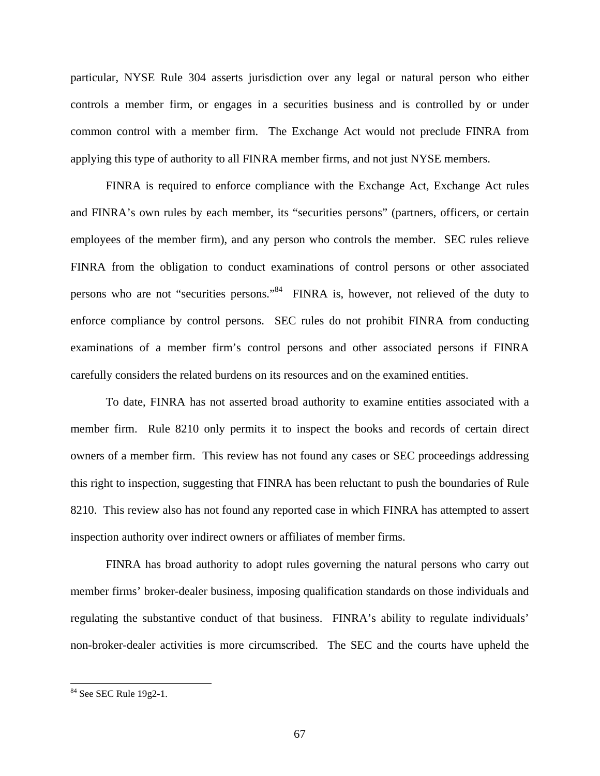particular, NYSE Rule 304 asserts jurisdiction over any legal or natural person who either controls a member firm, or engages in a securities business and is controlled by or under common control with a member firm. The Exchange Act would not preclude FINRA from applying this type of authority to all FINRA member firms, and not just NYSE members.

FINRA is required to enforce compliance with the Exchange Act, Exchange Act rules and FINRA's own rules by each member, its "securities persons" (partners, officers, or certain employees of the member firm), and any person who controls the member. SEC rules relieve FINRA from the obligation to conduct examinations of control persons or other associated persons who are not "securities persons."84 FINRA is, however, not relieved of the duty to enforce compliance by control persons. SEC rules do not prohibit FINRA from conducting examinations of a member firm's control persons and other associated persons if FINRA carefully considers the related burdens on its resources and on the examined entities.

To date, FINRA has not asserted broad authority to examine entities associated with a member firm. Rule 8210 only permits it to inspect the books and records of certain direct owners of a member firm. This review has not found any cases or SEC proceedings addressing this right to inspection, suggesting that FINRA has been reluctant to push the boundaries of Rule 8210. This review also has not found any reported case in which FINRA has attempted to assert inspection authority over indirect owners or affiliates of member firms.

FINRA has broad authority to adopt rules governing the natural persons who carry out member firms' broker-dealer business, imposing qualification standards on those individuals and regulating the substantive conduct of that business. FINRA's ability to regulate individuals' non-broker-dealer activities is more circumscribed. The SEC and the courts have upheld the

 $84$  See SEC Rule 19g2-1.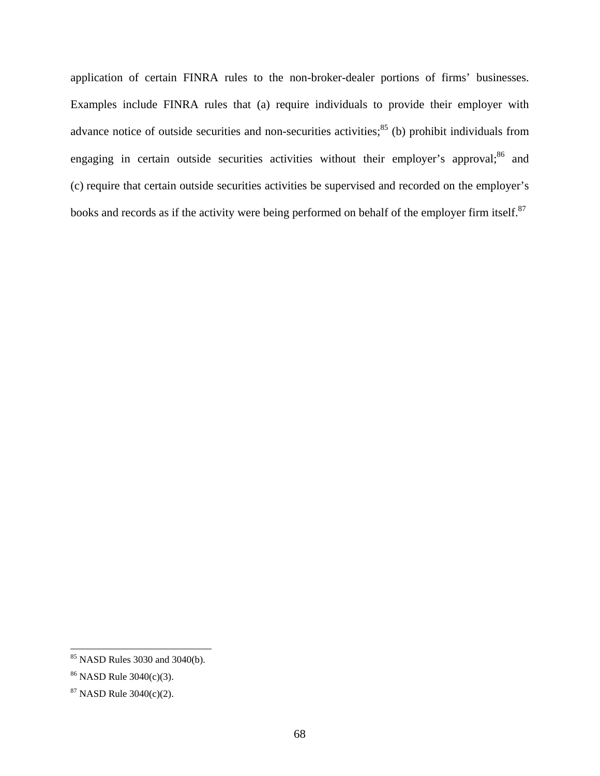application of certain FINRA rules to the non-broker-dealer portions of firms' businesses. Examples include FINRA rules that (a) require individuals to provide their employer with advance notice of outside securities and non-securities activities; $^{85}$  (b) prohibit individuals from engaging in certain outside securities activities without their employer's approval; $86$  and (c) require that certain outside securities activities be supervised and recorded on the employer's books and records as if the activity were being performed on behalf of the employer firm itself.<sup>87</sup>

<sup>85</sup> NASD Rules 3030 and 3040(b).

<sup>86</sup> NASD Rule 3040(c)(3).

<sup>87</sup> NASD Rule 3040(c)(2).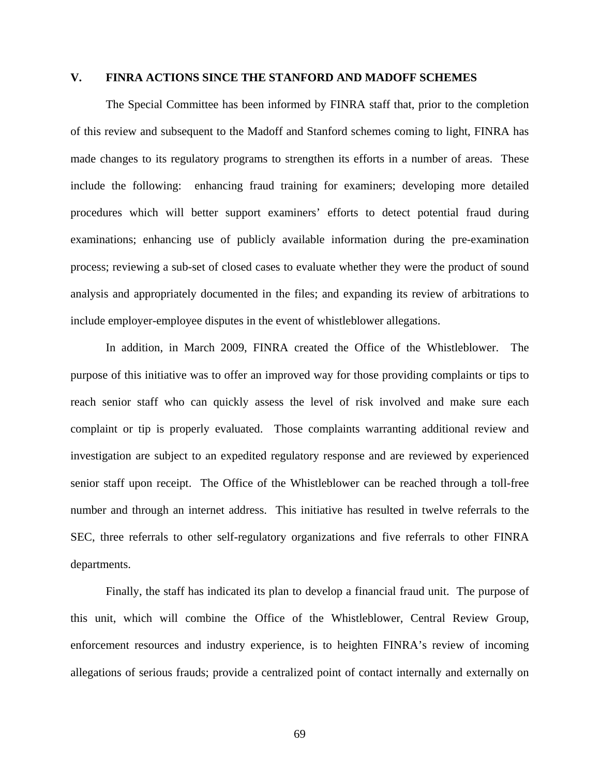# **V. FINRA ACTIONS SINCE THE STANFORD AND MADOFF SCHEMES**

The Special Committee has been informed by FINRA staff that, prior to the completion of this review and subsequent to the Madoff and Stanford schemes coming to light, FINRA has made changes to its regulatory programs to strengthen its efforts in a number of areas. These include the following: enhancing fraud training for examiners; developing more detailed procedures which will better support examiners' efforts to detect potential fraud during examinations; enhancing use of publicly available information during the pre-examination process; reviewing a sub-set of closed cases to evaluate whether they were the product of sound analysis and appropriately documented in the files; and expanding its review of arbitrations to include employer-employee disputes in the event of whistleblower allegations.

In addition, in March 2009, FINRA created the Office of the Whistleblower. The purpose of this initiative was to offer an improved way for those providing complaints or tips to reach senior staff who can quickly assess the level of risk involved and make sure each complaint or tip is properly evaluated. Those complaints warranting additional review and investigation are subject to an expedited regulatory response and are reviewed by experienced senior staff upon receipt. The Office of the Whistleblower can be reached through a toll-free number and through an internet address. This initiative has resulted in twelve referrals to the SEC, three referrals to other self-regulatory organizations and five referrals to other FINRA departments.

Finally, the staff has indicated its plan to develop a financial fraud unit. The purpose of this unit, which will combine the Office of the Whistleblower, Central Review Group, enforcement resources and industry experience, is to heighten FINRA's review of incoming allegations of serious frauds; provide a centralized point of contact internally and externally on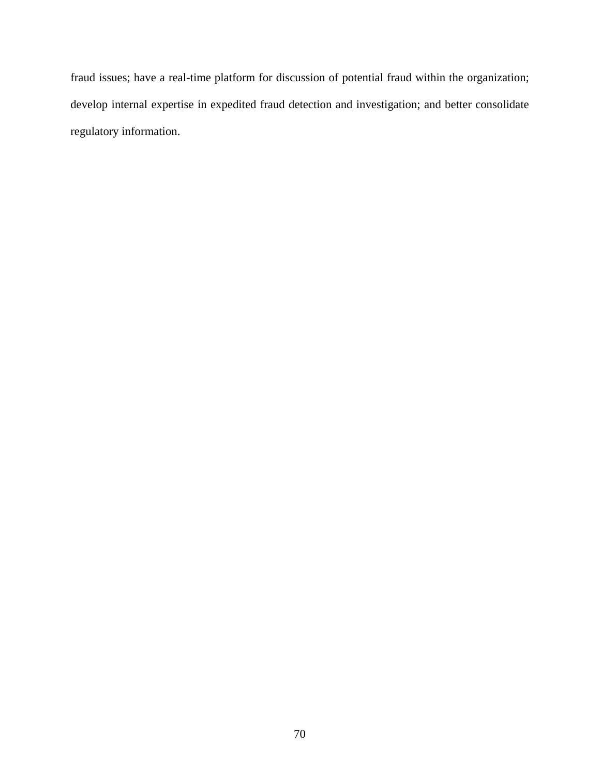fraud issues; have a real-time platform for discussion of potential fraud within the organization; develop internal expertise in expedited fraud detection and investigation; and better consolidate regulatory information.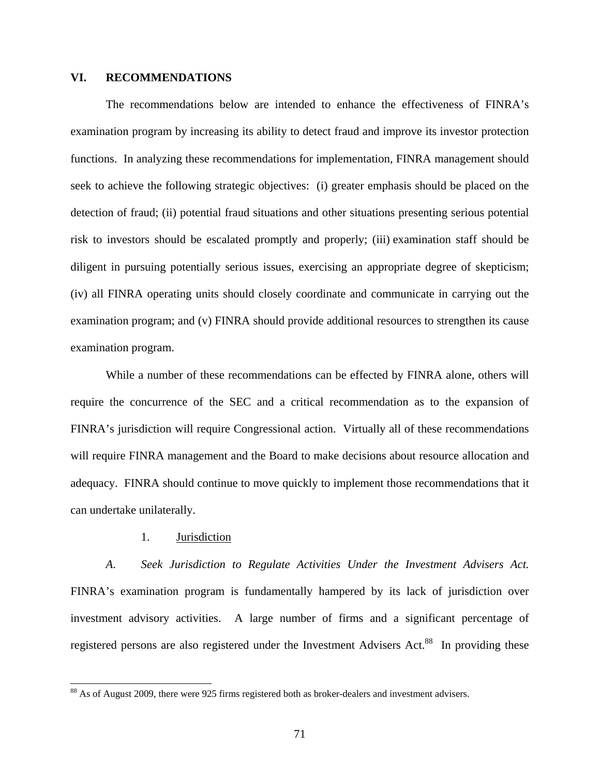## **VI. RECOMMENDATIONS**

The recommendations below are intended to enhance the effectiveness of FINRA's examination program by increasing its ability to detect fraud and improve its investor protection functions. In analyzing these recommendations for implementation, FINRA management should seek to achieve the following strategic objectives: (i) greater emphasis should be placed on the detection of fraud; (ii) potential fraud situations and other situations presenting serious potential risk to investors should be escalated promptly and properly; (iii) examination staff should be diligent in pursuing potentially serious issues, exercising an appropriate degree of skepticism; (iv) all FINRA operating units should closely coordinate and communicate in carrying out the examination program; and (v) FINRA should provide additional resources to strengthen its cause examination program.

While a number of these recommendations can be effected by FINRA alone, others will require the concurrence of the SEC and a critical recommendation as to the expansion of FINRA's jurisdiction will require Congressional action. Virtually all of these recommendations will require FINRA management and the Board to make decisions about resource allocation and adequacy. FINRA should continue to move quickly to implement those recommendations that it can undertake unilaterally.

### 1. Jurisdiction

*A*. *Seek Jurisdiction to Regulate Activities Under the Investment Advisers Act.* FINRA's examination program is fundamentally hampered by its lack of jurisdiction over investment advisory activities. A large number of firms and a significant percentage of registered persons are also registered under the Investment Advisers Act.<sup>88</sup> In providing these

<sup>&</sup>lt;sup>88</sup> As of August 2009, there were 925 firms registered both as broker-dealers and investment advisers.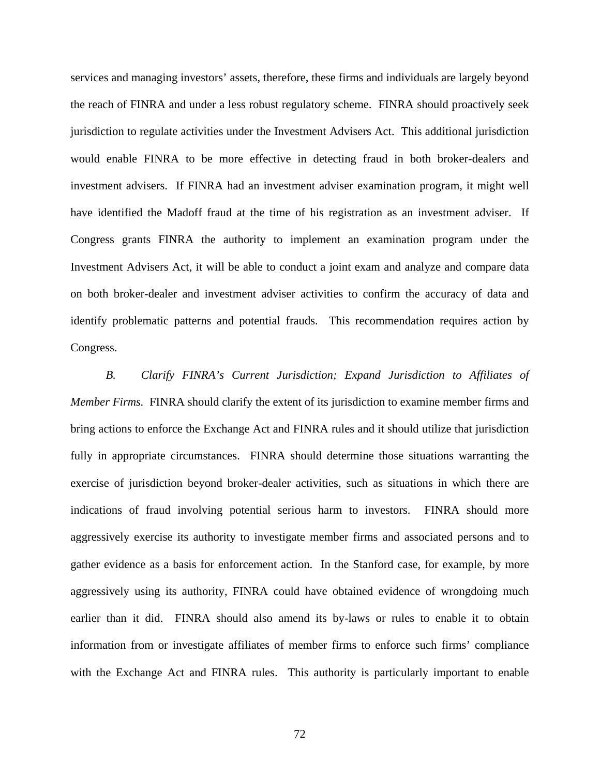services and managing investors' assets, therefore, these firms and individuals are largely beyond the reach of FINRA and under a less robust regulatory scheme. FINRA should proactively seek jurisdiction to regulate activities under the Investment Advisers Act. This additional jurisdiction would enable FINRA to be more effective in detecting fraud in both broker-dealers and investment advisers. If FINRA had an investment adviser examination program, it might well have identified the Madoff fraud at the time of his registration as an investment adviser. If Congress grants FINRA the authority to implement an examination program under the Investment Advisers Act, it will be able to conduct a joint exam and analyze and compare data on both broker-dealer and investment adviser activities to confirm the accuracy of data and identify problematic patterns and potential frauds. This recommendation requires action by Congress.

*B. Clarify FINRA's Current Jurisdiction; Expand Jurisdiction to Affiliates of Member Firms.* FINRA should clarify the extent of its jurisdiction to examine member firms and bring actions to enforce the Exchange Act and FINRA rules and it should utilize that jurisdiction fully in appropriate circumstances. FINRA should determine those situations warranting the exercise of jurisdiction beyond broker-dealer activities, such as situations in which there are indications of fraud involving potential serious harm to investors. FINRA should more aggressively exercise its authority to investigate member firms and associated persons and to gather evidence as a basis for enforcement action. In the Stanford case, for example, by more aggressively using its authority, FINRA could have obtained evidence of wrongdoing much earlier than it did. FINRA should also amend its by-laws or rules to enable it to obtain information from or investigate affiliates of member firms to enforce such firms' compliance with the Exchange Act and FINRA rules. This authority is particularly important to enable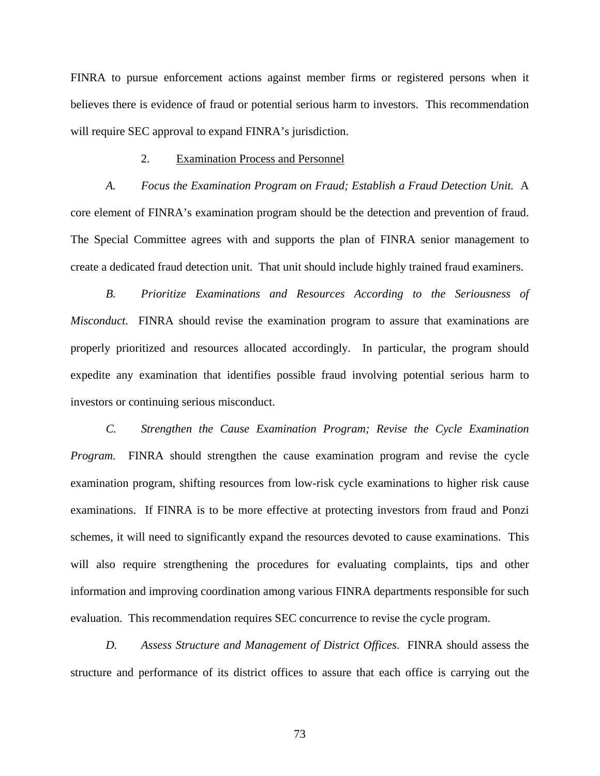FINRA to pursue enforcement actions against member firms or registered persons when it believes there is evidence of fraud or potential serious harm to investors. This recommendation will require SEC approval to expand FINRA's jurisdiction.

#### 2. Examination Process and Personnel

*A. Focus the Examination Program on Fraud; Establish a Fraud Detection Unit.* A core element of FINRA's examination program should be the detection and prevention of fraud. The Special Committee agrees with and supports the plan of FINRA senior management to create a dedicated fraud detection unit. That unit should include highly trained fraud examiners.

*B. Prioritize Examinations and Resources According to the Seriousness of Misconduct.* FINRA should revise the examination program to assure that examinations are properly prioritized and resources allocated accordingly. In particular, the program should expedite any examination that identifies possible fraud involving potential serious harm to investors or continuing serious misconduct.

*C. Strengthen the Cause Examination Program; Revise the Cycle Examination Program.* FINRA should strengthen the cause examination program and revise the cycle examination program, shifting resources from low-risk cycle examinations to higher risk cause examinations. If FINRA is to be more effective at protecting investors from fraud and Ponzi schemes, it will need to significantly expand the resources devoted to cause examinations. This will also require strengthening the procedures for evaluating complaints, tips and other information and improving coordination among various FINRA departments responsible for such evaluation. This recommendation requires SEC concurrence to revise the cycle program.

*D. Assess Structure and Management of District Offices*. FINRA should assess the structure and performance of its district offices to assure that each office is carrying out the

73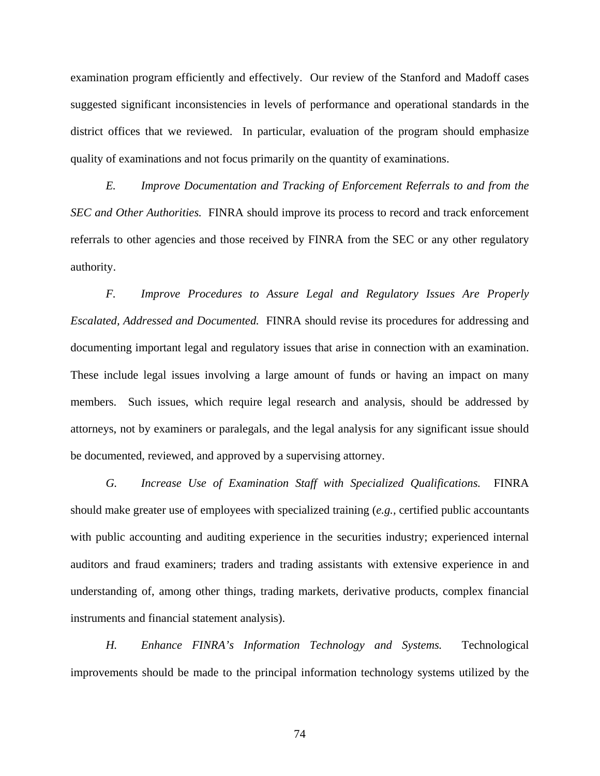examination program efficiently and effectively. Our review of the Stanford and Madoff cases suggested significant inconsistencies in levels of performance and operational standards in the district offices that we reviewed. In particular, evaluation of the program should emphasize quality of examinations and not focus primarily on the quantity of examinations.

*E. Improve Documentation and Tracking of Enforcement Referrals to and from the SEC and Other Authorities.* FINRA should improve its process to record and track enforcement referrals to other agencies and those received by FINRA from the SEC or any other regulatory authority.

*F. Improve Procedures to Assure Legal and Regulatory Issues Are Properly Escalated, Addressed and Documented.* FINRA should revise its procedures for addressing and documenting important legal and regulatory issues that arise in connection with an examination. These include legal issues involving a large amount of funds or having an impact on many members. Such issues, which require legal research and analysis, should be addressed by attorneys, not by examiners or paralegals, and the legal analysis for any significant issue should be documented, reviewed, and approved by a supervising attorney.

*G. Increase Use of Examination Staff with Specialized Qualifications.* FINRA should make greater use of employees with specialized training (*e.g.,* certified public accountants with public accounting and auditing experience in the securities industry; experienced internal auditors and fraud examiners; traders and trading assistants with extensive experience in and understanding of, among other things, trading markets, derivative products, complex financial instruments and financial statement analysis).

*H. Enhance FINRA's Information Technology and Systems.* Technological improvements should be made to the principal information technology systems utilized by the

74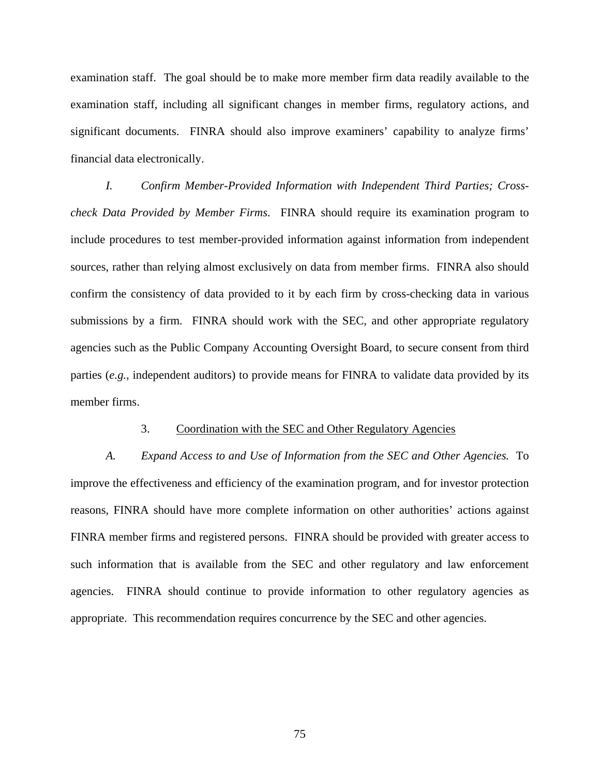examination staff. The goal should be to make more member firm data readily available to the examination staff, including all significant changes in member firms, regulatory actions, and significant documents. FINRA should also improve examiners' capability to analyze firms' financial data electronically.

*I. Confirm Member-Provided Information with Independent Third Parties; Crosscheck Data Provided by Member Firms.* FINRA should require its examination program to include procedures to test member-provided information against information from independent sources, rather than relying almost exclusively on data from member firms. FINRA also should confirm the consistency of data provided to it by each firm by cross-checking data in various submissions by a firm. FINRA should work with the SEC, and other appropriate regulatory agencies such as the Public Company Accounting Oversight Board, to secure consent from third parties (*e.g.,* independent auditors) to provide means for FINRA to validate data provided by its member firms.

#### 3. Coordination with the SEC and Other Regulatory Agencies

*A. Expand Access to and Use of Information from the SEC and Other Agencies.* To improve the effectiveness and efficiency of the examination program, and for investor protection reasons, FINRA should have more complete information on other authorities' actions against FINRA member firms and registered persons. FINRA should be provided with greater access to such information that is available from the SEC and other regulatory and law enforcement agencies. FINRA should continue to provide information to other regulatory agencies as appropriate. This recommendation requires concurrence by the SEC and other agencies.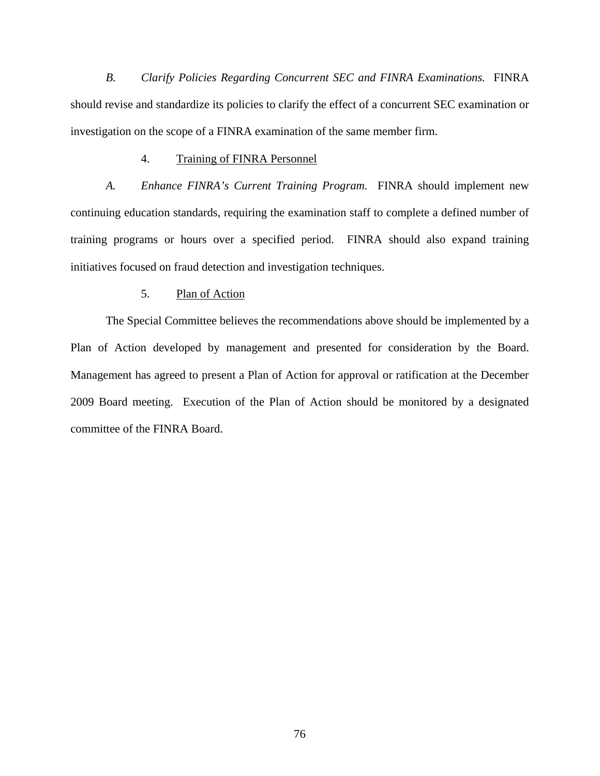*B. Clarify Policies Regarding Concurrent SEC and FINRA Examinations.* FINRA should revise and standardize its policies to clarify the effect of a concurrent SEC examination or investigation on the scope of a FINRA examination of the same member firm.

## 4. Training of FINRA Personnel

*A. Enhance FINRA's Current Training Program.* FINRA should implement new continuing education standards, requiring the examination staff to complete a defined number of training programs or hours over a specified period. FINRA should also expand training initiatives focused on fraud detection and investigation techniques.

## 5. Plan of Action

 The Special Committee believes the recommendations above should be implemented by a Plan of Action developed by management and presented for consideration by the Board. Management has agreed to present a Plan of Action for approval or ratification at the December 2009 Board meeting. Execution of the Plan of Action should be monitored by a designated committee of the FINRA Board.